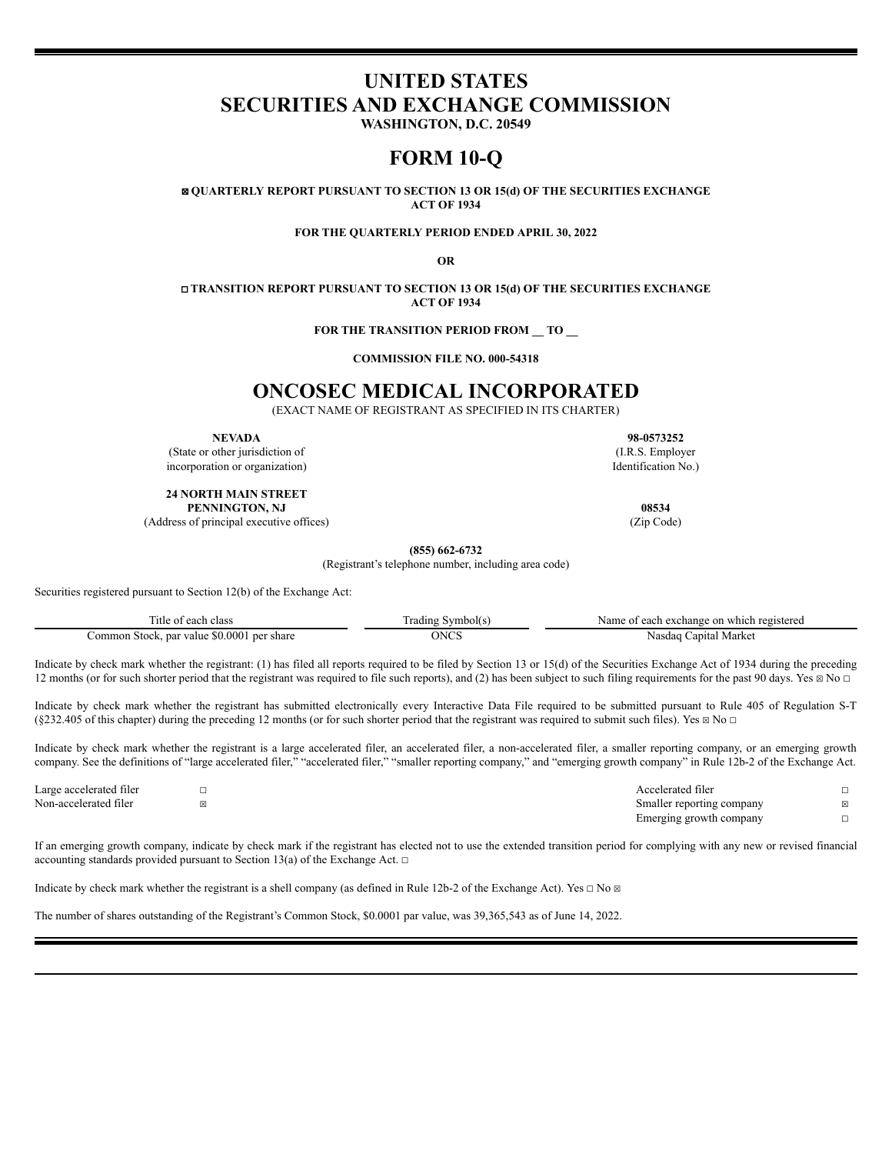# **UNITED STATES SECURITIES AND EXCHANGE COMMISSION**

**WASHINGTON, D.C. 20549**

# **FORM 10-Q**

☒ **QUARTERLY REPORT PURSUANT TO SECTION 13 OR 15(d) OF THE SECURITIES EXCHANGE ACT OF 1934**

## **FOR THE QUARTERLY PERIOD ENDED APRIL 30, 2022**

**OR**

☐ **TRANSITION REPORT PURSUANT TO SECTION 13 OR 15(d) OF THE SECURITIES EXCHANGE ACT OF 1934**

**FOR THE TRANSITION PERIOD FROM \_\_ TO \_\_**

**COMMISSION FILE NO. 000-54318**

## **ONCOSEC MEDICAL INCORPORATED**

(EXACT NAME OF REGISTRANT AS SPECIFIED IN ITS CHARTER)

**NEVADA 98-0573252**

(State or other jurisdiction of (I.R.S. Employer incorporation or organization) incorporation or organization of the state of the state of the state of the state of the state of the state of the state of the state of the state of the state of the state of the state of th

**24 NORTH MAIN STREET**

**PENNINGTON, NJ 08534**

(Address of principal executive offices) (Zip Code)

**(855) 662-6732**

(Registrant's telephone number, including area code)

Securities registered pursuant to Section 12(b) of the Exchange Act:

| îtle.<br>class<br>each.                                   | rading<br>Symbol(s) | 2e on<br>i registered<br>a which.<br>.√am<br>exchange<br>each |
|-----------------------------------------------------------|---------------------|---------------------------------------------------------------|
| \$0.000<br>per share<br>Stock.<br>ommon<br>par value<br>. | ONCS                | Market<br>anıtal<br>Nasdaq                                    |

Indicate by check mark whether the registrant: (1) has filed all reports required to be filed by Section 13 or 15(d) of the Securities Exchange Act of 1934 during the preceding 12 months (or for such shorter period that the registrant was required to file such reports), and (2) has been subject to such filing requirements for the past 90 days. Yes  $\boxtimes$  No  $\Box$ 

Indicate by check mark whether the registrant has submitted electronically every Interactive Data File required to be submitted pursuant to Rule 405 of Regulation S-T (§232.405 of this chapter) during the preceding 12 months (or for such shorter period that the registrant was required to submit such files). Yes ⊠ No □

Indicate by check mark whether the registrant is a large accelerated filer, an accelerated filer, a non-accelerated filer, a smaller reporting company, or an emerging growth company. See the definitions of "large accelerated filer," "accelerated filer," "smaller reporting company," and "emerging growth company" in Rule 12b-2 of the Exchange Act.

| Large accelerated filer | Accelerated filer         |             |
|-------------------------|---------------------------|-------------|
| Non-accelerated filer   | Smaller reporting company | $\boxtimes$ |
|                         | Emerging growth company   |             |

If an emerging growth company, indicate by check mark if the registrant has elected not to use the extended transition period for complying with any new or revised financial accounting standards provided pursuant to Section 13(a) of the Exchange Act.  $\Box$ 

Indicate by check mark whether the registrant is a shell company (as defined in Rule 12b-2 of the Exchange Act). Yes  $\Box$  No  $\Box$ 

The number of shares outstanding of the Registrant's Common Stock, \$0.0001 par value, was 39,365,543 as of June 14, 2022.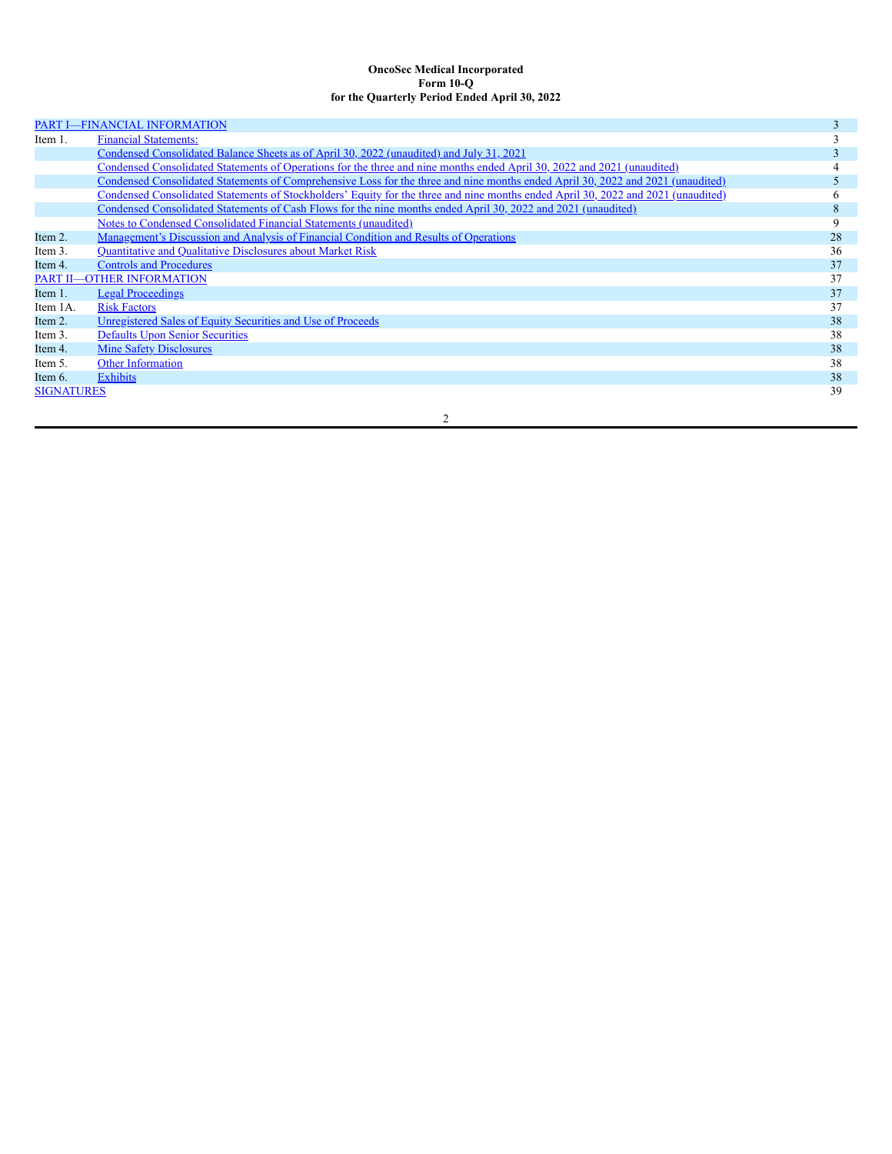## **OncoSec Medical Incorporated Form 10-Q for the Quarterly Period Ended April 30, 2022**

|                   | PART I-FINANCIAL INFORMATION                                                                                                      |    |
|-------------------|-----------------------------------------------------------------------------------------------------------------------------------|----|
| Item 1.           | <b>Financial Statements:</b>                                                                                                      |    |
|                   | <u>Condensed Consolidated Balance Sheets as of April 30, 2022 (unaudited) and July 31, 2021</u>                                   |    |
|                   | Condensed Consolidated Statements of Operations for the three and nine months ended April 30, 2022 and 2021 (unaudited)           |    |
|                   | Condensed Consolidated Statements of Comprehensive Loss for the three and nine months ended April 30, 2022 and 2021 (unaudited)   |    |
|                   | Condensed Consolidated Statements of Stockholders' Equity for the three and nine months ended April 30, 2022 and 2021 (unaudited) | n  |
|                   | Condensed Consolidated Statements of Cash Flows for the nine months ended April 30, 2022 and 2021 (unaudited)                     | 8  |
|                   | <b>Notes to Condensed Consolidated Financial Statements (unaudited)</b>                                                           | 9  |
| Item 2.           | Management's Discussion and Analysis of Financial Condition and Results of Operations                                             | 28 |
| Item 3.           | <b>Quantitative and Qualitative Disclosures about Market Risk</b>                                                                 | 36 |
| Item 4.           | <b>Controls and Procedures</b>                                                                                                    | 37 |
|                   | <b>PART II-OTHER INFORMATION</b>                                                                                                  | 37 |
| Item 1.           | <b>Legal Proceedings</b>                                                                                                          | 37 |
| Item 1A.          | <b>Risk Factors</b>                                                                                                               | 37 |
| Item 2.           | Unregistered Sales of Equity Securities and Use of Proceeds                                                                       | 38 |
| Item 3.           | <b>Defaults Upon Senior Securities</b>                                                                                            | 38 |
| Item 4.           | <b>Mine Safety Disclosures</b>                                                                                                    | 38 |
| Item 5.           | Other Information                                                                                                                 | 38 |
| Item 6.           | <b>Exhibits</b>                                                                                                                   | 38 |
| <b>SIGNATURES</b> |                                                                                                                                   | 39 |
|                   |                                                                                                                                   |    |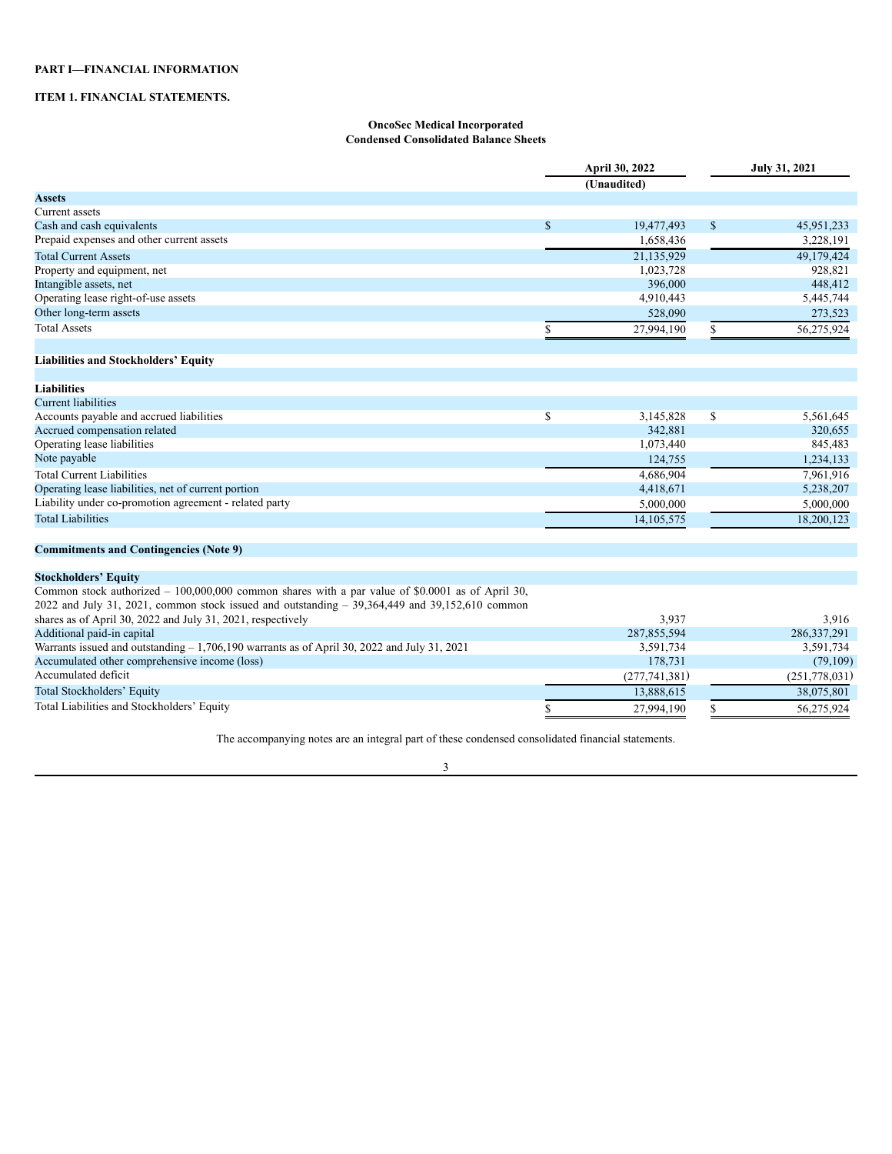## <span id="page-2-0"></span>**PART I—FINANCIAL INFORMATION**

## <span id="page-2-1"></span>**ITEM 1. FINANCIAL STATEMENTS.**

## **OncoSec Medical Incorporated Condensed Consolidated Balance Sheets**

<span id="page-2-2"></span>

|                                                                                                                                                                                                          |               | April 30, 2022 | <b>July 31, 2021</b> |               |
|----------------------------------------------------------------------------------------------------------------------------------------------------------------------------------------------------------|---------------|----------------|----------------------|---------------|
|                                                                                                                                                                                                          |               | (Unaudited)    |                      |               |
| <b>Assets</b>                                                                                                                                                                                            |               |                |                      |               |
| Current assets                                                                                                                                                                                           |               |                |                      |               |
| Cash and cash equivalents                                                                                                                                                                                | $\mathcal{S}$ | 19,477,493     | $\mathbb{S}$         | 45,951,233    |
| Prepaid expenses and other current assets                                                                                                                                                                |               | 1,658,436      |                      | 3,228,191     |
| <b>Total Current Assets</b>                                                                                                                                                                              |               | 21,135,929     |                      | 49,179,424    |
| Property and equipment, net                                                                                                                                                                              |               | 1,023,728      |                      | 928,821       |
| Intangible assets, net                                                                                                                                                                                   |               | 396,000        |                      | 448,412       |
| Operating lease right-of-use assets                                                                                                                                                                      |               | 4,910,443      |                      | 5,445,744     |
| Other long-term assets                                                                                                                                                                                   |               | 528,090        |                      | 273,523       |
| <b>Total Assets</b>                                                                                                                                                                                      | \$            | 27,994,190     | \$                   | 56,275,924    |
| <b>Liabilities and Stockholders' Equity</b>                                                                                                                                                              |               |                |                      |               |
| <b>Liabilities</b>                                                                                                                                                                                       |               |                |                      |               |
| Current liabilities                                                                                                                                                                                      |               |                |                      |               |
| Accounts payable and accrued liabilities                                                                                                                                                                 | \$            | 3,145,828      | \$                   | 5,561,645     |
| Accrued compensation related                                                                                                                                                                             |               | 342,881        |                      | 320,655       |
| Operating lease liabilities                                                                                                                                                                              |               | 1,073,440      |                      | 845,483       |
| Note payable                                                                                                                                                                                             |               | 124,755        |                      | 1,234,133     |
| <b>Total Current Liabilities</b>                                                                                                                                                                         |               | 4,686,904      |                      | 7,961,916     |
| Operating lease liabilities, net of current portion                                                                                                                                                      |               | 4,418,671      |                      | 5,238,207     |
| Liability under co-promotion agreement - related party                                                                                                                                                   |               | 5,000,000      |                      | 5,000,000     |
| <b>Total Liabilities</b>                                                                                                                                                                                 |               | 14, 105, 575   |                      | 18,200,123    |
| <b>Commitments and Contingencies (Note 9)</b>                                                                                                                                                            |               |                |                      |               |
| <b>Stockholders' Equity</b>                                                                                                                                                                              |               |                |                      |               |
| Common stock authorized $-100,000,000$ common shares with a par value of \$0.0001 as of April 30,<br>$2022$ and July 31, 2021, common stock issued and outstanding $-39,364,449$ and $39,152,610$ common |               |                |                      |               |
| shares as of April 30, 2022 and July 31, 2021, respectively                                                                                                                                              |               | 3,937          |                      | 3.916         |
| Additional paid-in capital                                                                                                                                                                               |               | 287,855,594    |                      | 286, 337, 291 |
| Warrants issued and outstanding - 1,706,190 warrants as of April 30, 2022 and July 31, 2021                                                                                                              |               | 3,591,734      |                      | 3,591,734     |
| Accumulated other comprehensive income (loss)                                                                                                                                                            |               | 178,731        |                      | (79, 109)     |
| Accumulated deficit                                                                                                                                                                                      |               | (277,741,381)  |                      | (251,778,031) |
| Total Stockholders' Equity                                                                                                                                                                               |               | 13.888.615     |                      | 38.075.801    |

Total Liabilities and Stockholders' Equity 6 27,994,190 5 56,275,924

The accompanying notes are an integral part of these condensed consolidated financial statements. 3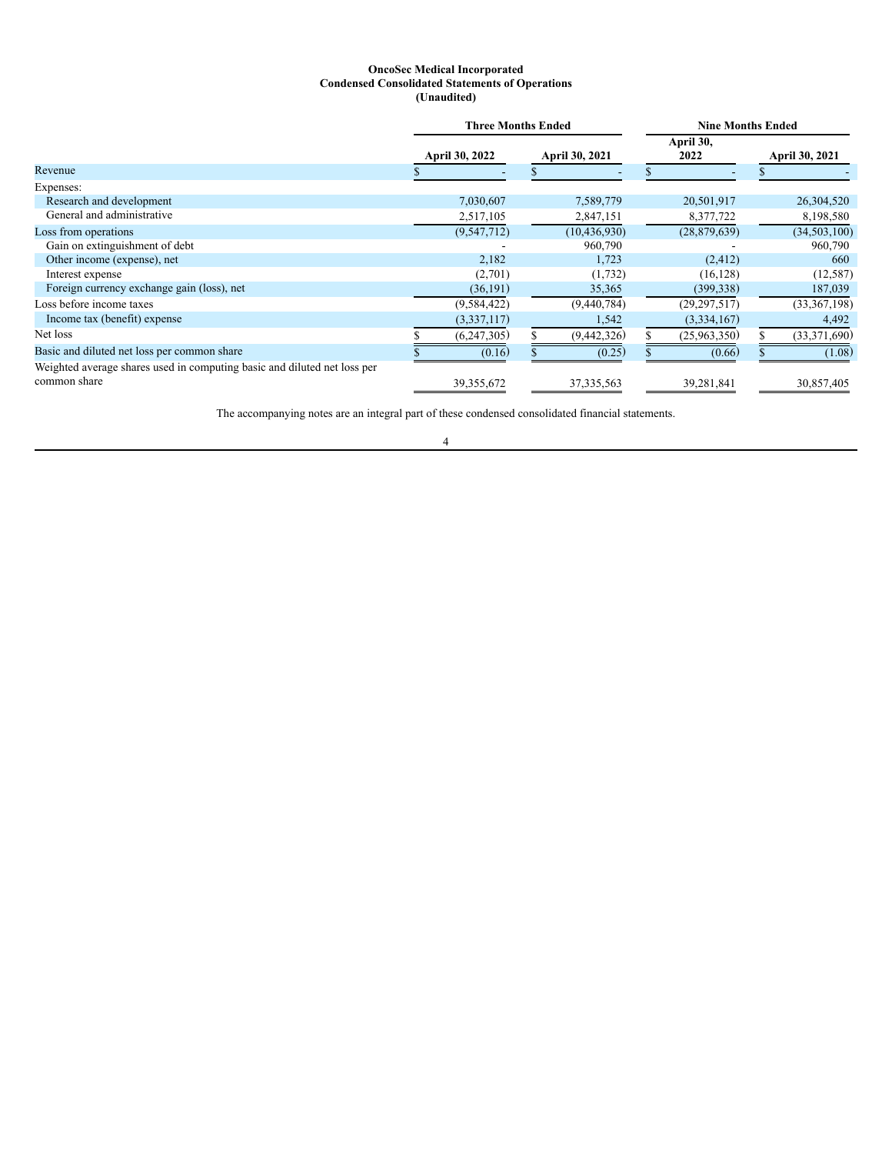## **OncoSec Medical Incorporated Condensed Consolidated Statements of Operations (Unaudited)**

<span id="page-3-0"></span>

|                                                                                          | <b>Three Months Ended</b> |                       |  |                |  | <b>Nine Months Ended</b> |  |                |  |
|------------------------------------------------------------------------------------------|---------------------------|-----------------------|--|----------------|--|--------------------------|--|----------------|--|
|                                                                                          |                           | <b>April 30, 2022</b> |  | April 30, 2021 |  | April 30,<br>2022        |  | April 30, 2021 |  |
| Revenue                                                                                  |                           |                       |  |                |  |                          |  |                |  |
| Expenses:                                                                                |                           |                       |  |                |  |                          |  |                |  |
| Research and development                                                                 |                           | 7,030,607             |  | 7,589,779      |  | 20,501,917               |  | 26,304,520     |  |
| General and administrative                                                               |                           | 2,517,105             |  | 2,847,151      |  | 8,377,722                |  | 8,198,580      |  |
| Loss from operations                                                                     |                           | (9,547,712)           |  | (10, 436, 930) |  | (28,879,639)             |  | (34, 503, 100) |  |
| Gain on extinguishment of debt                                                           |                           |                       |  | 960,790        |  |                          |  | 960,790        |  |
| Other income (expense), net                                                              |                           | 2,182                 |  | 1,723          |  | (2, 412)                 |  | 660            |  |
| Interest expense                                                                         |                           | (2,701)               |  | (1,732)        |  | (16, 128)                |  | (12, 587)      |  |
| Foreign currency exchange gain (loss), net                                               |                           | (36, 191)             |  | 35,365         |  | (399, 338)               |  | 187,039        |  |
| Loss before income taxes                                                                 |                           | (9, 584, 422)         |  | (9,440,784)    |  | (29, 297, 517)           |  | (33,367,198)   |  |
| Income tax (benefit) expense                                                             |                           | (3,337,117)           |  | 1,542          |  | (3,334,167)              |  | 4,492          |  |
| Net loss                                                                                 |                           | (6,247,305)           |  | (9,442,326)    |  | (25,963,350)             |  | (33,371,690)   |  |
| Basic and diluted net loss per common share                                              |                           | (0.16)                |  | (0.25)         |  | (0.66)                   |  | (1.08)         |  |
| Weighted average shares used in computing basic and diluted net loss per<br>common share |                           | 39,355,672            |  | 37, 335, 563   |  | 39,281,841               |  | 30,857,405     |  |

The accompanying notes are an integral part of these condensed consolidated financial statements.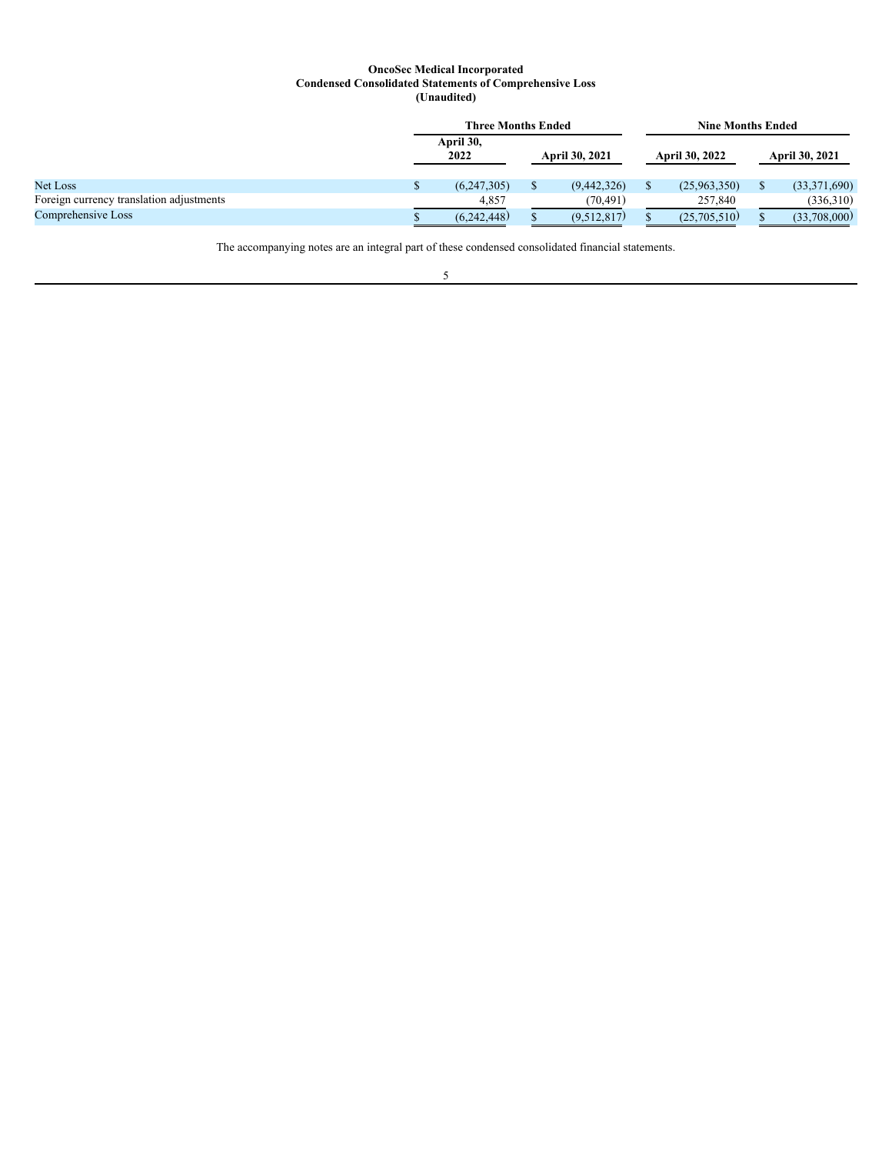## **OncoSec Medical Incorporated Condensed Consolidated Statements of Comprehensive Loss (Unaudited)**

<span id="page-4-0"></span>

|                                          | <b>Three Months Ended</b> |                   |  |                       |  | <b>Nine Months Ended</b> |  |                       |  |
|------------------------------------------|---------------------------|-------------------|--|-----------------------|--|--------------------------|--|-----------------------|--|
|                                          |                           | April 30,<br>2022 |  | <b>April 30, 2021</b> |  | <b>April 30, 2022</b>    |  | <b>April 30, 2021</b> |  |
| Net Loss                                 |                           | (6,247,305)       |  | (9,442,326)           |  | (25,963,350)             |  | (33,371,690)          |  |
| Foreign currency translation adjustments |                           | 4,857             |  | (70, 491)             |  | 257,840                  |  | (336,310)             |  |
| Comprehensive Loss                       |                           | (6,242,448)       |  | (9,512,817)           |  | (25,705,510)             |  | (33,708,000)          |  |

The accompanying notes are an integral part of these condensed consolidated financial statements.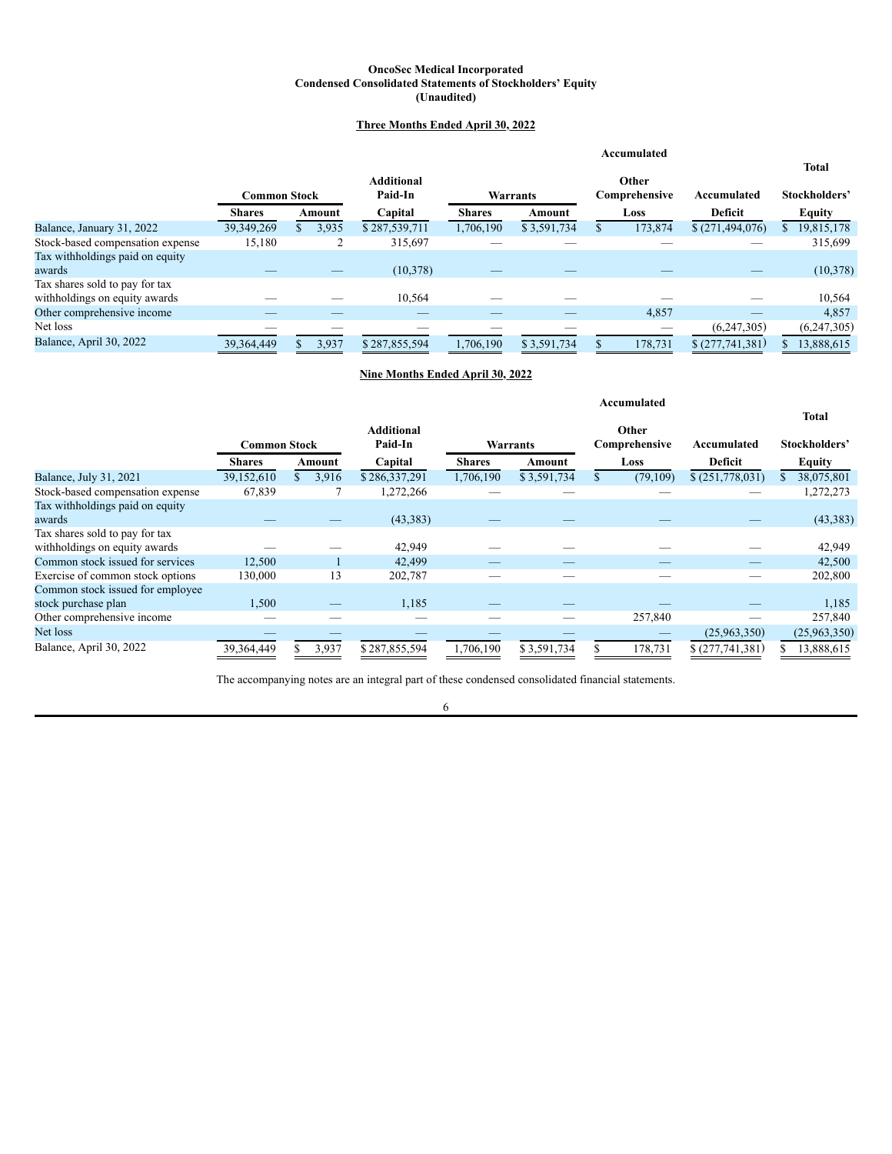## **OncoSec Medical Incorporated Condensed Consolidated Statements of Stockholders' Equity (Unaudited)**

## **Three Months Ended April 30, 2022**

<span id="page-5-0"></span>

|                                                                 |                     |        |                              |               |             | Accumulated            |                   | <b>Total</b>     |
|-----------------------------------------------------------------|---------------------|--------|------------------------------|---------------|-------------|------------------------|-------------------|------------------|
|                                                                 | <b>Common Stock</b> |        | <b>Additional</b><br>Paid-In |               | Warrants    | Other<br>Comprehensive | Accumulated       | Stockholders'    |
|                                                                 | <b>Shares</b>       | Amount | Capital                      | <b>Shares</b> | Amount      | Loss                   | Deficit           | <b>Equity</b>    |
| Balance, January 31, 2022                                       | 39,349,269          | 3,935  | \$287,539,711                | 1,706,190     | \$3,591,734 | 173,874                | \$(271, 494, 076) | 19,815,178<br>S. |
| Stock-based compensation expense                                | 15,180              |        | 315,697                      |               |             |                        |                   | 315,699          |
| Tax withholdings paid on equity<br>awards                       |                     |        | (10, 378)                    |               |             |                        |                   | (10,378)         |
| Tax shares sold to pay for tax<br>withholdings on equity awards |                     |        | 10,564                       |               |             |                        |                   | 10,564           |
| Other comprehensive income                                      |                     |        |                              |               |             | 4,857                  | —                 | 4,857            |
| Net loss                                                        |                     |        |                              |               |             |                        | (6,247,305)       | (6,247,305)      |
| Balance, April 30, 2022                                         | 39, 364, 449        | 3,937  | \$287,855,594                | .706,190      | \$3,591,734 | 178,731                | \$(277,741,381)   | 13,888,615       |

## **Nine Months Ended April 30, 2022**

|                                                                 |               |        |                   |               |             | Accumulated   |                 |               |
|-----------------------------------------------------------------|---------------|--------|-------------------|---------------|-------------|---------------|-----------------|---------------|
|                                                                 |               |        | <b>Additional</b> |               |             | Other         |                 | <b>Total</b>  |
|                                                                 | Common Stock  |        | Paid-In           |               | Warrants    | Comprehensive | Accumulated     | Stockholders' |
|                                                                 | <b>Shares</b> | Amount | Capital           | <b>Shares</b> | Amount      | Loss          | Deficit         | <b>Equity</b> |
| Balance, July 31, 2021                                          | 39,152,610    | 3,916  | \$286,337,291     | 1,706,190     | \$3,591,734 | (79, 109)     | \$(251,778,031) | 38,075,801    |
| Stock-based compensation expense                                | 67,839        |        | 1,272,266         |               |             |               |                 | 1,272,273     |
| Tax withholdings paid on equity<br>awards                       |               |        | (43, 383)         |               |             |               |                 | (43, 383)     |
| Tax shares sold to pay for tax<br>withholdings on equity awards |               |        | 42,949            |               |             |               |                 | 42,949        |
| Common stock issued for services                                | 12,500        |        | 42,499            |               |             |               |                 | 42,500        |
| Exercise of common stock options                                | 130,000       | 13     | 202,787           |               |             |               |                 | 202,800       |
| Common stock issued for employee                                |               |        |                   |               |             |               |                 |               |
| stock purchase plan                                             | 1,500         |        | 1,185             |               |             |               |                 | 1,185         |
| Other comprehensive income                                      |               |        |                   |               |             | 257,840       |                 | 257,840       |
| Net loss                                                        |               |        |                   |               |             |               | (25,963,350)    | (25,963,350)  |
| Balance, April 30, 2022                                         | 39,364,449    | 3,937  | \$287,855,594     | .706,190      | \$3,591,734 | 178,731       | \$(277,741,381) | 13,888,615    |

The accompanying notes are an integral part of these condensed consolidated financial statements.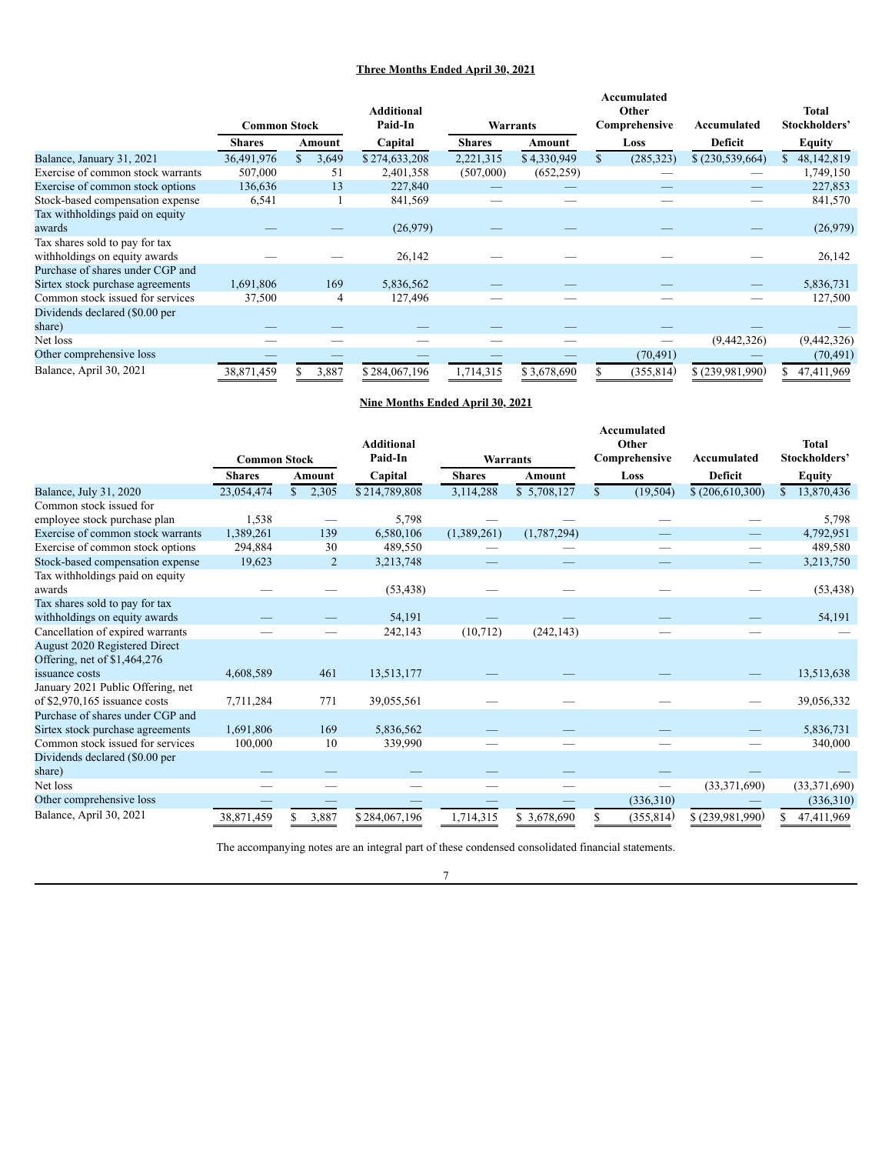## **Three Months Ended April 30, 2021**

|                                                                      | <b>Common Stock</b> |        | <b>Additional</b><br>Paid-In |               | Warrants    | <b>Accumulated</b><br>Other<br>Comprehensive | Accumulated       | <b>Total</b><br>Stockholders' |
|----------------------------------------------------------------------|---------------------|--------|------------------------------|---------------|-------------|----------------------------------------------|-------------------|-------------------------------|
|                                                                      | <b>Shares</b>       | Amount | Capital                      | <b>Shares</b> | Amount      | Loss                                         | <b>Deficit</b>    | Equity                        |
| Balance, January 31, 2021                                            | 36,491,976          | 3,649  | \$274,633,208                | 2,221,315     | \$4,330,949 | (285, 323)                                   | \$(230, 539, 664) | 48,142,819                    |
| Exercise of common stock warrants                                    | 507,000             | 51     | 2,401,358                    | (507,000)     | (652, 259)  |                                              |                   | 1,749,150                     |
| Exercise of common stock options                                     | 136,636             | 13     | 227,840                      |               |             |                                              |                   | 227,853                       |
| Stock-based compensation expense                                     | 6,541               |        | 841,569                      |               |             |                                              |                   | 841,570                       |
| Tax withholdings paid on equity<br>awards                            |                     |        | (26,979)                     |               |             |                                              |                   | (26,979)                      |
| Tax shares sold to pay for tax<br>withholdings on equity awards      |                     |        | 26,142                       |               |             |                                              |                   | 26,142                        |
| Purchase of shares under CGP and<br>Sirtex stock purchase agreements | 1,691,806           | 169    | 5,836,562                    |               |             |                                              |                   | 5,836,731                     |
| Common stock issued for services                                     | 37,500              | 4      | 127,496                      |               |             |                                              |                   | 127,500                       |
| Dividends declared (\$0.00 per<br>share)                             |                     |        |                              |               |             |                                              |                   |                               |
| Net loss                                                             |                     |        |                              |               |             |                                              | (9,442,326)       | (9,442,326)                   |
| Other comprehensive loss                                             |                     |        |                              |               |             | (70, 491)                                    |                   | (70, 491)                     |
| Balance, April 30, 2021                                              | 38,871,459          | 3,887  | \$284,067,196                | 1,714,315     | \$3,678,690 | (355, 814)                                   | \$(239,981,990)   | 47,411,969                    |

## **Nine Months Ended April 30, 2021**

|                                                                 | <b>Common Stock</b> |                       | <b>Additional</b><br>Paid-In | <b>Warrants</b> |               | Accumulated<br>Other<br>Comprehensive |            | Accumulated      | <b>Total</b><br>Stockholders' |
|-----------------------------------------------------------------|---------------------|-----------------------|------------------------------|-----------------|---------------|---------------------------------------|------------|------------------|-------------------------------|
|                                                                 | <b>Shares</b>       | <b>Amount</b>         | Capital                      | <b>Shares</b>   | <b>Amount</b> | Loss                                  |            | <b>Deficit</b>   | <b>Equity</b>                 |
| Balance, July 31, 2020                                          | 23,054,474          | 2,305<br>$\mathbb{S}$ | \$214,789,808                | 3,114,288       | \$5,708,127   | $\mathbb{S}$                          | (19, 504)  | \$ (206,610,300) | 13,870,436<br>\$              |
| Common stock issued for                                         |                     |                       |                              |                 |               |                                       |            |                  |                               |
| employee stock purchase plan                                    | 1,538               |                       | 5,798                        |                 |               |                                       |            |                  | 5,798                         |
| Exercise of common stock warrants                               | 1,389,261           | 139                   | 6,580,106                    | (1,389,261)     | (1,787,294)   |                                       |            |                  | 4,792,951                     |
| Exercise of common stock options                                | 294,884             | 30                    | 489,550                      |                 |               |                                       |            |                  | 489,580                       |
| Stock-based compensation expense                                | 19,623              | $\overline{2}$        | 3,213,748                    |                 |               |                                       |            | —                | 3,213,750                     |
| Tax withholdings paid on equity<br>awards                       |                     |                       | (53, 438)                    |                 |               |                                       |            |                  | (53, 438)                     |
| Tax shares sold to pay for tax<br>withholdings on equity awards |                     |                       | 54,191                       |                 |               |                                       |            |                  | 54,191                        |
| Cancellation of expired warrants                                |                     |                       | 242,143                      | (10,712)        | (242, 143)    |                                       |            |                  |                               |
| August 2020 Registered Direct<br>Offering, net of \$1,464,276   |                     |                       |                              |                 |               |                                       |            |                  |                               |
| issuance costs                                                  | 4,608,589           | 461                   | 13,513,177                   |                 |               |                                       |            |                  | 13,513,638                    |
| January 2021 Public Offering, net                               |                     |                       |                              |                 |               |                                       |            |                  |                               |
| of $$2,970,165$ issuance costs                                  | 7,711,284           | 771                   | 39,055,561                   |                 |               |                                       |            |                  | 39,056,332                    |
| Purchase of shares under CGP and                                |                     |                       |                              |                 |               |                                       |            |                  |                               |
| Sirtex stock purchase agreements                                | 1,691,806           | 169                   | 5,836,562                    |                 |               |                                       |            |                  | 5,836,731                     |
| Common stock issued for services                                | 100,000             | 10                    | 339,990                      |                 |               |                                       |            |                  | 340,000                       |
| Dividends declared (\$0.00 per<br>share)                        |                     |                       |                              |                 |               |                                       |            |                  |                               |
| Net loss                                                        |                     |                       |                              |                 |               |                                       |            | (33,371,690)     | (33,371,690)                  |
| Other comprehensive loss                                        |                     |                       |                              |                 |               |                                       | (336,310)  |                  | (336,310)                     |
| Balance, April 30, 2021                                         | 38,871,459          | 3,887                 | \$284,067,196                | 1,714,315       | \$3,678,690   |                                       | (355, 814) | \$(239,981,990)  | 47,411,969                    |

The accompanying notes are an integral part of these condensed consolidated financial statements.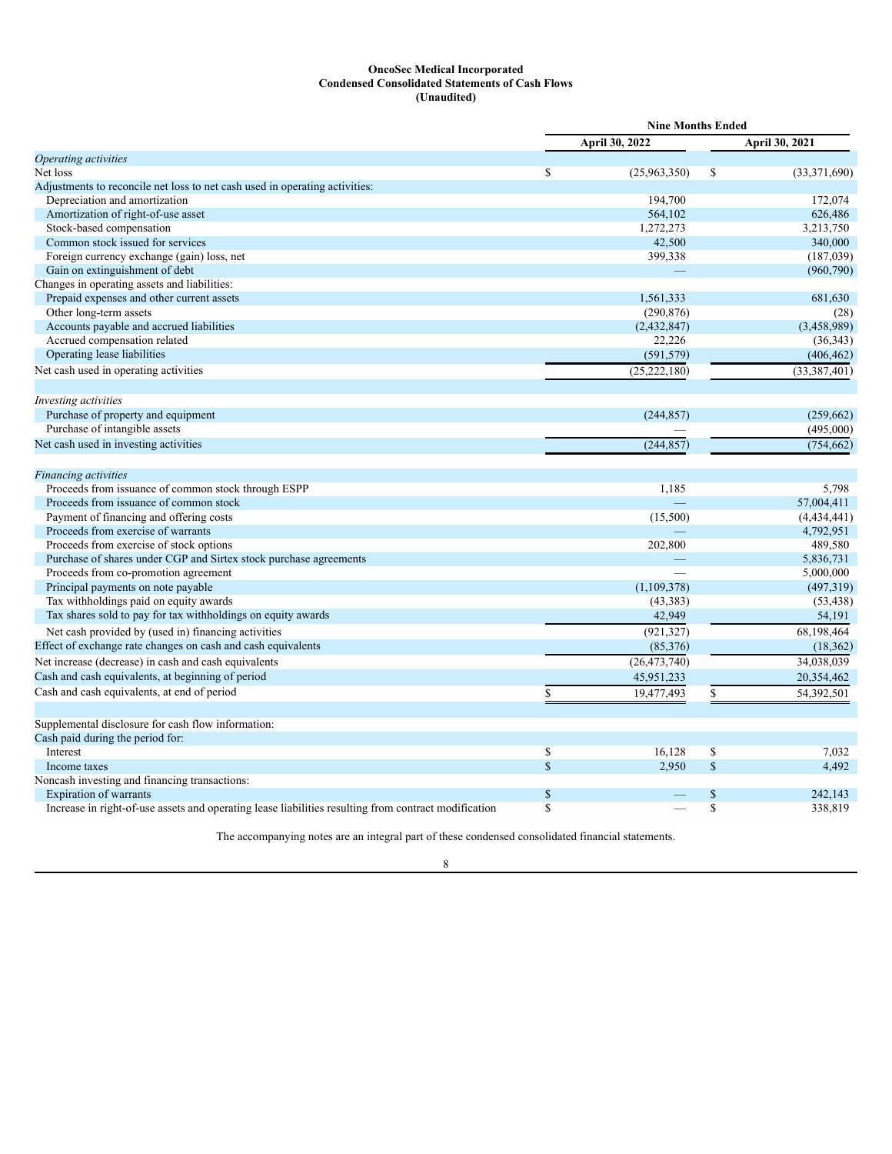## **OncoSec Medical Incorporated Condensed Consolidated Statements of Cash Flows (Unaudited)**

<span id="page-7-0"></span>

|                                                                                                      | <b>Nine Months Ended</b> |                |               |                |
|------------------------------------------------------------------------------------------------------|--------------------------|----------------|---------------|----------------|
|                                                                                                      |                          | April 30, 2022 |               | April 30, 2021 |
| Operating activities                                                                                 |                          |                |               |                |
| Net loss                                                                                             | $\mathbf S$              | (25,963,350)   | <sup>\$</sup> | (33,371,690)   |
| Adjustments to reconcile net loss to net cash used in operating activities:                          |                          |                |               |                |
| Depreciation and amortization                                                                        |                          | 194,700        |               | 172,074        |
| Amortization of right-of-use asset                                                                   |                          | 564,102        |               | 626,486        |
| Stock-based compensation                                                                             |                          | 1,272,273      |               | 3,213,750      |
| Common stock issued for services                                                                     |                          | 42,500         |               | 340,000        |
| Foreign currency exchange (gain) loss, net                                                           |                          | 399,338        |               | (187,039)      |
| Gain on extinguishment of debt                                                                       |                          |                |               | (960, 790)     |
| Changes in operating assets and liabilities:                                                         |                          |                |               |                |
| Prepaid expenses and other current assets                                                            |                          | 1.561.333      |               | 681,630        |
| Other long-term assets                                                                               |                          | (290, 876)     |               | (28)           |
| Accounts payable and accrued liabilities                                                             |                          | (2,432,847)    |               | (3,458,989)    |
| Accrued compensation related                                                                         |                          | 22,226         |               | (36, 343)      |
| Operating lease liabilities                                                                          |                          | (591, 579)     |               | (406, 462)     |
| Net cash used in operating activities                                                                |                          | (25, 222, 180) |               | (33, 387, 401) |
|                                                                                                      |                          |                |               |                |
| Investing activities                                                                                 |                          |                |               |                |
| Purchase of property and equipment                                                                   |                          | (244, 857)     |               | (259, 662)     |
| Purchase of intangible assets                                                                        |                          |                |               | (495,000)      |
| Net cash used in investing activities                                                                |                          | (244, 857)     |               | (754, 662)     |
| Financing activities                                                                                 |                          |                |               |                |
| Proceeds from issuance of common stock through ESPP                                                  |                          | 1,185          |               | 5,798          |
| Proceeds from issuance of common stock                                                               |                          |                |               | 57,004,411     |
| Payment of financing and offering costs                                                              |                          | (15,500)       |               | (4,434,441)    |
| Proceeds from exercise of warrants                                                                   |                          |                |               | 4,792,951      |
| Proceeds from exercise of stock options                                                              |                          | 202,800        |               | 489,580        |
| Purchase of shares under CGP and Sirtex stock purchase agreements                                    |                          |                |               | 5,836,731      |
| Proceeds from co-promotion agreement                                                                 |                          |                |               | 5,000,000      |
| Principal payments on note payable                                                                   |                          | (1,109,378)    |               | (497,319)      |
| Tax withholdings paid on equity awards                                                               |                          | (43, 383)      |               | (53, 438)      |
| Tax shares sold to pay for tax withholdings on equity awards                                         |                          | 42,949         |               | 54,191         |
|                                                                                                      |                          | (921, 327)     |               | 68,198,464     |
| Net cash provided by (used in) financing activities                                                  |                          |                |               |                |
| Effect of exchange rate changes on cash and cash equivalents                                         |                          | (85,376)       |               | (18, 362)      |
| Net increase (decrease) in cash and cash equivalents                                                 |                          | (26, 473, 740) |               | 34,038,039     |
| Cash and cash equivalents, at beginning of period                                                    |                          | 45,951,233     |               | 20,354,462     |
| Cash and cash equivalents, at end of period                                                          | \$                       | 19,477,493     | \$            | 54,392,501     |
| Supplemental disclosure for cash flow information:                                                   |                          |                |               |                |
| Cash paid during the period for:                                                                     |                          |                |               |                |
| Interest                                                                                             | \$                       | 16,128         | \$            | 7,032          |
| Income taxes                                                                                         | $\mathbf{\hat{s}}$       | 2,950          | \$            | 4,492          |
| Noncash investing and financing transactions:                                                        |                          |                |               |                |
| <b>Expiration of warrants</b>                                                                        | $\mathbb{S}$             |                | \$            | 242,143        |
| Increase in right-of-use assets and operating lease liabilities resulting from contract modification | \$                       |                | \$            | 338,819        |
|                                                                                                      |                          |                |               |                |

The accompanying notes are an integral part of these condensed consolidated financial statements.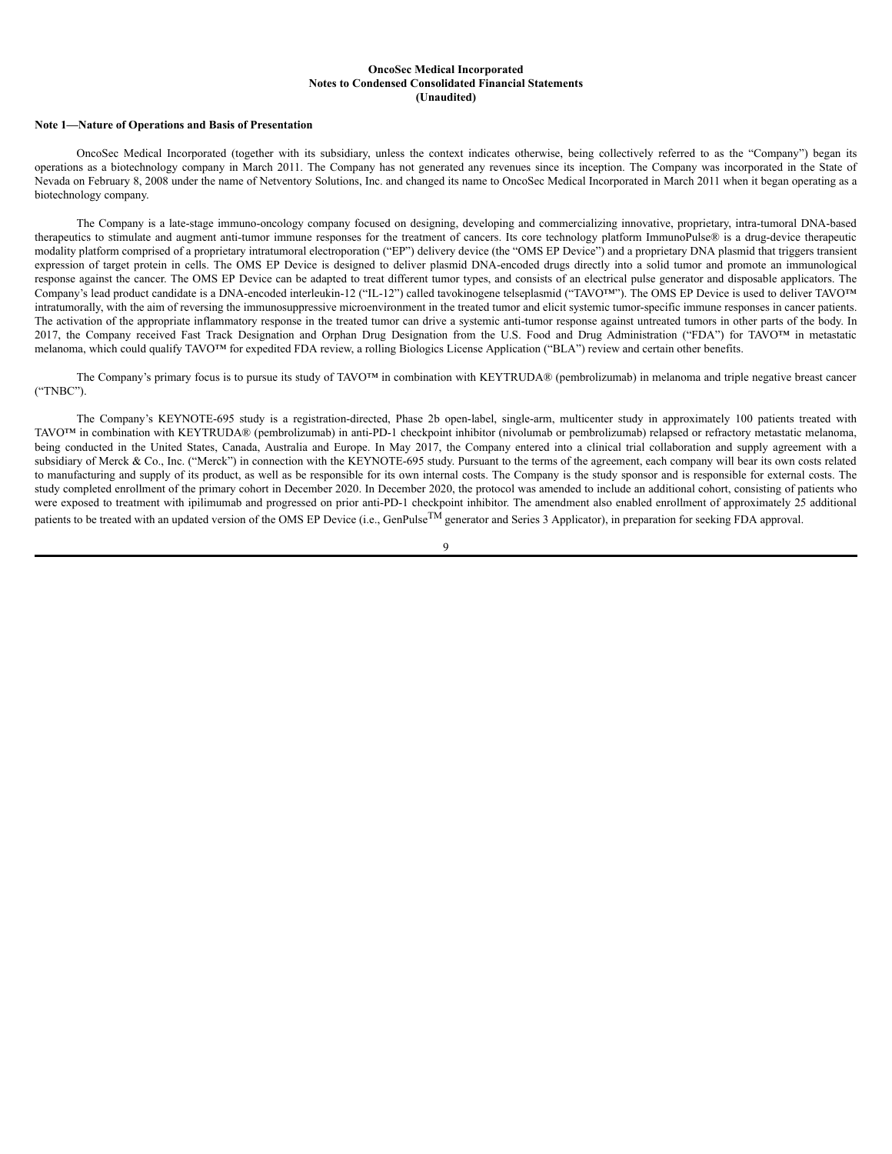## **OncoSec Medical Incorporated Notes to Condensed Consolidated Financial Statements (Unaudited)**

#### <span id="page-8-0"></span>**Note 1—Nature of Operations and Basis of Presentation**

OncoSec Medical Incorporated (together with its subsidiary, unless the context indicates otherwise, being collectively referred to as the "Company") began its operations as a biotechnology company in March 2011. The Company has not generated any revenues since its inception. The Company was incorporated in the State of Nevada on February 8, 2008 under the name of Netventory Solutions, Inc. and changed its name to OncoSec Medical Incorporated in March 2011 when it began operating as a biotechnology company.

The Company is a late-stage immuno-oncology company focused on designing, developing and commercializing innovative, proprietary, intra-tumoral DNA-based therapeutics to stimulate and augment anti-tumor immune responses for the treatment of cancers. Its core technology platform ImmunoPulse® is a drug-device therapeutic modality platform comprised of a proprietary intratumoral electroporation ("EP") delivery device (the "OMS EP Device") and a proprietary DNA plasmid that triggers transient expression of target protein in cells. The OMS EP Device is designed to deliver plasmid DNA-encoded drugs directly into a solid tumor and promote an immunological response against the cancer. The OMS EP Device can be adapted to treat different tumor types, and consists of an electrical pulse generator and disposable applicators. The Company's lead product candidate is a DNA-encoded interleukin-12 ("IL-12") called tavokinogene telseplasmid ("TAVO™"). The OMS EP Device is used to deliver TAVO™ intratumorally, with the aim of reversing the immunosuppressive microenvironment in the treated tumor and elicit systemic tumor-specific immune responses in cancer patients. The activation of the appropriate inflammatory response in the treated tumor can drive a systemic anti-tumor response against untreated tumors in other parts of the body. In 2017, the Company received Fast Track Designation and Orphan Drug Designation from the U.S. Food and Drug Administration ("FDA") for TAVO™ in metastatic melanoma, which could qualify TAVO™ for expedited FDA review, a rolling Biologics License Application ("BLA") review and certain other benefits.

The Company's primary focus is to pursue its study of TAVO<sup>™</sup> in combination with KEYTRUDA® (pembrolizumab) in melanoma and triple negative breast cancer ("TNBC").

The Company's KEYNOTE-695 study is a registration-directed, Phase 2b open-label, single-arm, multicenter study in approximately 100 patients treated with TAVO™ in combination with KEYTRUDA® (pembrolizumab) in anti-PD-1 checkpoint inhibitor (nivolumab or pembrolizumab) relapsed or refractory metastatic melanoma, being conducted in the United States, Canada, Australia and Europe. In May 2017, the Company entered into a clinical trial collaboration and supply agreement with a subsidiary of Merck & Co., Inc. ("Merck") in connection with the KEYNOTE-695 study. Pursuant to the terms of the agreement, each company will bear its own costs related to manufacturing and supply of its product, as well as be responsible for its own internal costs. The Company is the study sponsor and is responsible for external costs. The study completed enrollment of the primary cohort in December 2020. In December 2020, the protocol was amended to include an additional cohort, consisting of patients who were exposed to treatment with ipilimumab and progressed on prior anti-PD-1 checkpoint inhibitor. The amendment also enabled enrollment of approximately 25 additional patients to be treated with an updated version of the OMS EP Device (i.e., GenPulse<sup>TM</sup> generator and Series 3 Applicator), in preparation for seeking FDA approval.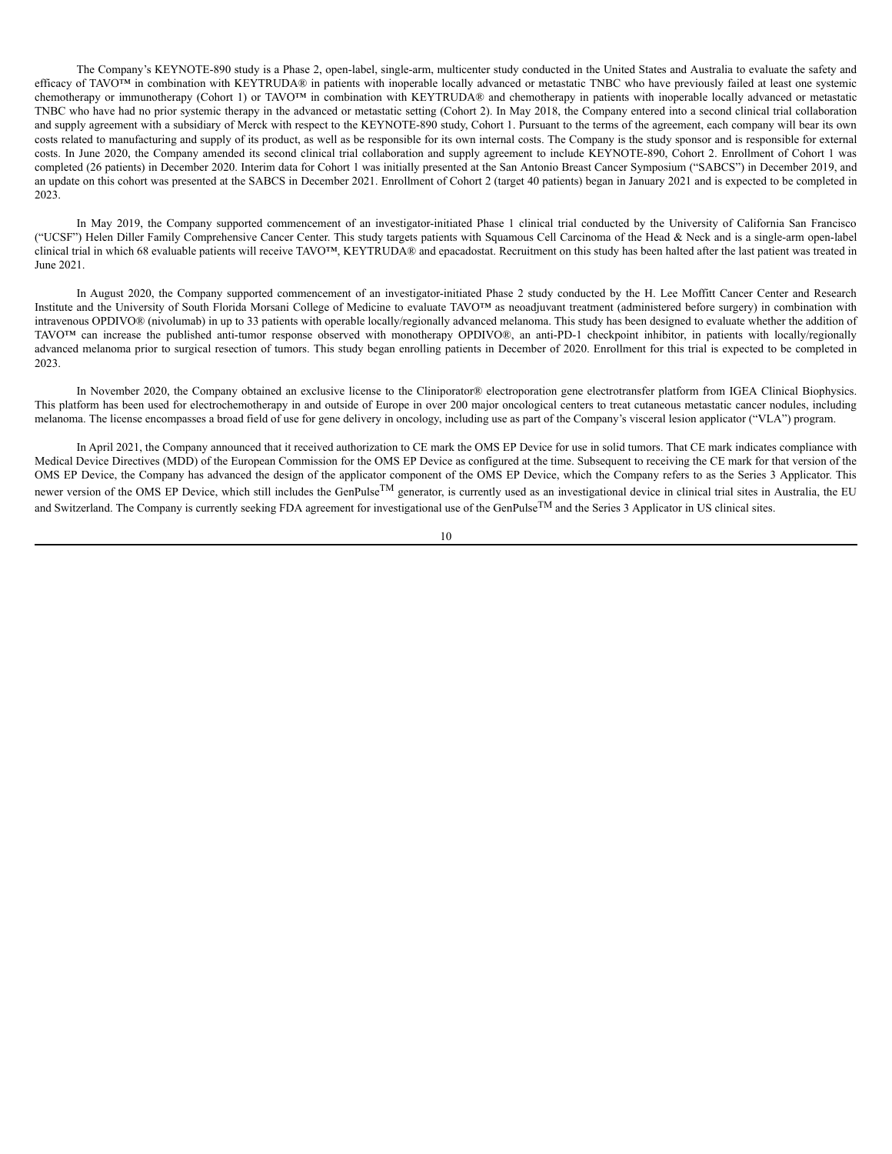The Company's KEYNOTE-890 study is a Phase 2, open-label, single-arm, multicenter study conducted in the United States and Australia to evaluate the safety and efficacy of TAVO™ in combination with KEYTRUDA® in patients with inoperable locally advanced or metastatic TNBC who have previously failed at least one systemic chemotherapy or immunotherapy (Cohort 1) or TAVO<sup>™</sup> in combination with KEYTRUDA® and chemotherapy in patients with inoperable locally advanced or metastatic TNBC who have had no prior systemic therapy in the advanced or metastatic setting (Cohort 2). In May 2018, the Company entered into a second clinical trial collaboration and supply agreement with a subsidiary of Merck with respect to the KEYNOTE-890 study, Cohort 1. Pursuant to the terms of the agreement, each company will bear its own costs related to manufacturing and supply of its product, as well as be responsible for its own internal costs. The Company is the study sponsor and is responsible for external costs. In June 2020, the Company amended its second clinical trial collaboration and supply agreement to include KEYNOTE-890, Cohort 2. Enrollment of Cohort 1 was completed (26 patients) in December 2020. Interim data for Cohort 1 was initially presented at the San Antonio Breast Cancer Symposium ("SABCS") in December 2019, and an update on this cohort was presented at the SABCS in December 2021. Enrollment of Cohort 2 (target 40 patients) began in January 2021 and is expected to be completed in 2023.

In May 2019, the Company supported commencement of an investigator-initiated Phase 1 clinical trial conducted by the University of California San Francisco ("UCSF") Helen Diller Family Comprehensive Cancer Center. This study targets patients with Squamous Cell Carcinoma of the Head & Neck and is a single-arm open-label clinical trial in which 68 evaluable patients will receive TAVO™, KEYTRUDA® and epacadostat. Recruitment on this study has been halted after the last patient was treated in June 2021.

In August 2020, the Company supported commencement of an investigator-initiated Phase 2 study conducted by the H. Lee Moffitt Cancer Center and Research Institute and the University of South Florida Morsani College of Medicine to evaluate TAVO™ as neoadjuvant treatment (administered before surgery) in combination with intravenous OPDIVO® (nivolumab) in up to 33 patients with operable locally/regionally advanced melanoma. This study has been designed to evaluate whether the addition of TAVO™ can increase the published anti-tumor response observed with monotherapy OPDIVO®, an anti-PD-1 checkpoint inhibitor, in patients with locally/regionally advanced melanoma prior to surgical resection of tumors. This study began enrolling patients in December of 2020. Enrollment for this trial is expected to be completed in 2023.

In November 2020, the Company obtained an exclusive license to the Cliniporator® electroporation gene electrotransfer platform from IGEA Clinical Biophysics. This platform has been used for electrochemotherapy in and outside of Europe in over 200 major oncological centers to treat cutaneous metastatic cancer nodules, including melanoma. The license encompasses a broad field of use for gene delivery in oncology, including use as part of the Company's visceral lesion applicator ("VLA") program.

In April 2021, the Company announced that it received authorization to CE mark the OMS EP Device for use in solid tumors. That CE mark indicates compliance with Medical Device Directives (MDD) of the European Commission for the OMS EP Device as configured at the time. Subsequent to receiving the CE mark for that version of the OMS EP Device, the Company has advanced the design of the applicator component of the OMS EP Device, which the Company refers to as the Series 3 Applicator. This newer version of the OMS EP Device, which still includes the GenPulse<sup>TM</sup> generator, is currently used as an investigational device in clinical trial sites in Australia, the EU and Switzerland. The Company is currently seeking FDA agreement for investigational use of the GenPulse<sup>TM</sup> and the Series 3 Applicator in US clinical sites.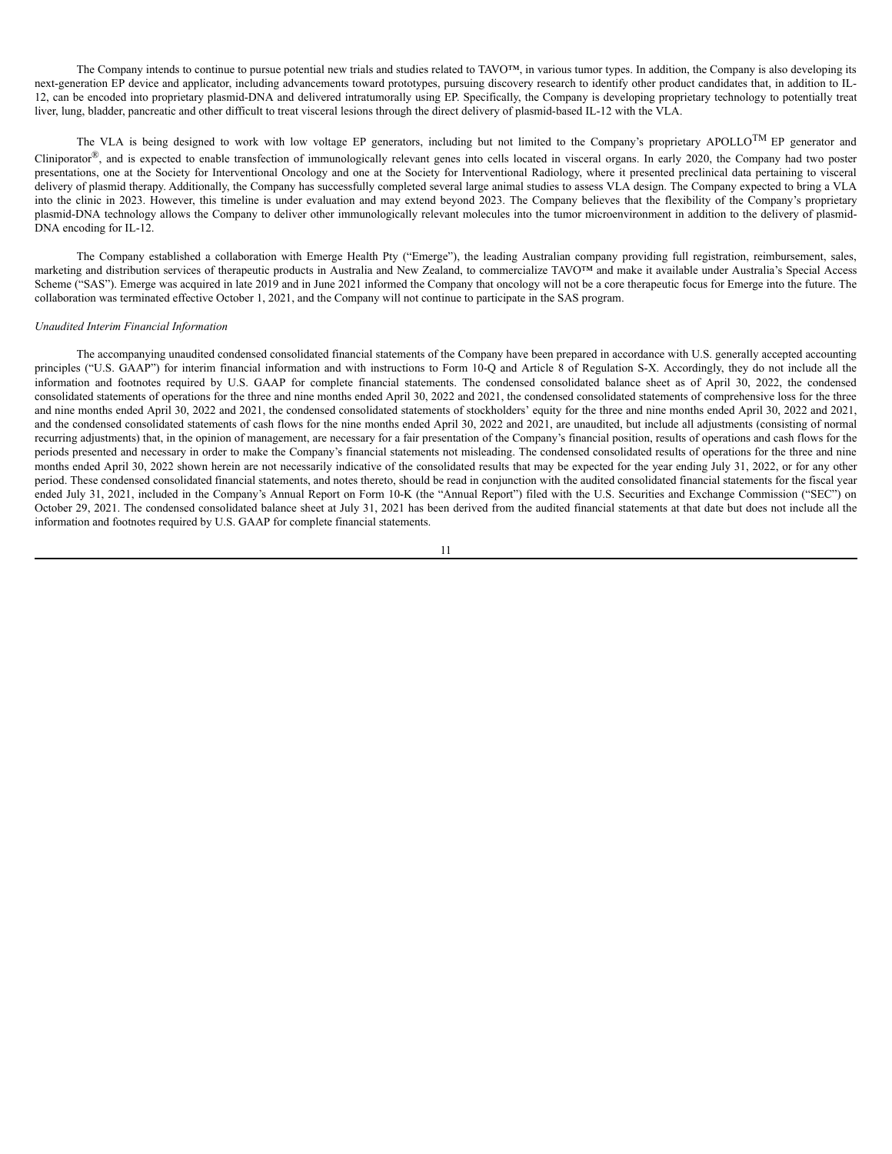The Company intends to continue to pursue potential new trials and studies related to TAVO™, in various tumor types. In addition, the Company is also developing its next-generation EP device and applicator, including advancements toward prototypes, pursuing discovery research to identify other product candidates that, in addition to IL-12, can be encoded into proprietary plasmid-DNA and delivered intratumorally using EP. Specifically, the Company is developing proprietary technology to potentially treat liver, lung, bladder, pancreatic and other difficult to treat visceral lesions through the direct delivery of plasmid-based IL-12 with the VLA.

The VLA is being designed to work with low voltage EP generators, including but not limited to the Company's proprietary APOLLO<sup>TM</sup> EP generator and Cliniporator<sup>®</sup>, and is expected to enable transfection of immunologically relevant genes into cells located in visceral organs. In early 2020, the Company had two poster presentations, one at the Society for Interventional Oncology and one at the Society for Interventional Radiology, where it presented preclinical data pertaining to visceral delivery of plasmid therapy. Additionally, the Company has successfully completed several large animal studies to assess VLA design. The Company expected to bring a VLA into the clinic in 2023. However, this timeline is under evaluation and may extend beyond 2023. The Company believes that the flexibility of the Company's proprietary plasmid-DNA technology allows the Company to deliver other immunologically relevant molecules into the tumor microenvironment in addition to the delivery of plasmid-DNA encoding for IL-12.

The Company established a collaboration with Emerge Health Pty ("Emerge"), the leading Australian company providing full registration, reimbursement, sales, marketing and distribution services of therapeutic products in Australia and New Zealand, to commercialize TAVO™ and make it available under Australia's Special Access Scheme ("SAS"). Emerge was acquired in late 2019 and in June 2021 informed the Company that oncology will not be a core therapeutic focus for Emerge into the future. The collaboration was terminated effective October 1, 2021, and the Company will not continue to participate in the SAS program.

## *Unaudited Interim Financial Information*

The accompanying unaudited condensed consolidated financial statements of the Company have been prepared in accordance with U.S. generally accepted accounting principles ("U.S. GAAP") for interim financial information and with instructions to Form 10-Q and Article 8 of Regulation S-X. Accordingly, they do not include all the information and footnotes required by U.S. GAAP for complete financial statements. The condensed consolidated balance sheet as of April 30, 2022, the condensed consolidated statements of operations for the three and nine months ended April 30, 2022 and 2021, the condensed consolidated statements of comprehensive loss for the three and nine months ended April 30, 2022 and 2021, the condensed consolidated statements of stockholders' equity for the three and nine months ended April 30, 2022 and 2021, and the condensed consolidated statements of cash flows for the nine months ended April 30, 2022 and 2021, are unaudited, but include all adjustments (consisting of normal recurring adjustments) that, in the opinion of management, are necessary for a fair presentation of the Company's financial position, results of operations and cash flows for the periods presented and necessary in order to make the Company's financial statements not misleading. The condensed consolidated results of operations for the three and nine months ended April 30, 2022 shown herein are not necessarily indicative of the consolidated results that may be expected for the year ending July 31, 2022, or for any other period. These condensed consolidated financial statements, and notes thereto, should be read in conjunction with the audited consolidated financial statements for the fiscal year ended July 31, 2021, included in the Company's Annual Report on Form 10-K (the "Annual Report") filed with the U.S. Securities and Exchange Commission ("SEC") on October 29, 2021. The condensed consolidated balance sheet at July 31, 2021 has been derived from the audited financial statements at that date but does not include all the information and footnotes required by U.S. GAAP for complete financial statements.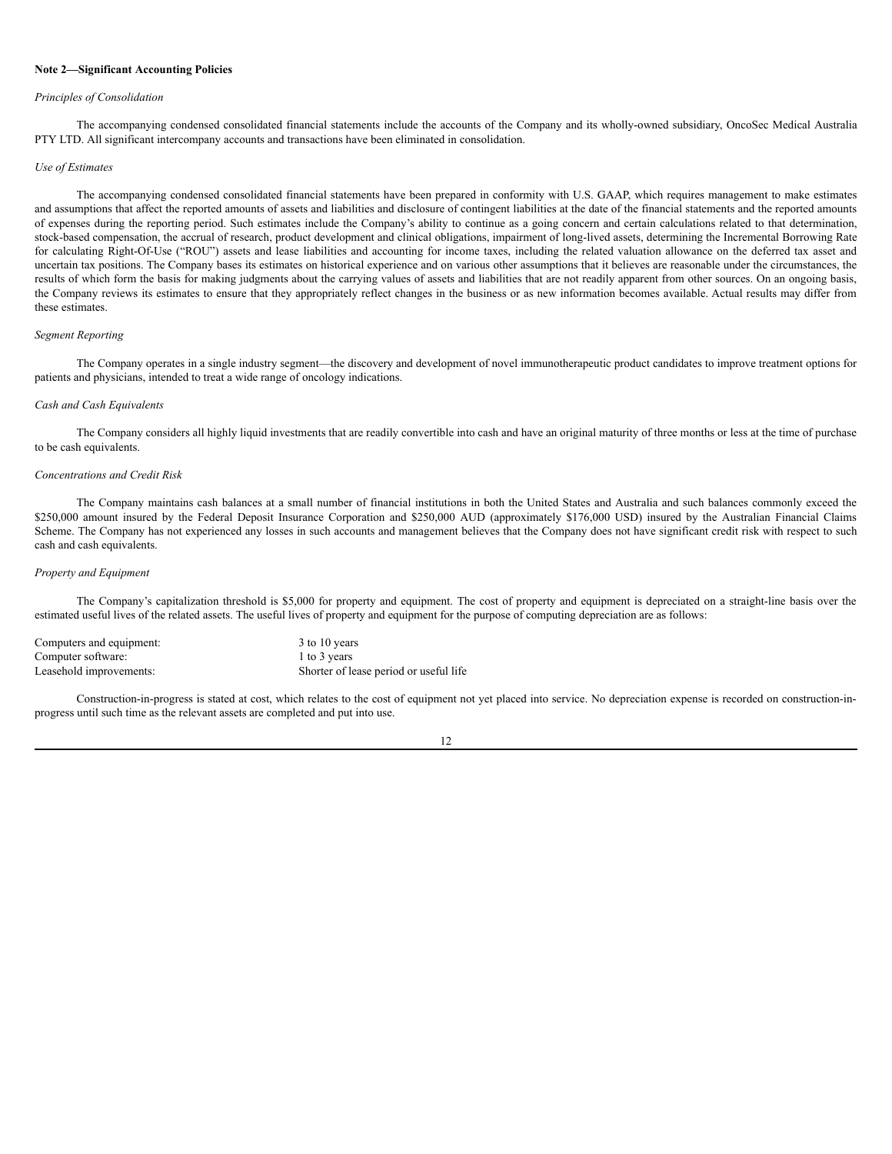## **Note 2—Significant Accounting Policies**

#### *Principles of Consolidation*

The accompanying condensed consolidated financial statements include the accounts of the Company and its wholly-owned subsidiary, OncoSec Medical Australia PTY LTD. All significant intercompany accounts and transactions have been eliminated in consolidation.

#### *Use of Estimates*

The accompanying condensed consolidated financial statements have been prepared in conformity with U.S. GAAP, which requires management to make estimates and assumptions that affect the reported amounts of assets and liabilities and disclosure of contingent liabilities at the date of the financial statements and the reported amounts of expenses during the reporting period. Such estimates include the Company's ability to continue as a going concern and certain calculations related to that determination, stock-based compensation, the accrual of research, product development and clinical obligations, impairment of long-lived assets, determining the Incremental Borrowing Rate for calculating Right-Of-Use ("ROU") assets and lease liabilities and accounting for income taxes, including the related valuation allowance on the deferred tax asset and uncertain tax positions. The Company bases its estimates on historical experience and on various other assumptions that it believes are reasonable under the circumstances, the results of which form the basis for making judgments about the carrying values of assets and liabilities that are not readily apparent from other sources. On an ongoing basis, the Company reviews its estimates to ensure that they appropriately reflect changes in the business or as new information becomes available. Actual results may differ from these estimates.

#### *Segment Reporting*

The Company operates in a single industry segment—the discovery and development of novel immunotherapeutic product candidates to improve treatment options for patients and physicians, intended to treat a wide range of oncology indications.

## *Cash and Cash Equivalents*

The Company considers all highly liquid investments that are readily convertible into cash and have an original maturity of three months or less at the time of purchase to be cash equivalents.

## *Concentrations and Credit Risk*

The Company maintains cash balances at a small number of financial institutions in both the United States and Australia and such balances commonly exceed the \$250,000 amount insured by the Federal Deposit Insurance Corporation and \$250,000 AUD (approximately \$176,000 USD) insured by the Australian Financial Claims Scheme. The Company has not experienced any losses in such accounts and management believes that the Company does not have significant credit risk with respect to such cash and cash equivalents.

#### *Property and Equipment*

The Company's capitalization threshold is \$5,000 for property and equipment. The cost of property and equipment is depreciated on a straight-line basis over the estimated useful lives of the related assets. The useful lives of property and equipment for the purpose of computing depreciation are as follows:

| Computers and equipment: | 3 to 10 years                          |
|--------------------------|----------------------------------------|
| Computer software:       | 1 to 3 years                           |
| Leasehold improvements:  | Shorter of lease period or useful life |

Construction-in-progress is stated at cost, which relates to the cost of equipment not yet placed into service. No depreciation expense is recorded on construction-inprogress until such time as the relevant assets are completed and put into use.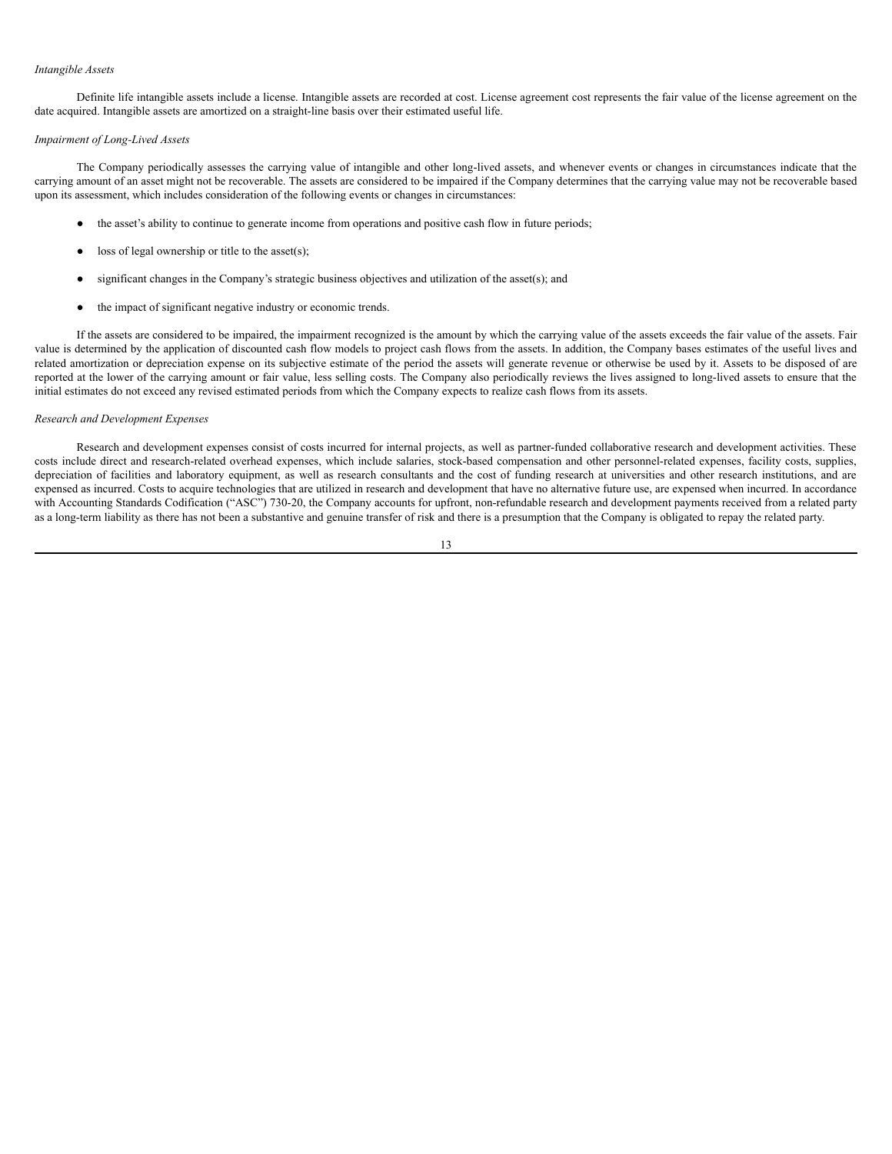## *Intangible Assets*

Definite life intangible assets include a license. Intangible assets are recorded at cost. License agreement cost represents the fair value of the license agreement on the date acquired. Intangible assets are amortized on a straight-line basis over their estimated useful life.

### *Impairment of Long-Lived Assets*

The Company periodically assesses the carrying value of intangible and other long-lived assets, and whenever events or changes in circumstances indicate that the carrying amount of an asset might not be recoverable. The assets are considered to be impaired if the Company determines that the carrying value may not be recoverable based upon its assessment, which includes consideration of the following events or changes in circumstances:

- the asset's ability to continue to generate income from operations and positive cash flow in future periods;
- loss of legal ownership or title to the asset $(s)$ ;
- significant changes in the Company's strategic business objectives and utilization of the asset(s); and
- the impact of significant negative industry or economic trends.

If the assets are considered to be impaired, the impairment recognized is the amount by which the carrying value of the assets exceeds the fair value of the assets. Fair value is determined by the application of discounted cash flow models to project cash flows from the assets. In addition, the Company bases estimates of the useful lives and related amortization or depreciation expense on its subjective estimate of the period the assets will generate revenue or otherwise be used by it. Assets to be disposed of are reported at the lower of the carrying amount or fair value, less selling costs. The Company also periodically reviews the lives assigned to long-lived assets to ensure that the initial estimates do not exceed any revised estimated periods from which the Company expects to realize cash flows from its assets.

#### *Research and Development Expenses*

Research and development expenses consist of costs incurred for internal projects, as well as partner-funded collaborative research and development activities. These costs include direct and research-related overhead expenses, which include salaries, stock-based compensation and other personnel-related expenses, facility costs, supplies, depreciation of facilities and laboratory equipment, as well as research consultants and the cost of funding research at universities and other research institutions, and are expensed as incurred. Costs to acquire technologies that are utilized in research and development that have no alternative future use, are expensed when incurred. In accordance with Accounting Standards Codification ("ASC") 730-20, the Company accounts for upfront, non-refundable research and development payments received from a related party as a long-term liability as there has not been a substantive and genuine transfer of risk and there is a presumption that the Company is obligated to repay the related party.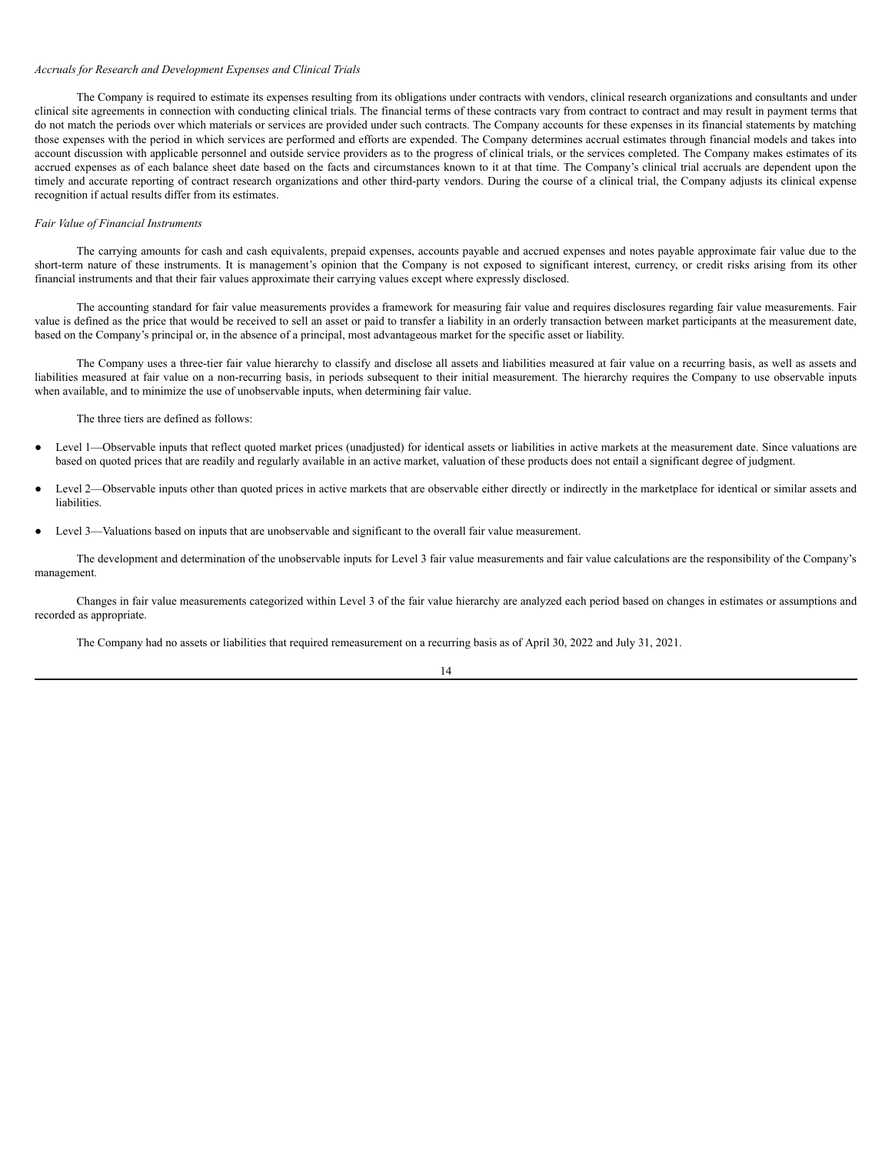## *Accruals for Research and Development Expenses and Clinical Trials*

The Company is required to estimate its expenses resulting from its obligations under contracts with vendors, clinical research organizations and consultants and under clinical site agreements in connection with conducting clinical trials. The financial terms of these contracts vary from contract to contract and may result in payment terms that do not match the periods over which materials or services are provided under such contracts. The Company accounts for these expenses in its financial statements by matching those expenses with the period in which services are performed and efforts are expended. The Company determines accrual estimates through financial models and takes into account discussion with applicable personnel and outside service providers as to the progress of clinical trials, or the services completed. The Company makes estimates of its accrued expenses as of each balance sheet date based on the facts and circumstances known to it at that time. The Company's clinical trial accruals are dependent upon the timely and accurate reporting of contract research organizations and other third-party vendors. During the course of a clinical trial, the Company adjusts its clinical expense recognition if actual results differ from its estimates.

## *Fair Value of Financial Instruments*

The carrying amounts for cash and cash equivalents, prepaid expenses, accounts payable and accrued expenses and notes payable approximate fair value due to the short-term nature of these instruments. It is management's opinion that the Company is not exposed to significant interest, currency, or credit risks arising from its other financial instruments and that their fair values approximate their carrying values except where expressly disclosed.

The accounting standard for fair value measurements provides a framework for measuring fair value and requires disclosures regarding fair value measurements. Fair value is defined as the price that would be received to sell an asset or paid to transfer a liability in an orderly transaction between market participants at the measurement date, based on the Company's principal or, in the absence of a principal, most advantageous market for the specific asset or liability.

The Company uses a three-tier fair value hierarchy to classify and disclose all assets and liabilities measured at fair value on a recurring basis, as well as assets and liabilities measured at fair value on a non-recurring basis, in periods subsequent to their initial measurement. The hierarchy requires the Company to use observable inputs when available, and to minimize the use of unobservable inputs, when determining fair value.

The three tiers are defined as follows:

- Level 1—Observable inputs that reflect quoted market prices (unadjusted) for identical assets or liabilities in active markets at the measurement date. Since valuations are based on quoted prices that are readily and regularly available in an active market, valuation of these products does not entail a significant degree of judgment.
- Level 2—Observable inputs other than quoted prices in active markets that are observable either directly or indirectly in the marketplace for identical or similar assets and liabilities.
- Level 3—Valuations based on inputs that are unobservable and significant to the overall fair value measurement.

The development and determination of the unobservable inputs for Level 3 fair value measurements and fair value calculations are the responsibility of the Company's management.

Changes in fair value measurements categorized within Level 3 of the fair value hierarchy are analyzed each period based on changes in estimates or assumptions and recorded as appropriate.

The Company had no assets or liabilities that required remeasurement on a recurring basis as of April 30, 2022 and July 31, 2021.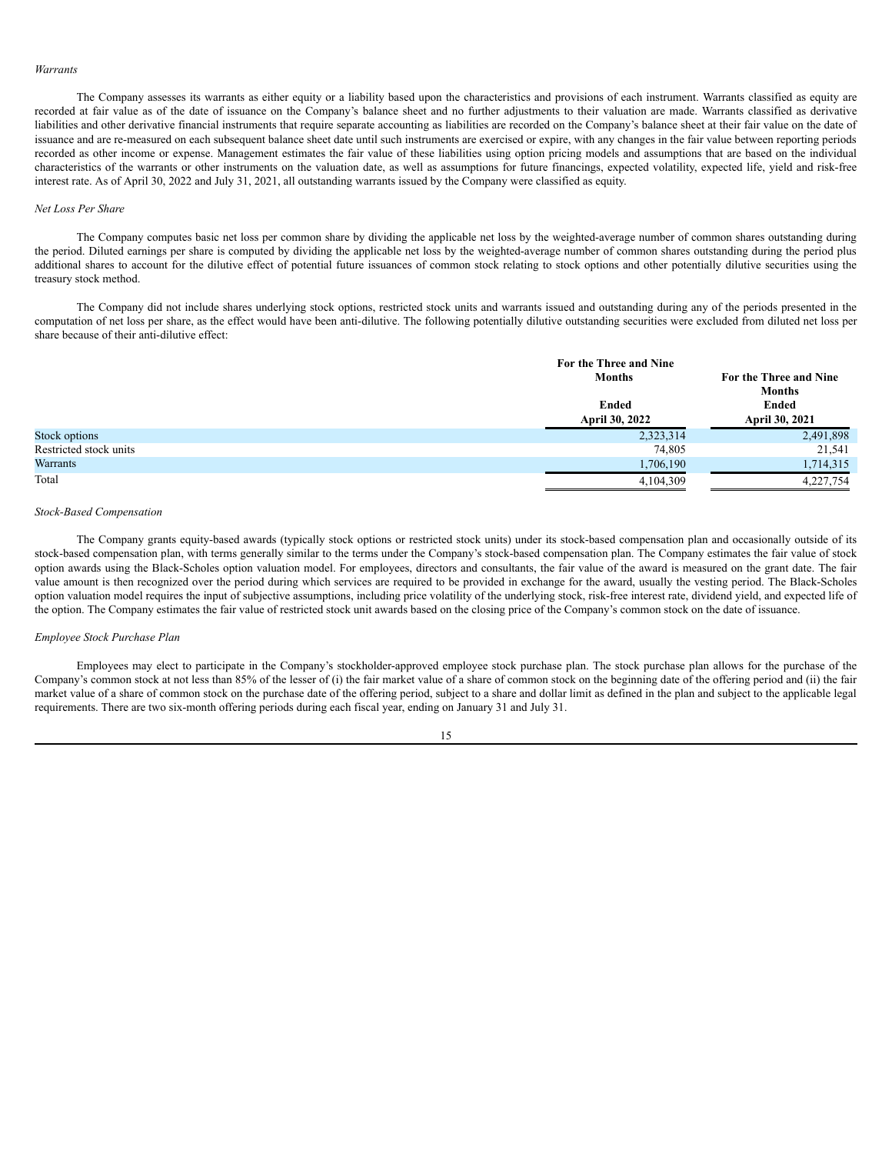#### *Warrants*

The Company assesses its warrants as either equity or a liability based upon the characteristics and provisions of each instrument. Warrants classified as equity are recorded at fair value as of the date of issuance on the Company's balance sheet and no further adjustments to their valuation are made. Warrants classified as derivative liabilities and other derivative financial instruments that require separate accounting as liabilities are recorded on the Company's balance sheet at their fair value on the date of issuance and are re-measured on each subsequent balance sheet date until such instruments are exercised or expire, with any changes in the fair value between reporting periods recorded as other income or expense. Management estimates the fair value of these liabilities using option pricing models and assumptions that are based on the individual characteristics of the warrants or other instruments on the valuation date, as well as assumptions for future financings, expected volatility, expected life, yield and risk-free interest rate. As of April 30, 2022 and July 31, 2021, all outstanding warrants issued by the Company were classified as equity.

## *Net Loss Per Share*

The Company computes basic net loss per common share by dividing the applicable net loss by the weighted-average number of common shares outstanding during the period. Diluted earnings per share is computed by dividing the applicable net loss by the weighted-average number of common shares outstanding during the period plus additional shares to account for the dilutive effect of potential future issuances of common stock relating to stock options and other potentially dilutive securities using the treasury stock method.

The Company did not include shares underlying stock options, restricted stock units and warrants issued and outstanding during any of the periods presented in the computation of net loss per share, as the effect would have been anti-dilutive. The following potentially dilutive outstanding securities were excluded from diluted net loss per share because of their anti-dilutive effect:

|                        | For the Three and Nine |                        |
|------------------------|------------------------|------------------------|
|                        | <b>Months</b>          | For the Three and Nine |
|                        |                        | <b>Months</b>          |
|                        | Ended                  | <b>Ended</b>           |
|                        | <b>April 30, 2022</b>  | April 30, 2021         |
| Stock options          | 2,323,314              | 2,491,898              |
| Restricted stock units | 74,805                 | 21,541                 |
| Warrants               | 1,706,190              | 1,714,315              |
| Total                  | 4,104,309              | 4,227,754              |

#### *Stock-Based Compensation*

The Company grants equity-based awards (typically stock options or restricted stock units) under its stock-based compensation plan and occasionally outside of its stock-based compensation plan, with terms generally similar to the terms under the Company's stock-based compensation plan. The Company estimates the fair value of stock option awards using the Black-Scholes option valuation model. For employees, directors and consultants, the fair value of the award is measured on the grant date. The fair value amount is then recognized over the period during which services are required to be provided in exchange for the award, usually the vesting period. The Black-Scholes option valuation model requires the input of subjective assumptions, including price volatility of the underlying stock, risk-free interest rate, dividend yield, and expected life of the option. The Company estimates the fair value of restricted stock unit awards based on the closing price of the Company's common stock on the date of issuance.

#### *Employee Stock Purchase Plan*

Employees may elect to participate in the Company's stockholder-approved employee stock purchase plan. The stock purchase plan allows for the purchase of the Company's common stock at not less than 85% of the lesser of (i) the fair market value of a share of common stock on the beginning date of the offering period and (ii) the fair market value of a share of common stock on the purchase date of the offering period, subject to a share and dollar limit as defined in the plan and subject to the applicable legal requirements. There are two six-month offering periods during each fiscal year, ending on January 31 and July 31.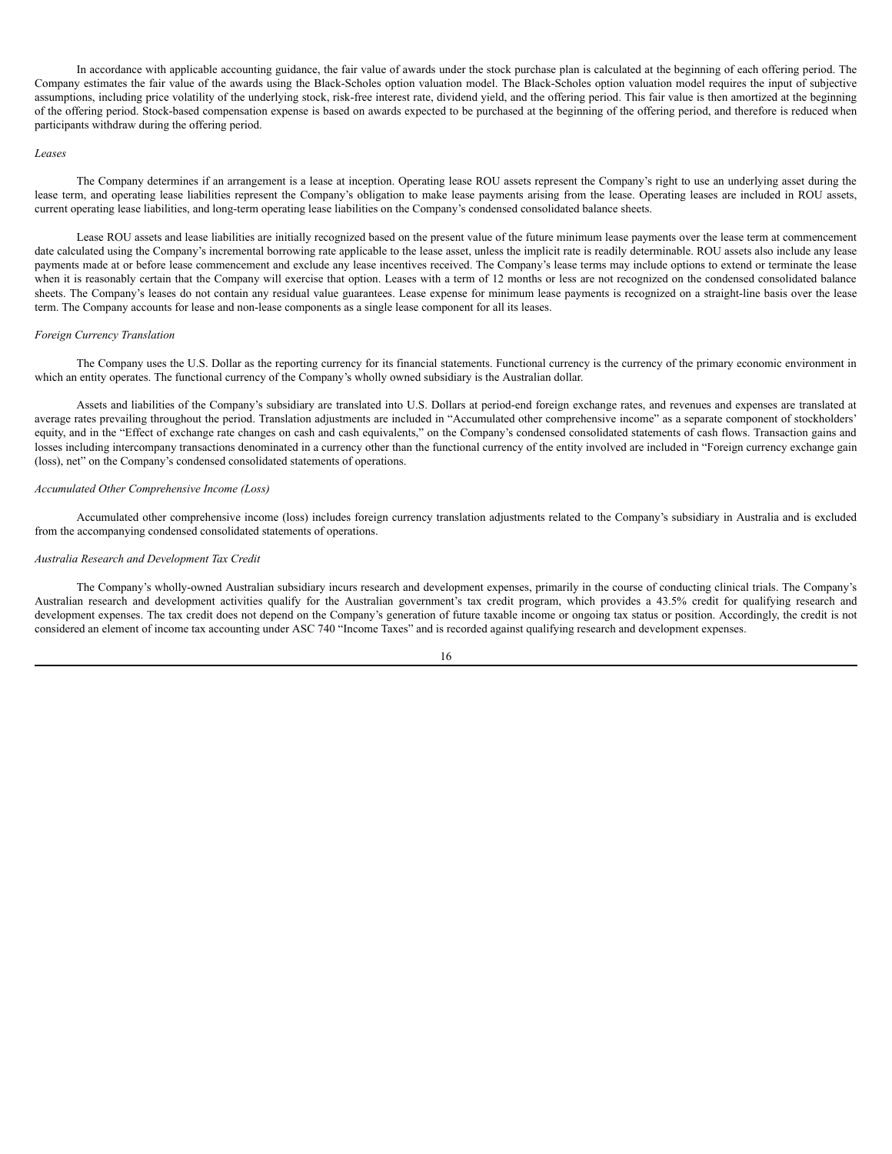In accordance with applicable accounting guidance, the fair value of awards under the stock purchase plan is calculated at the beginning of each offering period. The Company estimates the fair value of the awards using the Black-Scholes option valuation model. The Black-Scholes option valuation model requires the input of subjective assumptions, including price volatility of the underlying stock, risk-free interest rate, dividend yield, and the offering period. This fair value is then amortized at the beginning of the offering period. Stock-based compensation expense is based on awards expected to be purchased at the beginning of the offering period, and therefore is reduced when participants withdraw during the offering period.

#### *Leases*

The Company determines if an arrangement is a lease at inception. Operating lease ROU assets represent the Company's right to use an underlying asset during the lease term, and operating lease liabilities represent the Company's obligation to make lease payments arising from the lease. Operating leases are included in ROU assets, current operating lease liabilities, and long-term operating lease liabilities on the Company's condensed consolidated balance sheets.

Lease ROU assets and lease liabilities are initially recognized based on the present value of the future minimum lease payments over the lease term at commencement date calculated using the Company's incremental borrowing rate applicable to the lease asset, unless the implicit rate is readily determinable. ROU assets also include any lease payments made at or before lease commencement and exclude any lease incentives received. The Company's lease terms may include options to extend or terminate the lease when it is reasonably certain that the Company will exercise that option. Leases with a term of 12 months or less are not recognized on the condensed consolidated balance sheets. The Company's leases do not contain any residual value guarantees. Lease expense for minimum lease payments is recognized on a straight-line basis over the lease term. The Company accounts for lease and non-lease components as a single lease component for all its leases.

#### *Foreign Currency Translation*

The Company uses the U.S. Dollar as the reporting currency for its financial statements. Functional currency is the currency of the primary economic environment in which an entity operates. The functional currency of the Company's wholly owned subsidiary is the Australian dollar.

Assets and liabilities of the Company's subsidiary are translated into U.S. Dollars at period-end foreign exchange rates, and revenues and expenses are translated at average rates prevailing throughout the period. Translation adjustments are included in "Accumulated other comprehensive income" as a separate component of stockholders' equity, and in the "Effect of exchange rate changes on cash and cash equivalents," on the Company's condensed consolidated statements of cash flows. Transaction gains and losses including intercompany transactions denominated in a currency other than the functional currency of the entity involved are included in "Foreign currency exchange gain (loss), net" on the Company's condensed consolidated statements of operations.

#### *Accumulated Other Comprehensive Income (Loss)*

Accumulated other comprehensive income (loss) includes foreign currency translation adjustments related to the Company's subsidiary in Australia and is excluded from the accompanying condensed consolidated statements of operations.

### *Australia Research and Development Tax Credit*

The Company's wholly-owned Australian subsidiary incurs research and development expenses, primarily in the course of conducting clinical trials. The Company's Australian research and development activities qualify for the Australian government's tax credit program, which provides a 43.5% credit for qualifying research and development expenses. The tax credit does not depend on the Company's generation of future taxable income or ongoing tax status or position. Accordingly, the credit is not considered an element of income tax accounting under ASC 740 "Income Taxes" and is recorded against qualifying research and development expenses.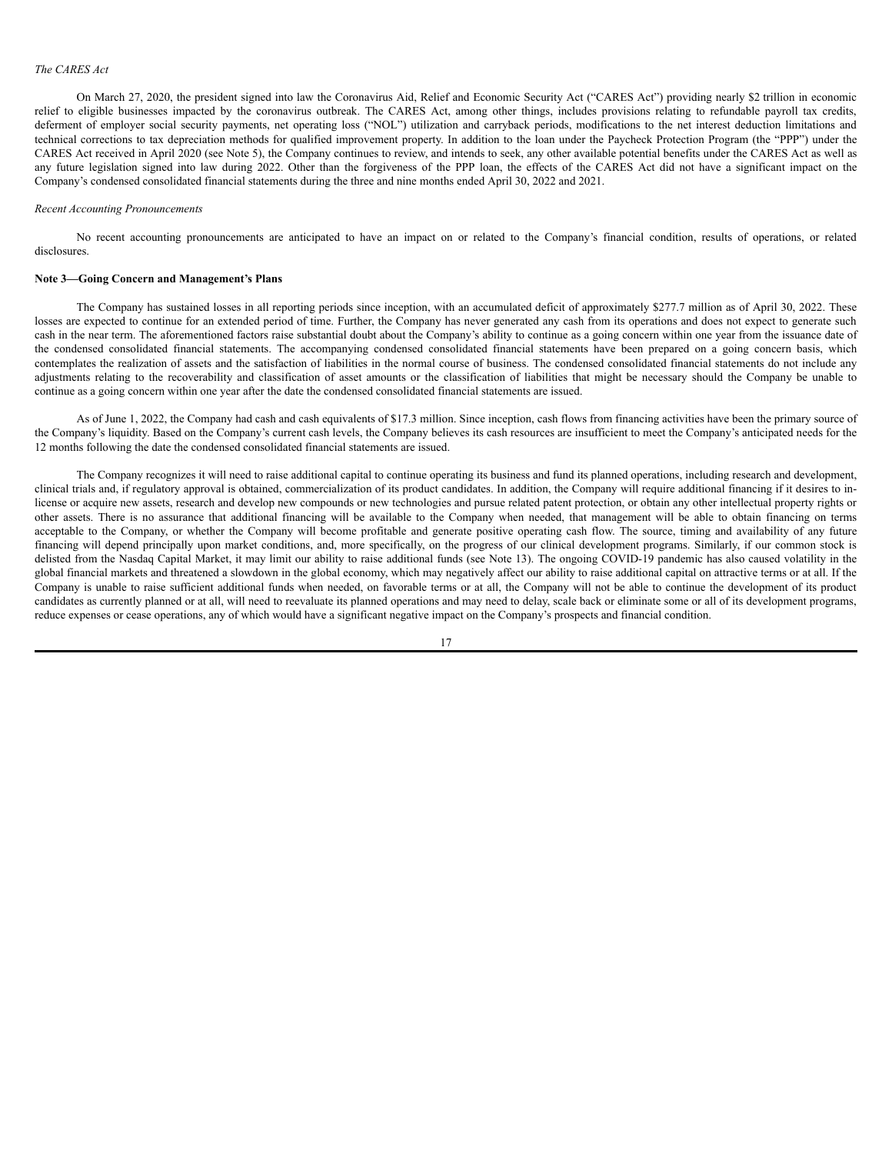## *The CARES Act*

On March 27, 2020, the president signed into law the Coronavirus Aid, Relief and Economic Security Act ("CARES Act") providing nearly \$2 trillion in economic relief to eligible businesses impacted by the coronavirus outbreak. The CARES Act, among other things, includes provisions relating to refundable payroll tax credits, deferment of employer social security payments, net operating loss ("NOL") utilization and carryback periods, modifications to the net interest deduction limitations and technical corrections to tax depreciation methods for qualified improvement property. In addition to the loan under the Paycheck Protection Program (the "PPP") under the CARES Act received in April 2020 (see Note 5), the Company continues to review, and intends to seek, any other available potential benefits under the CARES Act as well as any future legislation signed into law during 2022. Other than the forgiveness of the PPP loan, the effects of the CARES Act did not have a significant impact on the Company's condensed consolidated financial statements during the three and nine months ended April 30, 2022 and 2021.

## *Recent Accounting Pronouncements*

No recent accounting pronouncements are anticipated to have an impact on or related to the Company's financial condition, results of operations, or related disclosures.

## **Note 3—Going Concern and Management's Plans**

The Company has sustained losses in all reporting periods since inception, with an accumulated deficit of approximately \$277.7 million as of April 30, 2022. These losses are expected to continue for an extended period of time. Further, the Company has never generated any cash from its operations and does not expect to generate such cash in the near term. The aforementioned factors raise substantial doubt about the Company's ability to continue as a going concern within one year from the issuance date of the condensed consolidated financial statements. The accompanying condensed consolidated financial statements have been prepared on a going concern basis, which contemplates the realization of assets and the satisfaction of liabilities in the normal course of business. The condensed consolidated financial statements do not include any adjustments relating to the recoverability and classification of asset amounts or the classification of liabilities that might be necessary should the Company be unable to continue as a going concern within one year after the date the condensed consolidated financial statements are issued.

As of June 1, 2022, the Company had cash and cash equivalents of \$17.3 million. Since inception, cash flows from financing activities have been the primary source of the Company's liquidity. Based on the Company's current cash levels, the Company believes its cash resources are insufficient to meet the Company's anticipated needs for the 12 months following the date the condensed consolidated financial statements are issued.

The Company recognizes it will need to raise additional capital to continue operating its business and fund its planned operations, including research and development, clinical trials and, if regulatory approval is obtained, commercialization of its product candidates. In addition, the Company will require additional financing if it desires to inlicense or acquire new assets, research and develop new compounds or new technologies and pursue related patent protection, or obtain any other intellectual property rights or other assets. There is no assurance that additional financing will be available to the Company when needed, that management will be able to obtain financing on terms acceptable to the Company, or whether the Company will become profitable and generate positive operating cash flow. The source, timing and availability of any future financing will depend principally upon market conditions, and, more specifically, on the progress of our clinical development programs. Similarly, if our common stock is delisted from the Nasdaq Capital Market, it may limit our ability to raise additional funds (see Note 13). The ongoing COVID-19 pandemic has also caused volatility in the global financial markets and threatened a slowdown in the global economy, which may negatively affect our ability to raise additional capital on attractive terms or at all. If the Company is unable to raise sufficient additional funds when needed, on favorable terms or at all, the Company will not be able to continue the development of its product candidates as currently planned or at all, will need to reevaluate its planned operations and may need to delay, scale back or eliminate some or all of its development programs, reduce expenses or cease operations, any of which would have a significant negative impact on the Company's prospects and financial condition.

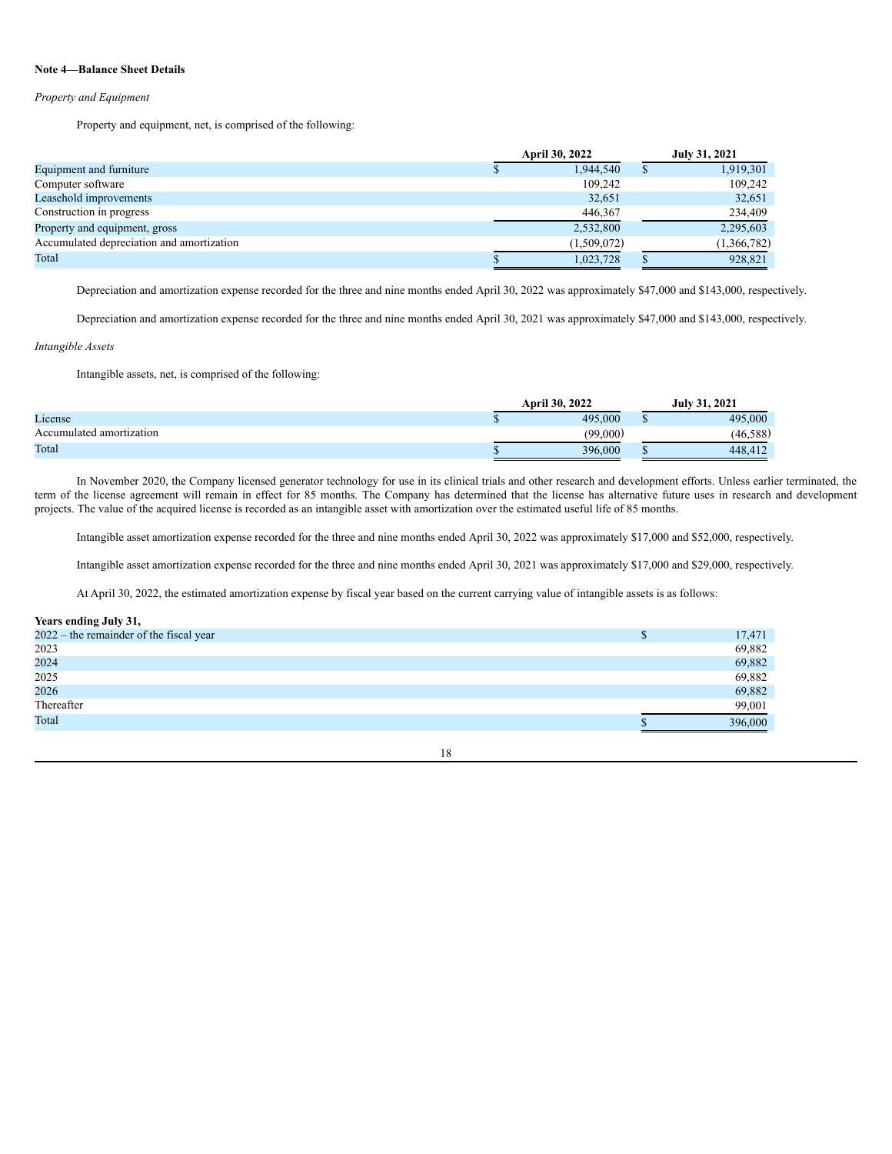## **Note 4—Balance Sheet Details**

## *Property and Equipment*

Property and equipment, net, is comprised of the following:

|                                           | <b>April 30, 2022</b> |             | July 31, 2021 |
|-------------------------------------------|-----------------------|-------------|---------------|
| Equipment and furniture                   |                       | 1,944,540   | 1,919,301     |
| Computer software                         |                       | 109.242     | 109.242       |
| Leasehold improvements                    |                       | 32,651      | 32,651        |
| Construction in progress                  |                       | 446,367     | 234,409       |
| Property and equipment, gross             |                       | 2,532,800   | 2,295,603     |
| Accumulated depreciation and amortization |                       | (1,509,072) | (1,366,782)   |
| Total                                     |                       | 1,023,728   | 928,821       |

Depreciation and amortization expense recorded for the three and nine months ended April 30, 2022 was approximately \$47,000 and \$143,000, respectively.

Depreciation and amortization expense recorded for the three and nine months ended April 30, 2021 was approximately \$47,000 and \$143,000, respectively.

## *Intangible Assets*

Intangible assets, net, is comprised of the following:

|                          | <b>April 30, 2022</b> |          | <b>July 31, 2021</b> |
|--------------------------|-----------------------|----------|----------------------|
| License                  | 495,000               | <b>U</b> | 495,000              |
| Accumulated amortization | (99,000)              |          | (46, 588)            |
| Total                    | 396,000               | <b>U</b> | 448.412              |

In November 2020, the Company licensed generator technology for use in its clinical trials and other research and development efforts. Unless earlier terminated, the term of the license agreement will remain in effect for 85 months. The Company has determined that the license has alternative future uses in research and development projects. The value of the acquired license is recorded as an intangible asset with amortization over the estimated useful life of 85 months.

Intangible asset amortization expense recorded for the three and nine months ended April 30, 2022 was approximately \$17,000 and \$52,000, respectively.

Intangible asset amortization expense recorded for the three and nine months ended April 30, 2021 was approximately \$17,000 and \$29,000, respectively.

At April 30, 2022, the estimated amortization expense by fiscal year based on the current carrying value of intangible assets is as follows:

## **Years ending July 31,**

| $2022$ – the remainder of the fiscal year | ۰D | 17,471  |
|-------------------------------------------|----|---------|
| 2023                                      |    | 69,882  |
| 2024                                      |    | 69,882  |
| 2025                                      |    | 69,882  |
| 2026                                      |    | 69,882  |
| Thereafter                                |    | 99,001  |
| Total                                     |    | 396,000 |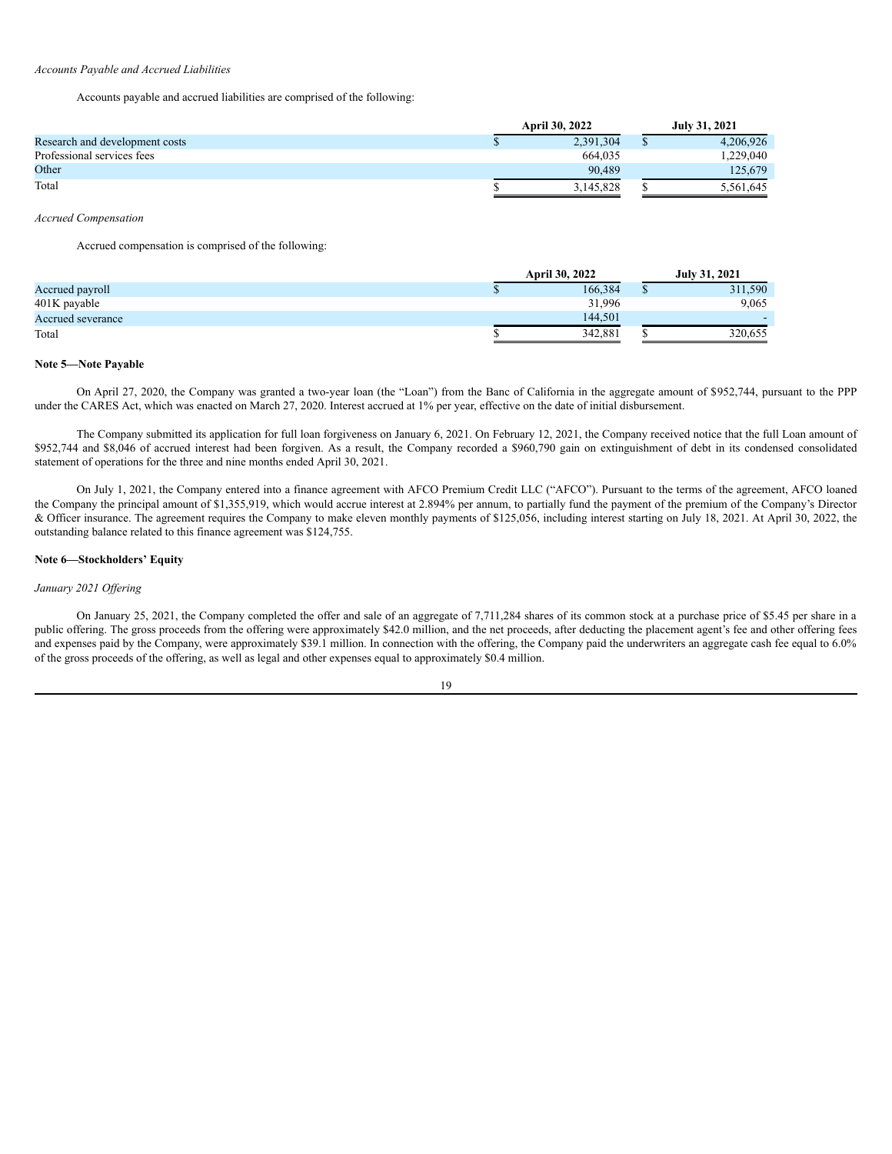## *Accounts Payable and Accrued Liabilities*

Accounts payable and accrued liabilities are comprised of the following:

|                                | <b>April 30, 2022</b> | July 31, 2021 |
|--------------------------------|-----------------------|---------------|
| Research and development costs | 2,391,304             | 4.206.926     |
| Professional services fees     | 664.035               | 1.229.040     |
| Other                          | 90.489                | 125.679       |
| Total                          | 3.145.828             | 5,561,645     |

*Accrued Compensation*

Accrued compensation is comprised of the following:

|                   | <b>April 30, 2022</b> | July 31, 2021 |
|-------------------|-----------------------|---------------|
| Accrued payroll   | 166,384               | 311,590       |
| 401K payable      | 31.996                | 9,065         |
| Accrued severance | 144.501               |               |
| Total             | 342.881               | 320.655       |

## **Note 5—Note Payable**

On April 27, 2020, the Company was granted a two-year loan (the "Loan") from the Banc of California in the aggregate amount of \$952,744, pursuant to the PPP under the CARES Act, which was enacted on March 27, 2020. Interest accrued at 1% per year, effective on the date of initial disbursement.

The Company submitted its application for full loan forgiveness on January 6, 2021. On February 12, 2021, the Company received notice that the full Loan amount of \$952,744 and \$8,046 of accrued interest had been forgiven. As a result, the Company recorded a \$960,790 gain on extinguishment of debt in its condensed consolidated statement of operations for the three and nine months ended April 30, 2021.

On July 1, 2021, the Company entered into a finance agreement with AFCO Premium Credit LLC ("AFCO"). Pursuant to the terms of the agreement, AFCO loaned the Company the principal amount of \$1,355,919, which would accrue interest at 2.894% per annum, to partially fund the payment of the premium of the Company's Director & Officer insurance. The agreement requires the Company to make eleven monthly payments of \$125,056, including interest starting on July 18, 2021. At April 30, 2022, the outstanding balance related to this finance agreement was \$124,755.

## **Note 6—Stockholders' Equity**

#### *January 2021 Of ering*

On January 25, 2021, the Company completed the offer and sale of an aggregate of 7,711,284 shares of its common stock at a purchase price of \$5.45 per share in a public offering. The gross proceeds from the offering were approximately \$42.0 million, and the net proceeds, after deducting the placement agent's fee and other offering fees and expenses paid by the Company, were approximately \$39.1 million. In connection with the offering, the Company paid the underwriters an aggregate cash fee equal to 6.0% of the gross proceeds of the offering, as well as legal and other expenses equal to approximately \$0.4 million.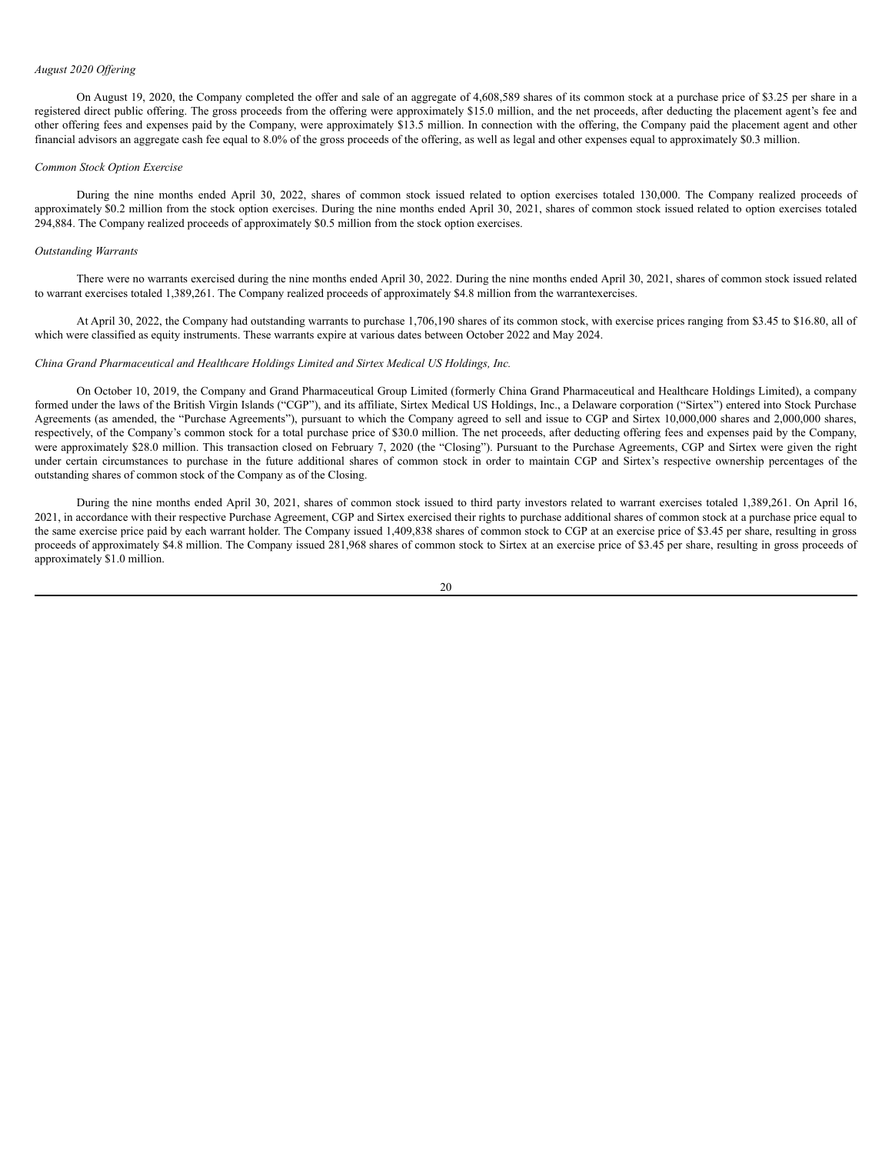#### *August 2020 Of ering*

On August 19, 2020, the Company completed the offer and sale of an aggregate of 4,608,589 shares of its common stock at a purchase price of \$3.25 per share in a registered direct public offering. The gross proceeds from the offering were approximately \$15.0 million, and the net proceeds, after deducting the placement agent's fee and other offering fees and expenses paid by the Company, were approximately \$13.5 million. In connection with the offering, the Company paid the placement agent and other financial advisors an aggregate cash fee equal to 8.0% of the gross proceeds of the offering, as well as legal and other expenses equal to approximately \$0.3 million.

#### *Common Stock Option Exercise*

During the nine months ended April 30, 2022, shares of common stock issued related to option exercises totaled 130,000. The Company realized proceeds of approximately \$0.2 million from the stock option exercises. During the nine months ended April 30, 2021, shares of common stock issued related to option exercises totaled 294,884. The Company realized proceeds of approximately \$0.5 million from the stock option exercises.

#### *Outstanding Warrants*

There were no warrants exercised during the nine months ended April 30, 2022. During the nine months ended April 30, 2021, shares of common stock issued related to warrant exercises totaled 1,389,261. The Company realized proceeds of approximately \$4.8 million from the warrantexercises.

At April 30, 2022, the Company had outstanding warrants to purchase 1,706,190 shares of its common stock, with exercise prices ranging from \$3.45 to \$16.80, all of which were classified as equity instruments. These warrants expire at various dates between October 2022 and May 2024.

## *China Grand Pharmaceutical and Healthcare Holdings Limited and Sirtex Medical US Holdings, Inc.*

On October 10, 2019, the Company and Grand Pharmaceutical Group Limited (formerly China Grand Pharmaceutical and Healthcare Holdings Limited), a company formed under the laws of the British Virgin Islands ("CGP"), and its affiliate, Sirtex Medical US Holdings, Inc., a Delaware corporation ("Sirtex") entered into Stock Purchase Agreements (as amended, the "Purchase Agreements"), pursuant to which the Company agreed to sell and issue to CGP and Sirtex 10,000,000 shares and 2,000,000 shares, respectively, of the Company's common stock for a total purchase price of \$30.0 million. The net proceeds, after deducting offering fees and expenses paid by the Company, were approximately \$28.0 million. This transaction closed on February 7, 2020 (the "Closing"). Pursuant to the Purchase Agreements, CGP and Sirtex were given the right under certain circumstances to purchase in the future additional shares of common stock in order to maintain CGP and Sirtex's respective ownership percentages of the outstanding shares of common stock of the Company as of the Closing.

During the nine months ended April 30, 2021, shares of common stock issued to third party investors related to warrant exercises totaled 1,389,261. On April 16, 2021, in accordance with their respective Purchase Agreement, CGP and Sirtex exercised their rights to purchase additional shares of common stock at a purchase price equal to the same exercise price paid by each warrant holder. The Company issued 1,409,838 shares of common stock to CGP at an exercise price of \$3.45 per share, resulting in gross proceeds of approximately \$4.8 million. The Company issued 281,968 shares of common stock to Sirtex at an exercise price of \$3.45 per share, resulting in gross proceeds of approximately \$1.0 million.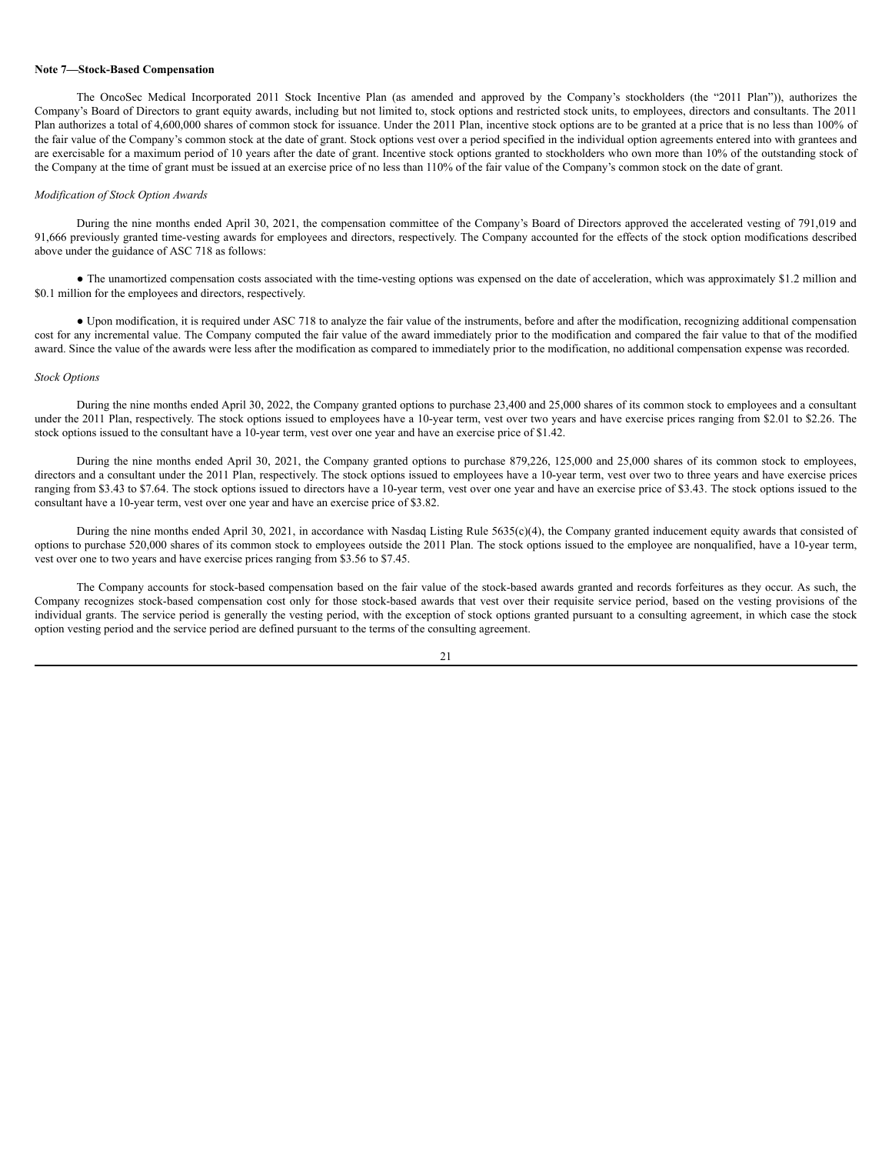#### **Note 7—Stock-Based Compensation**

The OncoSec Medical Incorporated 2011 Stock Incentive Plan (as amended and approved by the Company's stockholders (the "2011 Plan")), authorizes the Company's Board of Directors to grant equity awards, including but not limited to, stock options and restricted stock units, to employees, directors and consultants. The 2011 Plan authorizes a total of 4,600,000 shares of common stock for issuance. Under the 2011 Plan, incentive stock options are to be granted at a price that is no less than 100% of the fair value of the Company's common stock at the date of grant. Stock options vest over a period specified in the individual option agreements entered into with grantees and are exercisable for a maximum period of 10 years after the date of grant. Incentive stock options granted to stockholders who own more than 10% of the outstanding stock of the Company at the time of grant must be issued at an exercise price of no less than 110% of the fair value of the Company's common stock on the date of grant.

#### *Modification of Stock Option Awards*

During the nine months ended April 30, 2021, the compensation committee of the Company's Board of Directors approved the accelerated vesting of 791,019 and 91,666 previously granted time-vesting awards for employees and directors, respectively. The Company accounted for the effects of the stock option modifications described above under the guidance of ASC 718 as follows:

● The unamortized compensation costs associated with the time-vesting options was expensed on the date of acceleration, which was approximately \$1.2 million and \$0.1 million for the employees and directors, respectively.

● Upon modification, it is required under ASC 718 to analyze the fair value of the instruments, before and after the modification, recognizing additional compensation cost for any incremental value. The Company computed the fair value of the award immediately prior to the modification and compared the fair value to that of the modified award. Since the value of the awards were less after the modification as compared to immediately prior to the modification, no additional compensation expense was recorded.

## *Stock Options*

During the nine months ended April 30, 2022, the Company granted options to purchase 23,400 and 25,000 shares of its common stock to employees and a consultant under the 2011 Plan, respectively. The stock options issued to employees have a 10-year term, vest over two years and have exercise prices ranging from \$2.01 to \$2.26. The stock options issued to the consultant have a 10-year term, vest over one year and have an exercise price of \$1.42.

During the nine months ended April 30, 2021, the Company granted options to purchase 879,226, 125,000 and 25,000 shares of its common stock to employees, directors and a consultant under the 2011 Plan, respectively. The stock options issued to employees have a 10-year term, vest over two to three years and have exercise prices ranging from \$3.43 to \$7.64. The stock options issued to directors have a 10-year term, vest over one year and have an exercise price of \$3.43. The stock options issued to the consultant have a 10-year term, vest over one year and have an exercise price of \$3.82.

During the nine months ended April 30, 2021, in accordance with Nasdaq Listing Rule 5635(c)(4), the Company granted inducement equity awards that consisted of options to purchase 520,000 shares of its common stock to employees outside the 2011 Plan. The stock options issued to the employee are nonqualified, have a 10-year term, vest over one to two years and have exercise prices ranging from \$3.56 to \$7.45.

The Company accounts for stock-based compensation based on the fair value of the stock-based awards granted and records forfeitures as they occur. As such, the Company recognizes stock-based compensation cost only for those stock-based awards that vest over their requisite service period, based on the vesting provisions of the individual grants. The service period is generally the vesting period, with the exception of stock options granted pursuant to a consulting agreement, in which case the stock option vesting period and the service period are defined pursuant to the terms of the consulting agreement.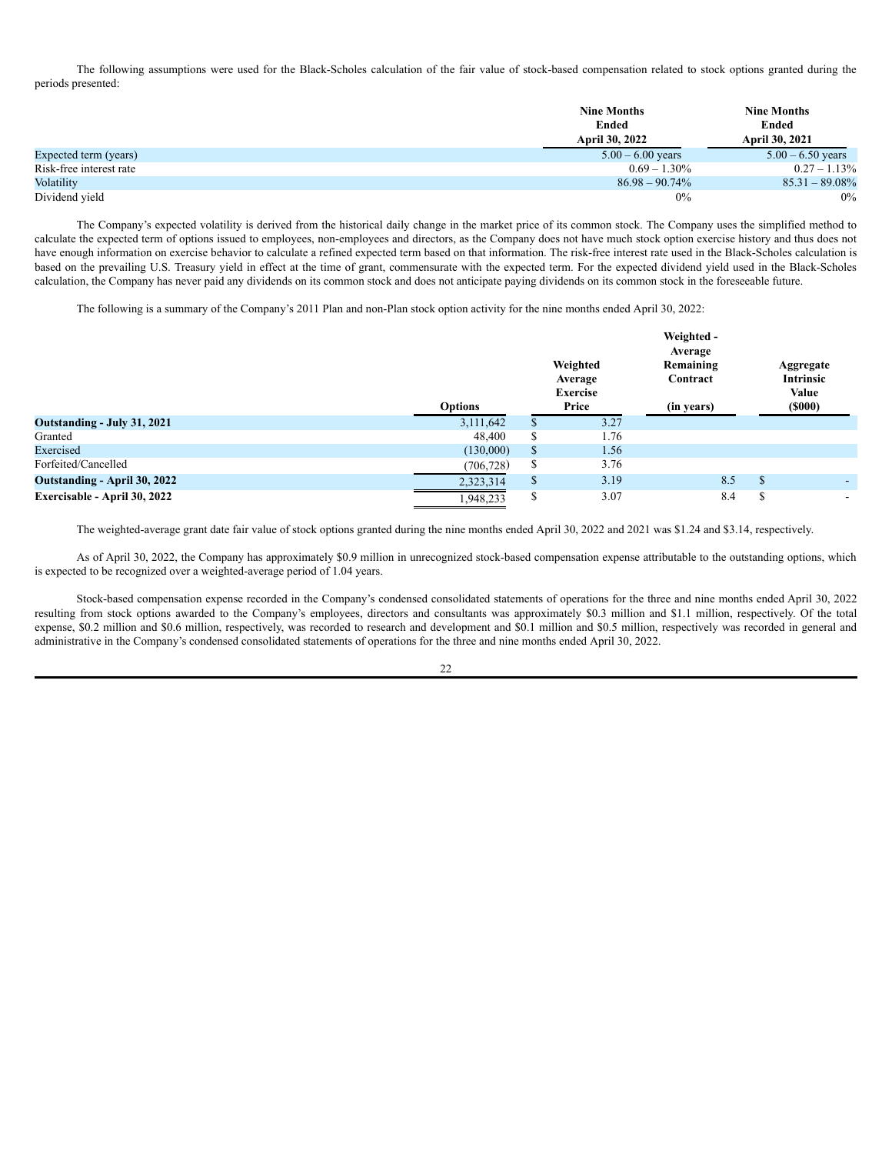The following assumptions were used for the Black-Scholes calculation of the fair value of stock-based compensation related to stock options granted during the periods presented:

|                         | <b>Nine Months</b><br><b>Ended</b><br><b>April 30, 2022</b> | <b>Nine Months</b><br>Ended<br><b>April 30, 2021</b> |
|-------------------------|-------------------------------------------------------------|------------------------------------------------------|
| Expected term (years)   | $5.00 - 6.00$ years                                         | $5.00 - 6.50$ years                                  |
| Risk-free interest rate | $0.69 - 1.30\%$                                             | $0.27 - 1.13\%$                                      |
| Volatility              | $86.98 - 90.74\%$                                           | $85.31 - 89.08\%$                                    |
| Dividend yield          | 0%                                                          | $0\%$                                                |

The Company's expected volatility is derived from the historical daily change in the market price of its common stock. The Company uses the simplified method to calculate the expected term of options issued to employees, non-employees and directors, as the Company does not have much stock option exercise history and thus does not have enough information on exercise behavior to calculate a refined expected term based on that information. The risk-free interest rate used in the Black-Scholes calculation is based on the prevailing U.S. Treasury yield in effect at the time of grant, commensurate with the expected term. For the expected dividend yield used in the Black-Scholes calculation, the Company has never paid any dividends on its common stock and does not anticipate paying dividends on its common stock in the foreseeable future.

The following is a summary of the Company's 2011 Plan and non-Plan stock option activity for the nine months ended April 30, 2022:

|                              | <b>Options</b> |    | Weighted<br>Average<br>Exercise<br>Price | Weighted -<br>Average<br>Remaining<br>Contract<br>(in years) | Aggregate<br>Intrinsic<br>Value<br>(5000) |                          |
|------------------------------|----------------|----|------------------------------------------|--------------------------------------------------------------|-------------------------------------------|--------------------------|
| Outstanding - July 31, 2021  | 3,111,642      |    | 3.27                                     |                                                              |                                           |                          |
| Granted                      | 48,400         | S  | 1.76                                     |                                                              |                                           |                          |
| Exercised                    | (130,000)      | \$ | 1.56                                     |                                                              |                                           |                          |
| Forfeited/Cancelled          | (706, 728)     | \$ | 3.76                                     |                                                              |                                           |                          |
| Outstanding - April 30, 2022 | 2,323,314      | S  | 3.19                                     | 8.5                                                          | S                                         | $\overline{\phantom{a}}$ |
| Exercisable - April 30, 2022 | 1,948,233      | S  | 3.07                                     | 8.4                                                          | S                                         | $\overline{\phantom{a}}$ |

The weighted-average grant date fair value of stock options granted during the nine months ended April 30, 2022 and 2021 was \$1.24 and \$3.14, respectively.

As of April 30, 2022, the Company has approximately \$0.9 million in unrecognized stock-based compensation expense attributable to the outstanding options, which is expected to be recognized over a weighted-average period of 1.04 years.

Stock-based compensation expense recorded in the Company's condensed consolidated statements of operations for the three and nine months ended April 30, 2022 resulting from stock options awarded to the Company's employees, directors and consultants was approximately \$0.3 million and \$1.1 million, respectively. Of the total expense, \$0.2 million and \$0.6 million, respectively, was recorded to research and development and \$0.1 million and \$0.5 million, respectively was recorded in general and administrative in the Company's condensed consolidated statements of operations for the three and nine months ended April 30, 2022.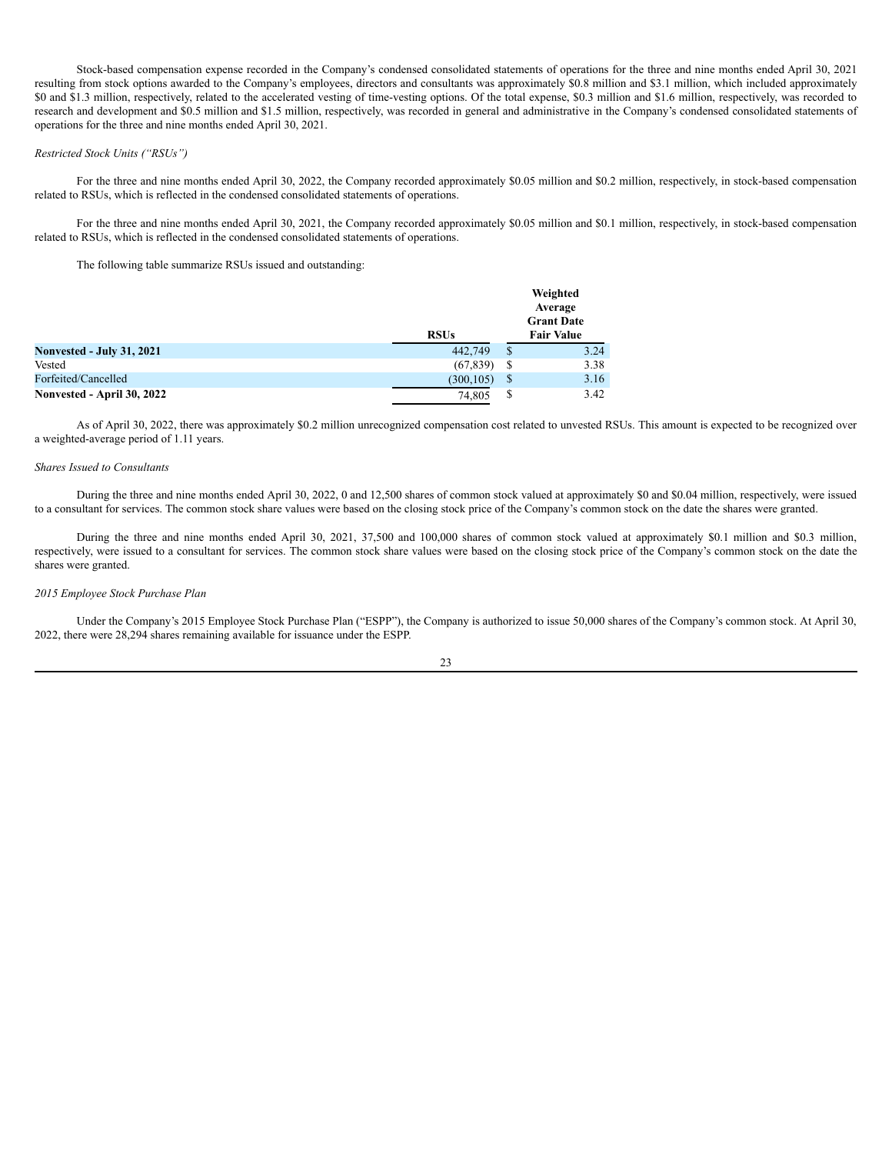Stock-based compensation expense recorded in the Company's condensed consolidated statements of operations for the three and nine months ended April 30, 2021 resulting from stock options awarded to the Company's employees, directors and consultants was approximately \$0.8 million and \$3.1 million, which included approximately \$0 and \$1.3 million, respectively, related to the accelerated vesting of time-vesting options. Of the total expense, \$0.3 million and \$1.6 million, respectively, was recorded to research and development and \$0.5 million and \$1.5 million, respectively, was recorded in general and administrative in the Company's condensed consolidated statements of operations for the three and nine months ended April 30, 2021.

### *Restricted Stock Units ("RSUs")*

For the three and nine months ended April 30, 2022, the Company recorded approximately \$0.05 million and \$0.2 million, respectively, in stock-based compensation related to RSUs, which is reflected in the condensed consolidated statements of operations.

For the three and nine months ended April 30, 2021, the Company recorded approximately \$0.05 million and \$0.1 million, respectively, in stock-based compensation related to RSUs, which is reflected in the condensed consolidated statements of operations.

The following table summarize RSUs issued and outstanding:

|                                  | <b>RSUs</b> |    | Weighted<br>Average<br><b>Grant Date</b><br><b>Fair Value</b> |
|----------------------------------|-------------|----|---------------------------------------------------------------|
| <b>Nonvested - July 31, 2021</b> | 442,749     | \$ | 3.24                                                          |
| Vested                           | (67, 839)   | S  | 3.38                                                          |
| Forfeited/Cancelled              | (300, 105)  | -S | 3.16                                                          |
| Nonvested - April 30, 2022       | 74,805      | \$ | 3.42                                                          |

As of April 30, 2022, there was approximately \$0.2 million unrecognized compensation cost related to unvested RSUs. This amount is expected to be recognized over a weighted-average period of 1.11 years.

#### *Shares Issued to Consultants*

During the three and nine months ended April 30, 2022, 0 and 12,500 shares of common stock valued at approximately \$0 and \$0.04 million, respectively, were issued to a consultant for services. The common stock share values were based on the closing stock price of the Company's common stock on the date the shares were granted.

During the three and nine months ended April 30, 2021, 37,500 and 100,000 shares of common stock valued at approximately \$0.1 million and \$0.3 million, respectively, were issued to a consultant for services. The common stock share values were based on the closing stock price of the Company's common stock on the date the shares were granted.

## *2015 Employee Stock Purchase Plan*

Under the Company's 2015 Employee Stock Purchase Plan ("ESPP"), the Company is authorized to issue 50,000 shares of the Company's common stock. At April 30, 2022, there were 28,294 shares remaining available for issuance under the ESPP.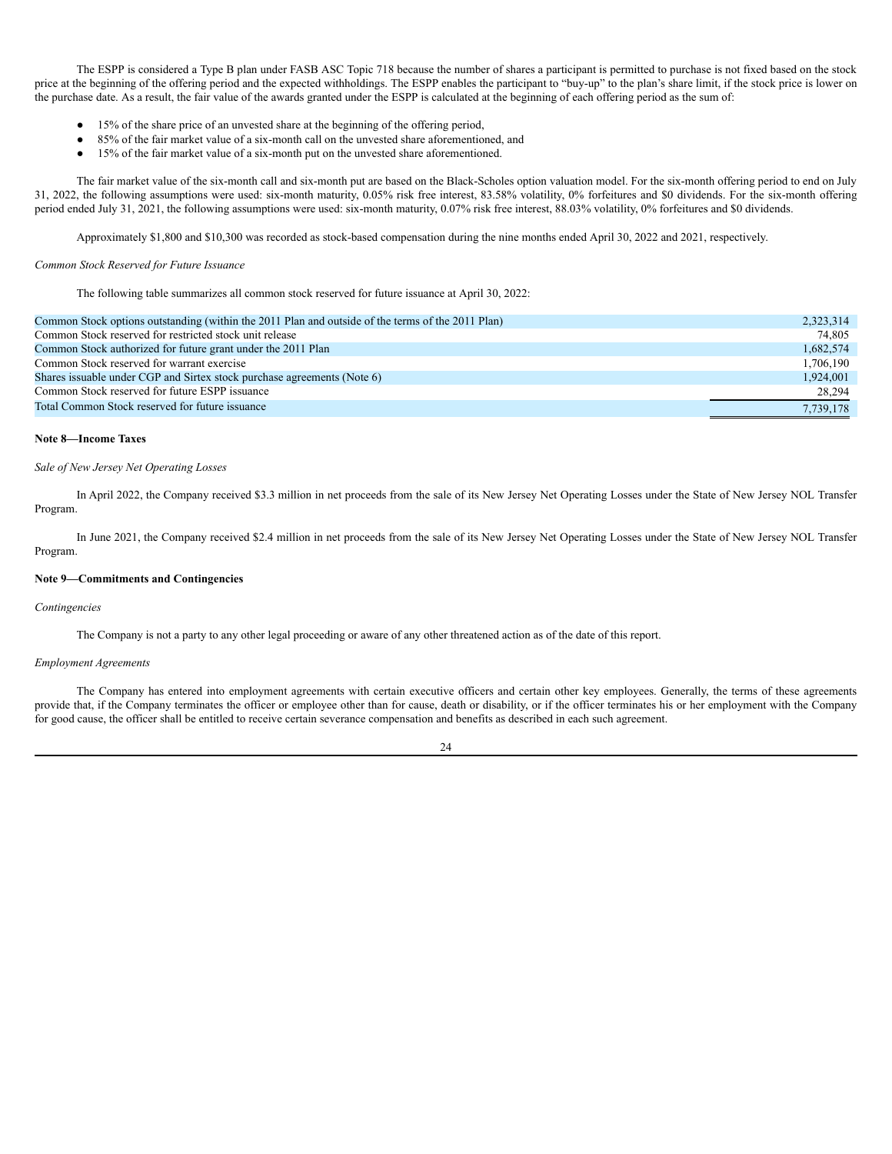The ESPP is considered a Type B plan under FASB ASC Topic 718 because the number of shares a participant is permitted to purchase is not fixed based on the stock price at the beginning of the offering period and the expected withholdings. The ESPP enables the participant to "buy-up" to the plan's share limit, if the stock price is lower on the purchase date. As a result, the fair value of the awards granted under the ESPP is calculated at the beginning of each offering period as the sum of:

- 15% of the share price of an unvested share at the beginning of the offering period,
- 85% of the fair market value of a six-month call on the unvested share aforementioned, and
- 15% of the fair market value of a six-month put on the unvested share aforementioned.

The fair market value of the six-month call and six-month put are based on the Black-Scholes option valuation model. For the six-month offering period to end on July 31, 2022, the following assumptions were used: six-month maturity, 0.05% risk free interest, 83.58% volatility, 0% forfeitures and \$0 dividends. For the six-month offering period ended July 31, 2021, the following assumptions were used: six-month maturity, 0.07% risk free interest, 88.03% volatility, 0% forfeitures and \$0 dividends.

Approximately \$1,800 and \$10,300 was recorded as stock-based compensation during the nine months ended April 30, 2022 and 2021, respectively.

## *Common Stock Reserved for Future Issuance*

The following table summarizes all common stock reserved for future issuance at April 30, 2022:

| Common Stock options outstanding (within the 2011 Plan and outside of the terms of the 2011 Plan) | 2,323,314 |
|---------------------------------------------------------------------------------------------------|-----------|
| Common Stock reserved for restricted stock unit release                                           | 74.805    |
| Common Stock authorized for future grant under the 2011 Plan                                      | 1,682,574 |
| Common Stock reserved for warrant exercise                                                        | 1,706,190 |
| Shares issuable under CGP and Sirtex stock purchase agreements (Note 6)                           | 1,924,001 |
| Common Stock reserved for future ESPP issuance                                                    | 28,294    |
| Total Common Stock reserved for future issuance                                                   | 7,739,178 |

## **Note 8—Income Taxes**

## *Sale of New Jersey Net Operating Losses*

In April 2022, the Company received \$3.3 million in net proceeds from the sale of its New Jersey Net Operating Losses under the State of New Jersey NOL Transfer Program.

In June 2021, the Company received \$2.4 million in net proceeds from the sale of its New Jersey Net Operating Losses under the State of New Jersey NOL Transfer Program.

#### **Note 9—Commitments and Contingencies**

## *Contingencies*

The Company is not a party to any other legal proceeding or aware of any other threatened action as of the date of this report.

#### *Employment Agreements*

The Company has entered into employment agreements with certain executive officers and certain other key employees. Generally, the terms of these agreements provide that, if the Company terminates the officer or employee other than for cause, death or disability, or if the officer terminates his or her employment with the Company for good cause, the officer shall be entitled to receive certain severance compensation and benefits as described in each such agreement.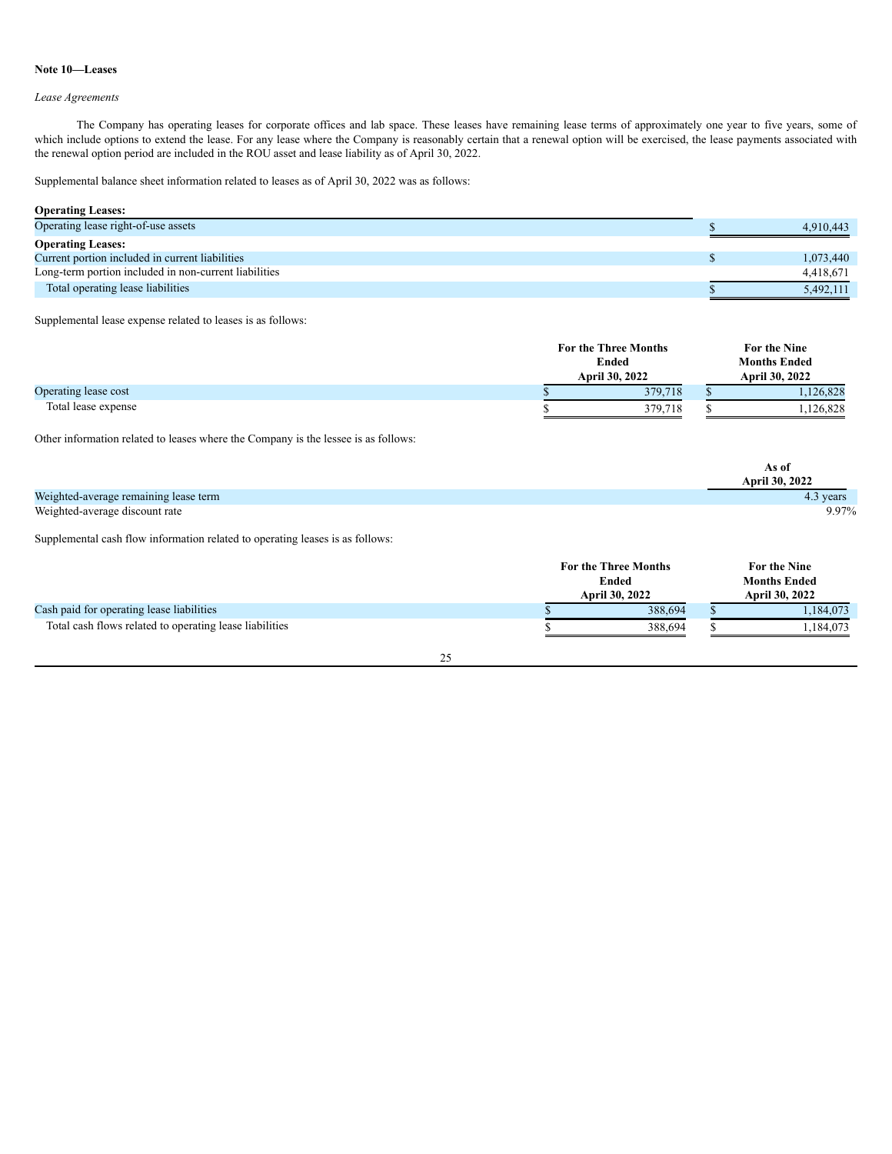## **Note 10—Leases**

## *Lease Agreements*

The Company has operating leases for corporate offices and lab space. These leases have remaining lease terms of approximately one year to five years, some of which include options to extend the lease. For any lease where the Company is reasonably certain that a renewal option will be exercised, the lease payments associated with the renewal option period are included in the ROU asset and lease liability as of April 30, 2022.

Supplemental balance sheet information related to leases as of April 30, 2022 was as follows:

| <b>Operating Leases:</b>                              |           |
|-------------------------------------------------------|-----------|
| Operating lease right-of-use assets                   | 4.910.443 |
| <b>Operating Leases:</b>                              |           |
| Current portion included in current liabilities       | 1,073,440 |
| Long-term portion included in non-current liabilities | 4.418.671 |
| Total operating lease liabilities                     | 5,492,111 |

Supplemental lease expense related to leases is as follows:

|                      |  | <b>For the Three Months</b><br>Ended |  | For the Nine          |  |
|----------------------|--|--------------------------------------|--|-----------------------|--|
|                      |  |                                      |  | <b>Months Ended</b>   |  |
|                      |  | April 30, 2022                       |  | <b>April 30, 2022</b> |  |
| Operating lease cost |  | 379.718                              |  | ,126,828              |  |
| Total lease expense  |  | 379,718                              |  | 1,126,828             |  |

Other information related to leases where the Company is the lessee is as follows:

|                                       | As of                 |
|---------------------------------------|-----------------------|
|                                       | <b>April 30, 2022</b> |
| Weighted-average remaining lease term | 4.3 years             |
| Weighted-average discount rate        | 9.97%                 |

Supplemental cash flow information related to operating leases is as follows:

|                                                         | <b>For the Three Months</b><br>Ended<br><b>April 30, 2022</b> |  | For the Nine<br><b>Months Ended</b><br><b>April 30, 2022</b> |  |
|---------------------------------------------------------|---------------------------------------------------------------|--|--------------------------------------------------------------|--|
| Cash paid for operating lease liabilities               | 388.694                                                       |  | .184.073                                                     |  |
| Total cash flows related to operating lease liabilities | 388.694                                                       |  | .184.073                                                     |  |
|                                                         |                                                               |  |                                                              |  |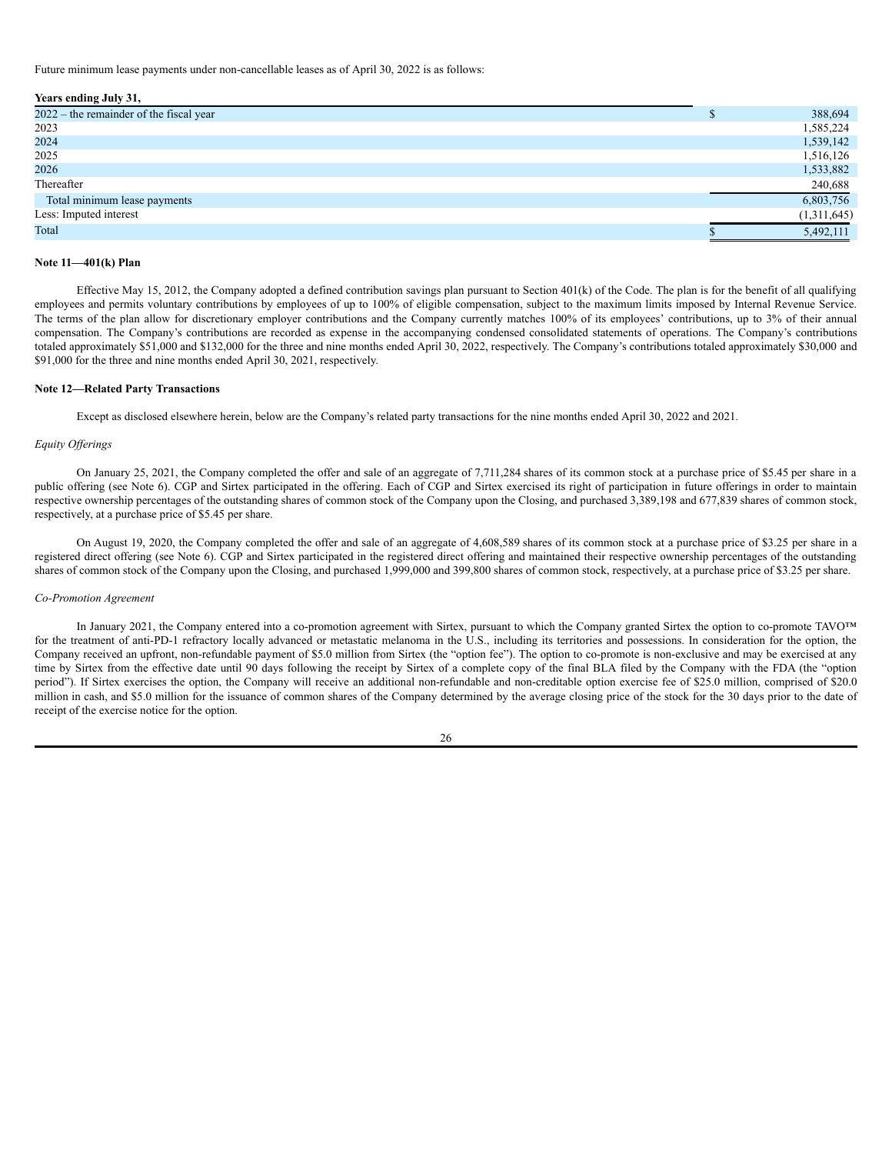Future minimum lease payments under non-cancellable leases as of April 30, 2022 is as follows:

| Years ending July 31,                     |             |
|-------------------------------------------|-------------|
| $2022$ – the remainder of the fiscal year | 388,694     |
| 2023                                      | 1,585,224   |
| 2024                                      | 1,539,142   |
| 2025                                      | 1,516,126   |
| 2026                                      | 1,533,882   |
| Thereafter                                | 240,688     |
| Total minimum lease payments              | 6,803,756   |
| Less: Imputed interest                    | (1,311,645) |
| Total                                     | 5,492,111   |

## **Note 11—401(k) Plan**

Effective May 15, 2012, the Company adopted a defined contribution savings plan pursuant to Section  $401(k)$  of the Code. The plan is for the benefit of all qualifying employees and permits voluntary contributions by employees of up to 100% of eligible compensation, subject to the maximum limits imposed by Internal Revenue Service. The terms of the plan allow for discretionary employer contributions and the Company currently matches 100% of its employees' contributions, up to 3% of their annual compensation. The Company's contributions are recorded as expense in the accompanying condensed consolidated statements of operations. The Company's contributions totaled approximately \$51,000 and \$132,000 for the three and nine months ended April 30, 2022, respectively. The Company's contributions totaled approximately \$30,000 and \$91,000 for the three and nine months ended April 30, 2021, respectively.

## **Note 12—Related Party Transactions**

Except as disclosed elsewhere herein, below are the Company's related party transactions for the nine months ended April 30, 2022 and 2021.

#### *Equity Of erings*

On January 25, 2021, the Company completed the offer and sale of an aggregate of 7,711,284 shares of its common stock at a purchase price of \$5.45 per share in a public offering (see Note 6). CGP and Sirtex participated in the offering. Each of CGP and Sirtex exercised its right of participation in future offerings in order to maintain respective ownership percentages of the outstanding shares of common stock of the Company upon the Closing, and purchased 3,389,198 and 677,839 shares of common stock, respectively, at a purchase price of \$5.45 per share.

On August 19, 2020, the Company completed the offer and sale of an aggregate of 4,608,589 shares of its common stock at a purchase price of \$3.25 per share in a registered direct offering (see Note 6). CGP and Sirtex participated in the registered direct offering and maintained their respective ownership percentages of the outstanding shares of common stock of the Company upon the Closing, and purchased 1,999,000 and 399,800 shares of common stock, respectively, at a purchase price of \$3.25 per share.

#### *Co-Promotion Agreement*

In January 2021, the Company entered into a co-promotion agreement with Sirtex, pursuant to which the Company granted Sirtex the option to co-promote TAVO™ for the treatment of anti-PD-1 refractory locally advanced or metastatic melanoma in the U.S., including its territories and possessions. In consideration for the option, the Company received an upfront, non-refundable payment of \$5.0 million from Sirtex (the "option fee"). The option to co-promote is non-exclusive and may be exercised at any time by Sirtex from the effective date until 90 days following the receipt by Sirtex of a complete copy of the final BLA filed by the Company with the FDA (the "option period"). If Sirtex exercises the option, the Company will receive an additional non-refundable and non-creditable option exercise fee of \$25.0 million, comprised of \$20.0 million in cash, and \$5.0 million for the issuance of common shares of the Company determined by the average closing price of the stock for the 30 days prior to the date of receipt of the exercise notice for the option.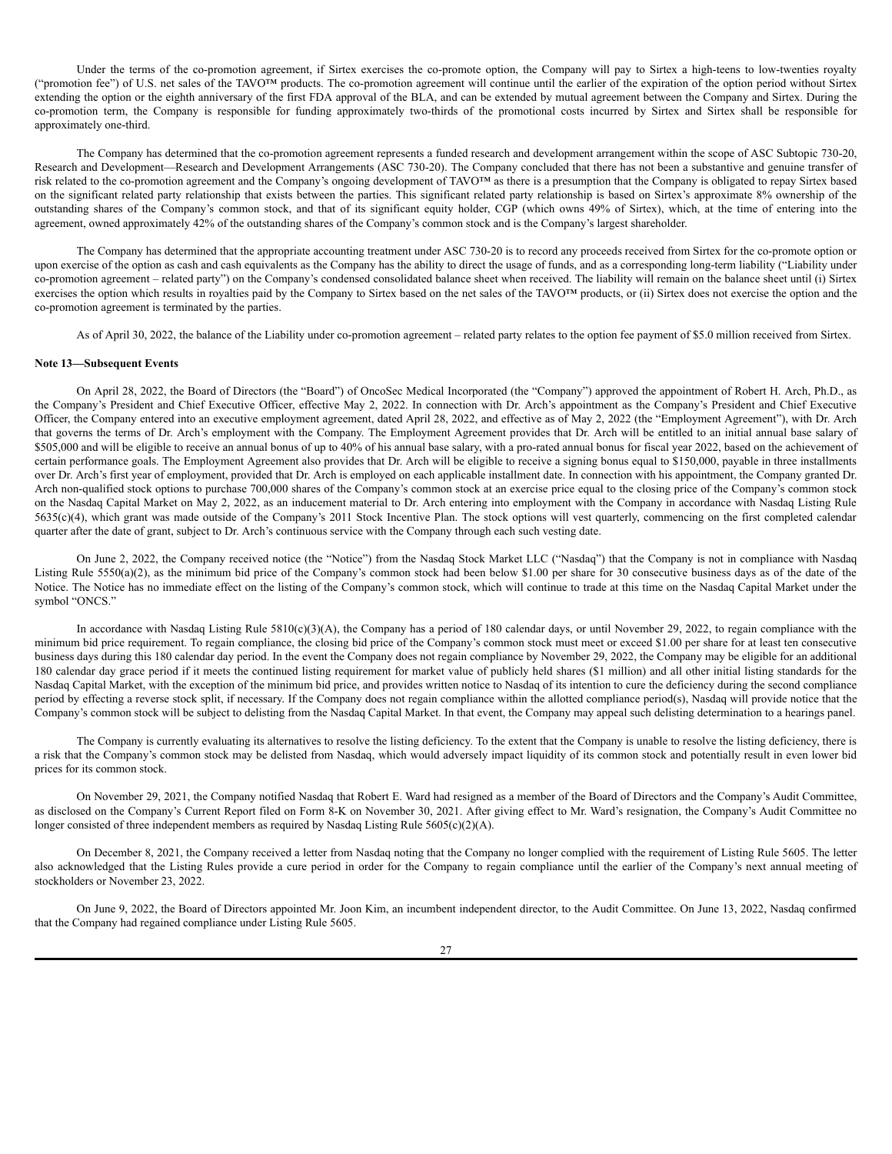Under the terms of the co-promotion agreement, if Sirtex exercises the co-promote option, the Company will pay to Sirtex a high-teens to low-twenties royalty ("promotion fee") of U.S. net sales of the TAVO™ products. The co-promotion agreement will continue until the earlier of the expiration of the option period without Sirtex extending the option or the eighth anniversary of the first FDA approval of the BLA, and can be extended by mutual agreement between the Company and Sirtex. During the co-promotion term, the Company is responsible for funding approximately two-thirds of the promotional costs incurred by Sirtex and Sirtex shall be responsible for approximately one-third.

The Company has determined that the co-promotion agreement represents a funded research and development arrangement within the scope of ASC Subtopic 730-20, Research and Development—Research and Development Arrangements (ASC 730-20). The Company concluded that there has not been a substantive and genuine transfer of risk related to the co-promotion agreement and the Company's ongoing development of TAVO™ as there is a presumption that the Company is obligated to repay Sirtex based on the significant related party relationship that exists between the parties. This significant related party relationship is based on Sirtex's approximate 8% ownership of the outstanding shares of the Company's common stock, and that of its significant equity holder, CGP (which owns 49% of Sirtex), which, at the time of entering into the agreement, owned approximately 42% of the outstanding shares of the Company's common stock and is the Company's largest shareholder.

The Company has determined that the appropriate accounting treatment under ASC 730-20 is to record any proceeds received from Sirtex for the co-promote option or upon exercise of the option as cash and cash equivalents as the Company has the ability to direct the usage of funds, and as a corresponding long-term liability ("Liability under co-promotion agreement – related party") on the Company's condensed consolidated balance sheet when received. The liability will remain on the balance sheet until (i) Sirtex exercises the option which results in royalties paid by the Company to Sirtex based on the net sales of the TAVO<sup>TM</sup> products, or (ii) Sirtex does not exercise the option and the co-promotion agreement is terminated by the parties.

As of April 30, 2022, the balance of the Liability under co-promotion agreement – related party relates to the option fee payment of \$5.0 million received from Sirtex.

## **Note 13—Subsequent Events**

On April 28, 2022, the Board of Directors (the "Board") of OncoSec Medical Incorporated (the "Company") approved the appointment of Robert H. Arch, Ph.D., as the Company's President and Chief Executive Officer, effective May 2, 2022. In connection with Dr. Arch's appointment as the Company's President and Chief Executive Officer, the Company entered into an executive employment agreement, dated April 28, 2022, and effective as of May 2, 2022 (the "Employment Agreement"), with Dr. Arch that governs the terms of Dr. Arch's employment with the Company. The Employment Agreement provides that Dr. Arch will be entitled to an initial annual base salary of \$505,000 and will be eligible to receive an annual bonus of up to 40% of his annual base salary, with a pro-rated annual bonus for fiscal year 2022, based on the achievement of certain performance goals. The Employment Agreement also provides that Dr. Arch will be eligible to receive a signing bonus equal to \$150,000, payable in three installments over Dr. Arch's first year of employment, provided that Dr. Arch is employed on each applicable installment date. In connection with his appointment, the Company granted Dr. Arch non-qualified stock options to purchase 700,000 shares of the Company's common stock at an exercise price equal to the closing price of the Company's common stock on the Nasdaq Capital Market on May 2, 2022, as an inducement material to Dr. Arch entering into employment with the Company in accordance with Nasdaq Listing Rule 5635(c)(4), which grant was made outside of the Company's 2011 Stock Incentive Plan. The stock options will vest quarterly, commencing on the first completed calendar quarter after the date of grant, subject to Dr. Arch's continuous service with the Company through each such vesting date.

On June 2, 2022, the Company received notice (the "Notice") from the Nasdaq Stock Market LLC ("Nasdaq") that the Company is not in compliance with Nasdaq Listing Rule  $5550(a)(2)$ , as the minimum bid price of the Company's common stock had been below \$1.00 per share for 30 consecutive business days as of the date of the Notice. The Notice has no immediate effect on the listing of the Company's common stock, which will continue to trade at this time on the Nasdaq Capital Market under the symbol "ONCS."

In accordance with Nasdaq Listing Rule 5810(c)(3)(A), the Company has a period of 180 calendar days, or until November 29, 2022, to regain compliance with the minimum bid price requirement. To regain compliance, the closing bid price of the Company's common stock must meet or exceed \$1.00 per share for at least ten consecutive business days during this 180 calendar day period. In the event the Company does not regain compliance by November 29, 2022, the Company may be eligible for an additional 180 calendar day grace period if it meets the continued listing requirement for market value of publicly held shares (\$1 million) and all other initial listing standards for the Nasdaq Capital Market, with the exception of the minimum bid price, and provides written notice to Nasdaq of its intention to cure the deficiency during the second compliance period by effecting a reverse stock split, if necessary. If the Company does not regain compliance within the allotted compliance period(s), Nasdaq will provide notice that the Company's common stock will be subject to delisting from the Nasdaq Capital Market. In that event, the Company may appeal such delisting determination to a hearings panel.

The Company is currently evaluating its alternatives to resolve the listing deficiency. To the extent that the Company is unable to resolve the listing deficiency, there is a risk that the Company's common stock may be delisted from Nasdaq, which would adversely impact liquidity of its common stock and potentially result in even lower bid prices for its common stock.

On November 29, 2021, the Company notified Nasdaq that Robert E. Ward had resigned as a member of the Board of Directors and the Company's Audit Committee, as disclosed on the Company's Current Report filed on Form 8-K on November 30, 2021. After giving effect to Mr. Ward's resignation, the Company's Audit Committee no longer consisted of three independent members as required by Nasdaq Listing Rule 5605(c)(2)(A).

On December 8, 2021, the Company received a letter from Nasdaq noting that the Company no longer complied with the requirement of Listing Rule 5605. The letter also acknowledged that the Listing Rules provide a cure period in order for the Company to regain compliance until the earlier of the Company's next annual meeting of stockholders or November 23, 2022.

On June 9, 2022, the Board of Directors appointed Mr. Joon Kim, an incumbent independent director, to the Audit Committee. On June 13, 2022, Nasdaq confirmed that the Company had regained compliance under Listing Rule 5605.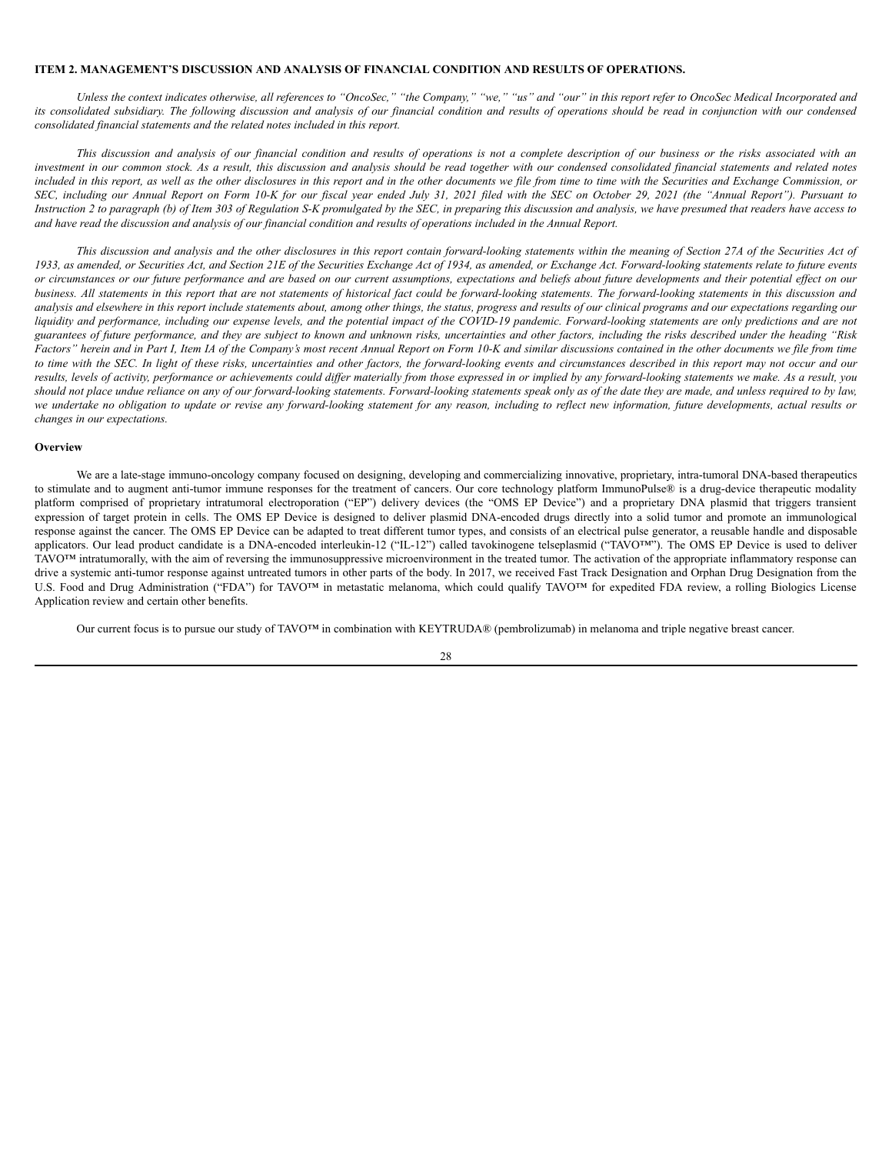#### <span id="page-27-0"></span>**ITEM 2. MANAGEMENT'S DISCUSSION AND ANALYSIS OF FINANCIAL CONDITION AND RESULTS OF OPERATIONS.**

Unless the context indicates otherwise, all references to "OncoSec," "the Company," "we," "us" and "our" in this report refer to OncoSec Medical Incorporated and its consolidated subsidiary. The following discussion and analysis of our financial condition and results of operations should be read in conjunction with our condensed *consolidated financial statements and the related notes included in this report.*

This discussion and analysis of our financial condition and results of operations is not a complete description of our business or the risks associated with an investment in our common stock. As a result, this discussion and analysis should be read together with our condensed consolidated financial statements and related notes included in this report, as well as the other disclosures in this report and in the other documents we file from time to time with the Securities and Exchange Commission, or SEC, including our Annual Report on Form 10-K for our fiscal year ended July 31, 2021 filed with the SEC on October 29, 2021 (the "Annual Report"). Pursuant to Instruction 2 to paragraph (b) of Item 303 of Regulation S-K promulgated by the SEC, in preparing this discussion and analysis, we have presumed that readers have access to and have read the discussion and analysis of our financial condition and results of operations included in the Annual Report.

This discussion and analysis and the other disclosures in this report contain forward-looking statements within the meaning of Section 27A of the Securities Act of 1933, as amended, or Securities Act, and Section 21E of the Securities Exchange Act of 1934, as amended, or Exchange Act. Forward-looking statements relate to future events or circumstances or our future performance and are based on our current assumptions, expectations and beliefs about future developments and their potential effect on our business. All statements in this report that are not statements of historical fact could be forward-looking statements. The forward-looking statements in this discussion and analysis and elsewhere in this report include statements about, among other things, the status, progress and results of our clinical programs and our expectations regarding our liquidity and performance, including our expense levels, and the potential impact of the COVID-19 pandemic. Forward-looking statements are only predictions and are not guarantees of future performance, and they are subject to known and unknown risks, uncertainties and other factors, including the risks described under the heading "Risk Factors" herein and in Part I, Item IA of the Company's most recent Annual Report on Form 10-K and similar discussions contained in the other documents we file from time to time with the SEC. In light of these risks, uncertainties and other factors, the forward-looking events and circumstances described in this report may not occur and our results, levels of activity, performance or achievements could differ materially from those expressed in or implied by any forward-looking statements we make. As a result, you should not place undue reliance on any of our forward-looking statements. Forward-looking statements speak only as of the date they are made, and unless required to by law, we undertake no obligation to update or revise any forward-looking statement for any reason, including to reflect new information, future developments, actual results or *changes in our expectations.*

#### **Overview**

We are a late-stage immuno-oncology company focused on designing, developing and commercializing innovative, proprietary, intra-tumoral DNA-based therapeutics to stimulate and to augment anti-tumor immune responses for the treatment of cancers. Our core technology platform ImmunoPulse® is a drug-device therapeutic modality platform comprised of proprietary intratumoral electroporation ("EP") delivery devices (the "OMS EP Device") and a proprietary DNA plasmid that triggers transient expression of target protein in cells. The OMS EP Device is designed to deliver plasmid DNA-encoded drugs directly into a solid tumor and promote an immunological response against the cancer. The OMS EP Device can be adapted to treat different tumor types, and consists of an electrical pulse generator, a reusable handle and disposable applicators. Our lead product candidate is a DNA-encoded interleukin-12 ("IL-12") called tavokinogene telseplasmid ("TAVO™"). The OMS EP Device is used to deliver TAVO™ intratumorally, with the aim of reversing the immunosuppressive microenvironment in the treated tumor. The activation of the appropriate inflammatory response can drive a systemic anti-tumor response against untreated tumors in other parts of the body. In 2017, we received Fast Track Designation and Orphan Drug Designation from the U.S. Food and Drug Administration ("FDA") for TAVO™ in metastatic melanoma, which could qualify TAVO™ for expedited FDA review, a rolling Biologics License Application review and certain other benefits.

Our current focus is to pursue our study of TAVO<sup>™</sup> in combination with KEYTRUDA® (pembrolizumab) in melanoma and triple negative breast cancer.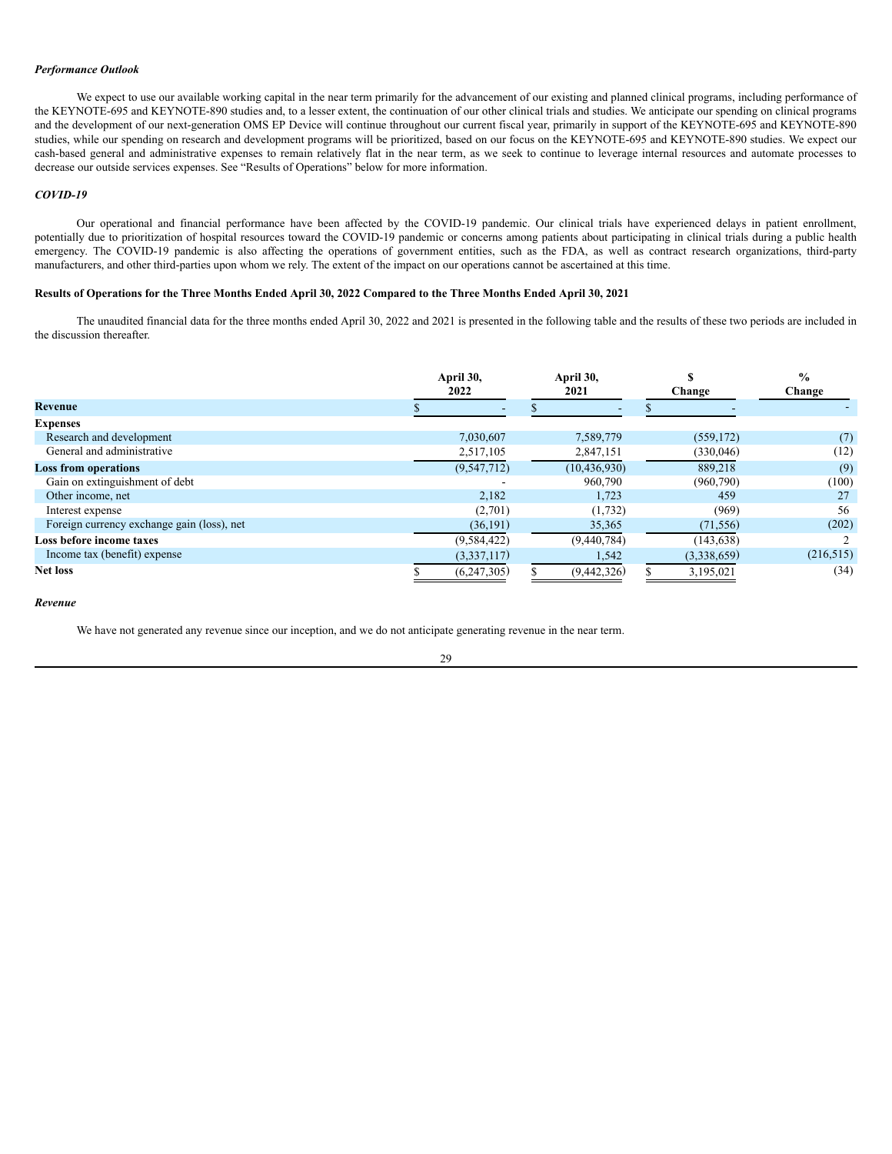## *Performance Outlook*

We expect to use our available working capital in the near term primarily for the advancement of our existing and planned clinical programs, including performance of the KEYNOTE-695 and KEYNOTE-890 studies and, to a lesser extent, the continuation of our other clinical trials and studies. We anticipate our spending on clinical programs and the development of our next-generation OMS EP Device will continue throughout our current fiscal year, primarily in support of the KEYNOTE-695 and KEYNOTE-890 studies, while our spending on research and development programs will be prioritized, based on our focus on the KEYNOTE-695 and KEYNOTE-890 studies. We expect our cash-based general and administrative expenses to remain relatively flat in the near term, as we seek to continue to leverage internal resources and automate processes to decrease our outside services expenses. See "Results of Operations" below for more information.

## *COVID-19*

Our operational and financial performance have been affected by the COVID-19 pandemic. Our clinical trials have experienced delays in patient enrollment, potentially due to prioritization of hospital resources toward the COVID-19 pandemic or concerns among patients about participating in clinical trials during a public health emergency. The COVID-19 pandemic is also affecting the operations of government entities, such as the FDA, as well as contract research organizations, third-party manufacturers, and other third-parties upon whom we rely. The extent of the impact on our operations cannot be ascertained at this time.

## Results of Operations for the Three Months Ended April 30, 2022 Compared to the Three Months Ended April 30, 2021

The unaudited financial data for the three months ended April 30, 2022 and 2021 is presented in the following table and the results of these two periods are included in the discussion thereafter.

|                                            | April 30,<br>2022 | April 30,<br>2021 | Change      | $\frac{6}{9}$<br>Change |
|--------------------------------------------|-------------------|-------------------|-------------|-------------------------|
| Revenue                                    |                   |                   |             |                         |
| <b>Expenses</b>                            |                   |                   |             |                         |
| Research and development                   | 7,030,607         | 7,589,779         | (559, 172)  | (7)                     |
| General and administrative                 | 2,517,105         | 2,847,151         | (330, 046)  | (12)                    |
| <b>Loss from operations</b>                | (9,547,712)       | (10, 436, 930)    | 889,218     | (9)                     |
| Gain on extinguishment of debt             |                   | 960,790           | (960, 790)  | (100)                   |
| Other income, net                          | 2,182             | 1,723             | 459         | 27                      |
| Interest expense                           | (2,701)           | (1,732)           | (969)       | 56                      |
| Foreign currency exchange gain (loss), net | (36, 191)         | 35,365            | (71, 556)   | (202)                   |
| Loss before income taxes                   | (9, 584, 422)     | (9,440,784)       | (143, 638)  |                         |
| Income tax (benefit) expense               | (3,337,117)       | 1,542             | (3,338,659) | (216, 515)              |
| <b>Net loss</b>                            | (6,247,305)       | (9,442,326)       | 3,195,021   | (34)                    |

#### *Revenue*

We have not generated any revenue since our inception, and we do not anticipate generating revenue in the near term.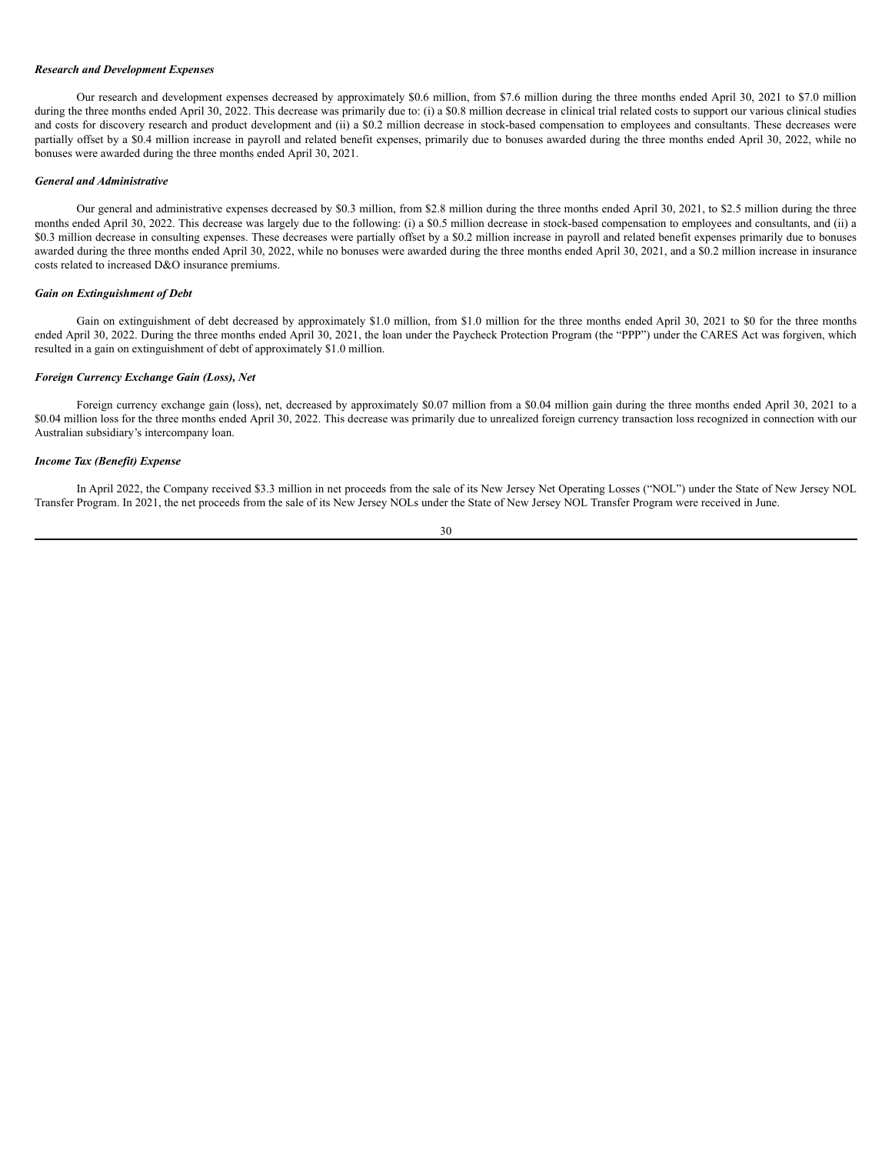#### *Research and Development Expenses*

Our research and development expenses decreased by approximately \$0.6 million, from \$7.6 million during the three months ended April 30, 2021 to \$7.0 million during the three months ended April 30, 2022. This decrease was primarily due to: (i) a \$0.8 million decrease in clinical trial related costs to support our various clinical studies and costs for discovery research and product development and (ii) a \$0.2 million decrease in stock-based compensation to employees and consultants. These decreases were partially offset by a \$0.4 million increase in payroll and related benefit expenses, primarily due to bonuses awarded during the three months ended April 30, 2022, while no bonuses were awarded during the three months ended April 30, 2021.

#### *General and Administrative*

Our general and administrative expenses decreased by \$0.3 million, from \$2.8 million during the three months ended April 30, 2021, to \$2.5 million during the three months ended April 30, 2022. This decrease was largely due to the following: (i) a \$0.5 million decrease in stock-based compensation to employees and consultants, and (ii) a \$0.3 million decrease in consulting expenses. These decreases were partially offset by a \$0.2 million increase in payroll and related benefit expenses primarily due to bonuses awarded during the three months ended April 30, 2022, while no bonuses were awarded during the three months ended April 30, 2021, and a \$0.2 million increase in insurance costs related to increased D&O insurance premiums.

#### *Gain on Extinguishment of Debt*

Gain on extinguishment of debt decreased by approximately \$1.0 million, from \$1.0 million for the three months ended April 30, 2021 to \$0 for the three months ended April 30, 2022. During the three months ended April 30, 2021, the loan under the Paycheck Protection Program (the "PPP") under the CARES Act was forgiven, which resulted in a gain on extinguishment of debt of approximately \$1.0 million.

## *Foreign Currency Exchange Gain (Loss), Net*

Foreign currency exchange gain (loss), net, decreased by approximately \$0.07 million from a \$0.04 million gain during the three months ended April 30, 2021 to a \$0.04 million loss for the three months ended April 30, 2022. This decrease was primarily due to unrealized foreign currency transaction loss recognized in connection with our Australian subsidiary's intercompany loan.

#### *Income Tax (Benefit) Expense*

In April 2022, the Company received \$3.3 million in net proceeds from the sale of its New Jersey Net Operating Losses ("NOL") under the State of New Jersey NOL Transfer Program. In 2021, the net proceeds from the sale of its New Jersey NOLs under the State of New Jersey NOL Transfer Program were received in June.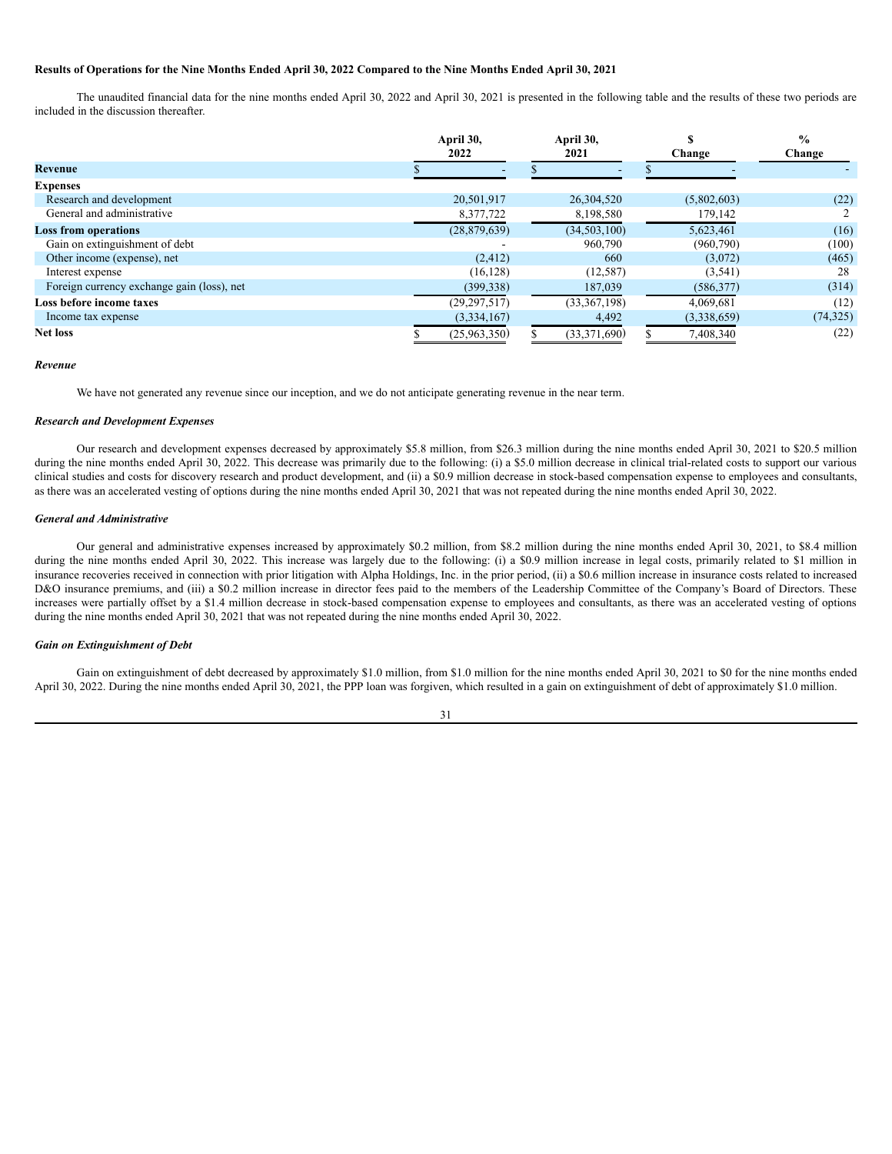## Results of Operations for the Nine Months Ended April 30, 2022 Compared to the Nine Months Ended April 30, 2021

The unaudited financial data for the nine months ended April 30, 2022 and April 30, 2021 is presented in the following table and the results of these two periods are included in the discussion thereafter.

|                                            | April 30,<br>2022 | April 30,<br>2021 | Change      | $\frac{0}{0}$<br>Change |
|--------------------------------------------|-------------------|-------------------|-------------|-------------------------|
| <b>Revenue</b>                             |                   |                   |             |                         |
| <b>Expenses</b>                            |                   |                   |             |                         |
| Research and development                   | 20,501,917        | 26,304,520        | (5,802,603) | (22)                    |
| General and administrative                 | 8,377,722         | 8,198,580         | 179,142     |                         |
| <b>Loss from operations</b>                | (28,879,639)      | (34,503,100)      | 5,623,461   | (16)                    |
| Gain on extinguishment of debt             |                   | 960,790           | (960, 790)  | (100)                   |
| Other income (expense), net                | (2, 412)          | 660               | (3,072)     | (465)                   |
| Interest expense                           | (16, 128)         | (12, 587)         | (3, 541)    | 28                      |
| Foreign currency exchange gain (loss), net | (399, 338)        | 187,039           | (586, 377)  | (314)                   |
| Loss before income taxes                   | (29, 297, 517)    | (33,367,198)      | 4,069,681   | (12)                    |
| Income tax expense                         | (3,334,167)       | 4,492             | (3,338,659) | (74, 325)               |
| <b>Net loss</b>                            | (25,963,350)      | (33,371,690)      | 7,408,340   | (22)                    |

#### *Revenue*

We have not generated any revenue since our inception, and we do not anticipate generating revenue in the near term.

#### *Research and Development Expenses*

Our research and development expenses decreased by approximately \$5.8 million, from \$26.3 million during the nine months ended April 30, 2021 to \$20.5 million during the nine months ended April 30, 2022. This decrease was primarily due to the following: (i) a \$5.0 million decrease in clinical trial-related costs to support our various clinical studies and costs for discovery research and product development, and (ii) a \$0.9 million decrease in stock-based compensation expense to employees and consultants, as there was an accelerated vesting of options during the nine months ended April 30, 2021 that was not repeated during the nine months ended April 30, 2022.

#### *General and Administrative*

Our general and administrative expenses increased by approximately \$0.2 million, from \$8.2 million during the nine months ended April 30, 2021, to \$8.4 million during the nine months ended April 30, 2022. This increase was largely due to the following: (i) a \$0.9 million increase in legal costs, primarily related to \$1 million in insurance recoveries received in connection with prior litigation with Alpha Holdings, Inc. in the prior period, (ii) a \$0.6 million increase in insurance costs related to increased D&O insurance premiums, and (iii) a \$0.2 million increase in director fees paid to the members of the Leadership Committee of the Company's Board of Directors. These increases were partially offset by a \$1.4 million decrease in stock-based compensation expense to employees and consultants, as there was an accelerated vesting of options during the nine months ended April 30, 2021 that was not repeated during the nine months ended April 30, 2022.

#### *Gain on Extinguishment of Debt*

Gain on extinguishment of debt decreased by approximately \$1.0 million, from \$1.0 million for the nine months ended April 30, 2021 to \$0 for the nine months ended April 30, 2022. During the nine months ended April 30, 2021, the PPP loan was forgiven, which resulted in a gain on extinguishment of debt of approximately \$1.0 million.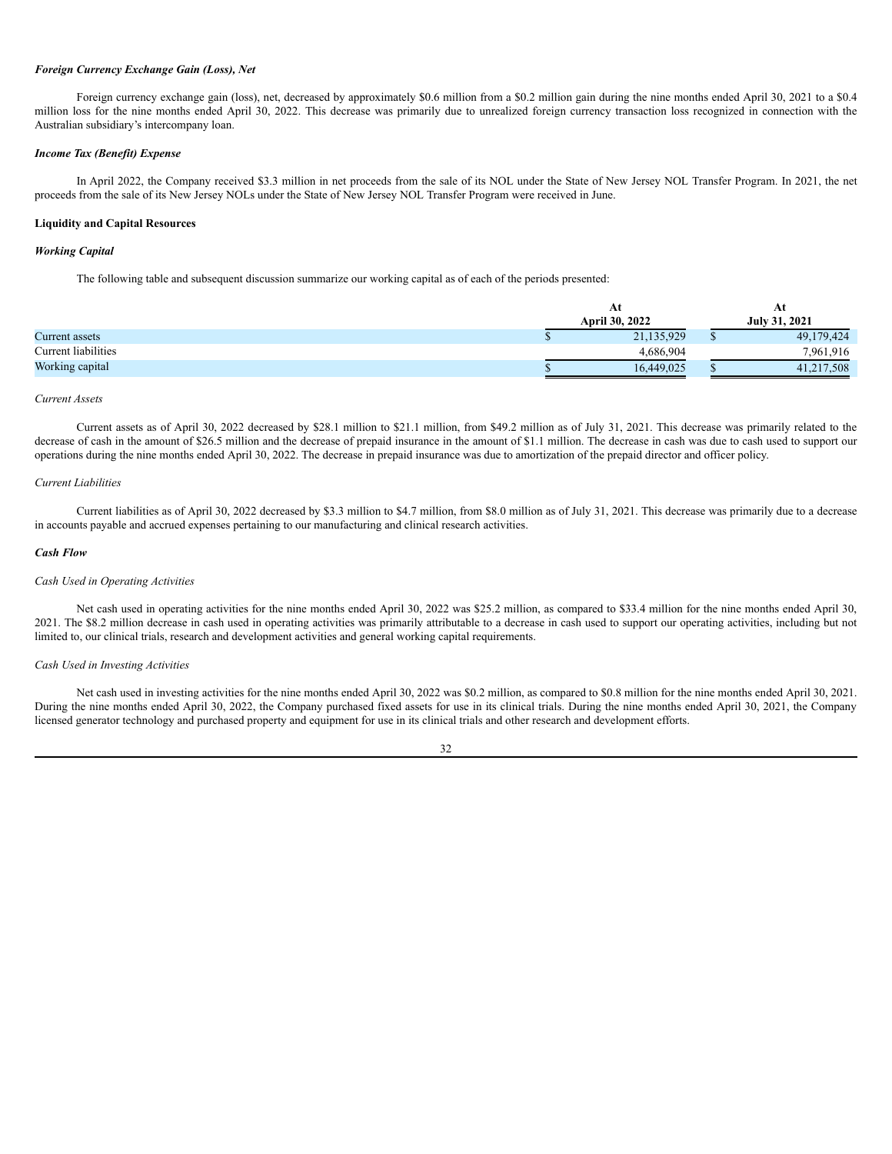## *Foreign Currency Exchange Gain (Loss), Net*

Foreign currency exchange gain (loss), net, decreased by approximately \$0.6 million from a \$0.2 million gain during the nine months ended April 30, 2021 to a \$0.4 million loss for the nine months ended April 30, 2022. This decrease was primarily due to unrealized foreign currency transaction loss recognized in connection with the Australian subsidiary's intercompany loan.

#### *Income Tax (Benefit) Expense*

In April 2022, the Company received \$3.3 million in net proceeds from the sale of its NOL under the State of New Jersey NOL Transfer Program. In 2021, the net proceeds from the sale of its New Jersey NOLs under the State of New Jersey NOL Transfer Program were received in June.

## **Liquidity and Capital Resources**

#### *Working Capital*

The following table and subsequent discussion summarize our working capital as of each of the periods presented:

|                     | ΑU                    |  | Αt<br>July 31, 2021 |  |
|---------------------|-----------------------|--|---------------------|--|
|                     | <b>April 30, 2022</b> |  |                     |  |
| Current assets      | 21,135,929            |  | 49,179,424          |  |
| Current liabilities | 4.686.904             |  | 7,961,916           |  |
| Working capital     | 16.449.025            |  | 41,217,508          |  |

#### *Current Assets*

Current assets as of April 30, 2022 decreased by \$28.1 million to \$21.1 million, from \$49.2 million as of July 31, 2021. This decrease was primarily related to the decrease of cash in the amount of \$26.5 million and the decrease of prepaid insurance in the amount of \$1.1 million. The decrease in cash was due to cash used to support our operations during the nine months ended April 30, 2022. The decrease in prepaid insurance was due to amortization of the prepaid director and officer policy.

## *Current Liabilities*

Current liabilities as of April 30, 2022 decreased by \$3.3 million to \$4.7 million, from \$8.0 million as of July 31, 2021. This decrease was primarily due to a decrease in accounts payable and accrued expenses pertaining to our manufacturing and clinical research activities.

#### *Cash Flow*

#### *Cash Used in Operating Activities*

Net cash used in operating activities for the nine months ended April 30, 2022 was \$25.2 million, as compared to \$33.4 million for the nine months ended April 30, 2021. The \$8.2 million decrease in cash used in operating activities was primarily attributable to a decrease in cash used to support our operating activities, including but not limited to, our clinical trials, research and development activities and general working capital requirements.

#### *Cash Used in Investing Activities*

Net cash used in investing activities for the nine months ended April 30, 2022 was \$0.2 million, as compared to \$0.8 million for the nine months ended April 30, 2021. During the nine months ended April 30, 2022, the Company purchased fixed assets for use in its clinical trials. During the nine months ended April 30, 2021, the Company licensed generator technology and purchased property and equipment for use in its clinical trials and other research and development efforts.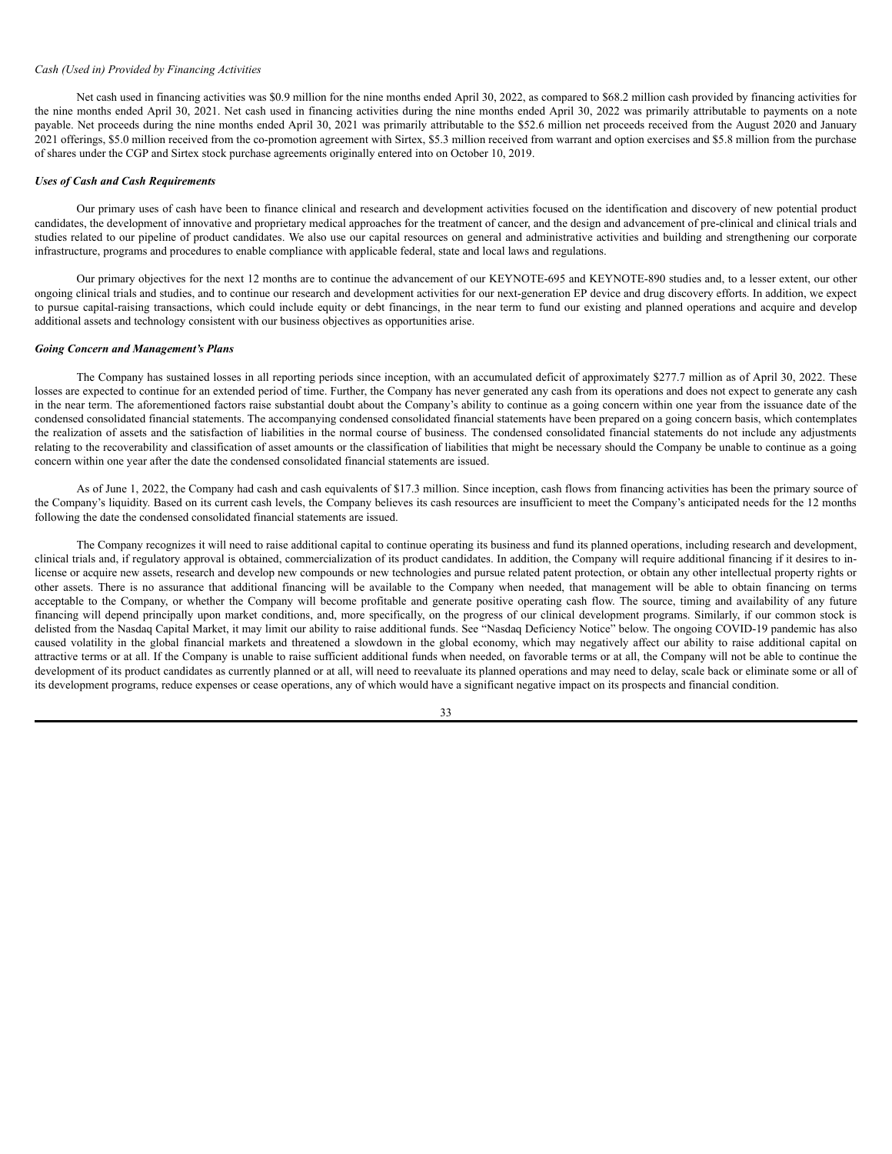### *Cash (Used in) Provided by Financing Activities*

Net cash used in financing activities was \$0.9 million for the nine months ended April 30, 2022, as compared to \$68.2 million cash provided by financing activities for the nine months ended April 30, 2021. Net cash used in financing activities during the nine months ended April 30, 2022 was primarily attributable to payments on a note payable. Net proceeds during the nine months ended April 30, 2021 was primarily attributable to the \$52.6 million net proceeds received from the August 2020 and January 2021 offerings, \$5.0 million received from the co-promotion agreement with Sirtex, \$5.3 million received from warrant and option exercises and \$5.8 million from the purchase of shares under the CGP and Sirtex stock purchase agreements originally entered into on October 10, 2019.

### *Uses of Cash and Cash Requirements*

Our primary uses of cash have been to finance clinical and research and development activities focused on the identification and discovery of new potential product candidates, the development of innovative and proprietary medical approaches for the treatment of cancer, and the design and advancement of pre-clinical and clinical trials and studies related to our pipeline of product candidates. We also use our capital resources on general and administrative activities and building and strengthening our corporate infrastructure, programs and procedures to enable compliance with applicable federal, state and local laws and regulations.

Our primary objectives for the next 12 months are to continue the advancement of our KEYNOTE-695 and KEYNOTE-890 studies and, to a lesser extent, our other ongoing clinical trials and studies, and to continue our research and development activities for our next-generation EP device and drug discovery efforts. In addition, we expect to pursue capital-raising transactions, which could include equity or debt financings, in the near term to fund our existing and planned operations and acquire and develop additional assets and technology consistent with our business objectives as opportunities arise.

#### *Going Concern and Management's Plans*

The Company has sustained losses in all reporting periods since inception, with an accumulated deficit of approximately \$277.7 million as of April 30, 2022. These losses are expected to continue for an extended period of time. Further, the Company has never generated any cash from its operations and does not expect to generate any cash in the near term. The aforementioned factors raise substantial doubt about the Company's ability to continue as a going concern within one year from the issuance date of the condensed consolidated financial statements. The accompanying condensed consolidated financial statements have been prepared on a going concern basis, which contemplates the realization of assets and the satisfaction of liabilities in the normal course of business. The condensed consolidated financial statements do not include any adjustments relating to the recoverability and classification of asset amounts or the classification of liabilities that might be necessary should the Company be unable to continue as a going concern within one year after the date the condensed consolidated financial statements are issued.

As of June 1, 2022, the Company had cash and cash equivalents of \$17.3 million. Since inception, cash flows from financing activities has been the primary source of the Company's liquidity. Based on its current cash levels, the Company believes its cash resources are insufficient to meet the Company's anticipated needs for the 12 months following the date the condensed consolidated financial statements are issued.

The Company recognizes it will need to raise additional capital to continue operating its business and fund its planned operations, including research and development, clinical trials and, if regulatory approval is obtained, commercialization of its product candidates. In addition, the Company will require additional financing if it desires to inlicense or acquire new assets, research and develop new compounds or new technologies and pursue related patent protection, or obtain any other intellectual property rights or other assets. There is no assurance that additional financing will be available to the Company when needed, that management will be able to obtain financing on terms acceptable to the Company, or whether the Company will become profitable and generate positive operating cash flow. The source, timing and availability of any future financing will depend principally upon market conditions, and, more specifically, on the progress of our clinical development programs. Similarly, if our common stock is delisted from the Nasdaq Capital Market, it may limit our ability to raise additional funds. See "Nasdaq Deficiency Notice" below. The ongoing COVID-19 pandemic has also caused volatility in the global financial markets and threatened a slowdown in the global economy, which may negatively affect our ability to raise additional capital on attractive terms or at all. If the Company is unable to raise sufficient additional funds when needed, on favorable terms or at all, the Company will not be able to continue the development of its product candidates as currently planned or at all, will need to reevaluate its planned operations and may need to delay, scale back or eliminate some or all of its development programs, reduce expenses or cease operations, any of which would have a significant negative impact on its prospects and financial condition.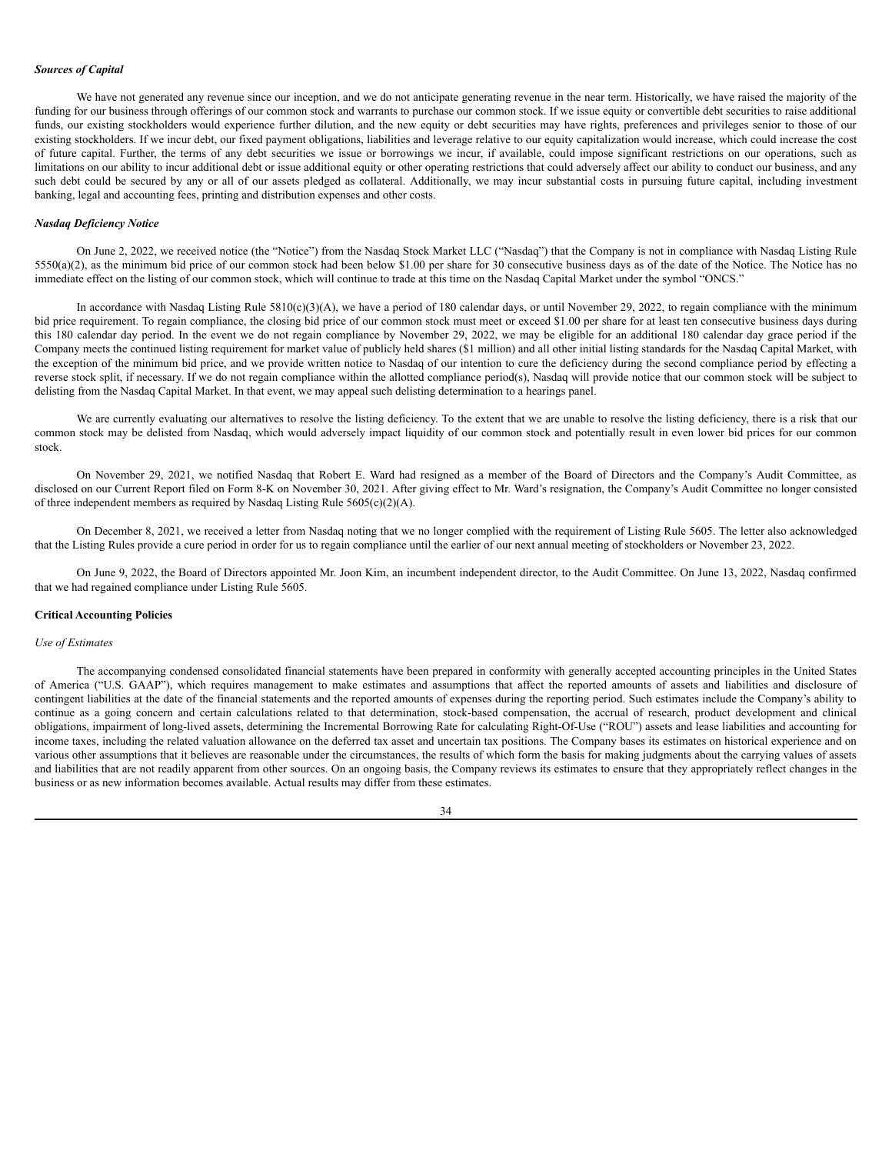## *Sources of Capital*

We have not generated any revenue since our inception, and we do not anticipate generating revenue in the near term. Historically, we have raised the majority of the funding for our business through offerings of our common stock and warrants to purchase our common stock. If we issue equity or convertible debt securities to raise additional funds, our existing stockholders would experience further dilution, and the new equity or debt securities may have rights, preferences and privileges senior to those of our existing stockholders. If we incur debt, our fixed payment obligations, liabilities and leverage relative to our equity capitalization would increase, which could increase the cost of future capital. Further, the terms of any debt securities we issue or borrowings we incur, if available, could impose significant restrictions on our operations, such as limitations on our ability to incur additional debt or issue additional equity or other operating restrictions that could adversely affect our ability to conduct our business, and any such debt could be secured by any or all of our assets pledged as collateral. Additionally, we may incur substantial costs in pursuing future capital, including investment banking, legal and accounting fees, printing and distribution expenses and other costs.

## *Nasdaq Deficiency Notice*

On June 2, 2022, we received notice (the "Notice") from the Nasdaq Stock Market LLC ("Nasdaq") that the Company is not in compliance with Nasdaq Listing Rule  $5550(a)(2)$ , as the minimum bid price of our common stock had been below \$1.00 per share for 30 consecutive business days as of the date of the Notice. The Notice has no immediate effect on the listing of our common stock, which will continue to trade at this time on the Nasdaq Capital Market under the symbol "ONCS."

In accordance with Nasdaq Listing Rule  $5810(c)(3)(A)$ , we have a period of 180 calendar days, or until November 29, 2022, to regain compliance with the minimum bid price requirement. To regain compliance, the closing bid price of our common stock must meet or exceed \$1.00 per share for at least ten consecutive business days during this 180 calendar day period. In the event we do not regain compliance by November 29, 2022, we may be eligible for an additional 180 calendar day grace period if the Company meets the continued listing requirement for market value of publicly held shares (\$1 million) and all other initial listing standards for the Nasdaq Capital Market, with the exception of the minimum bid price, and we provide written notice to Nasdaq of our intention to cure the deficiency during the second compliance period by effecting a reverse stock split, if necessary. If we do not regain compliance within the allotted compliance period(s), Nasdaq will provide notice that our common stock will be subject to delisting from the Nasdaq Capital Market. In that event, we may appeal such delisting determination to a hearings panel.

We are currently evaluating our alternatives to resolve the listing deficiency. To the extent that we are unable to resolve the listing deficiency, there is a risk that our common stock may be delisted from Nasdaq, which would adversely impact liquidity of our common stock and potentially result in even lower bid prices for our common stock.

On November 29, 2021, we notified Nasdaq that Robert E. Ward had resigned as a member of the Board of Directors and the Company's Audit Committee, as disclosed on our Current Report filed on Form 8-K on November 30, 2021. After giving effect to Mr. Ward's resignation, the Company's Audit Committee no longer consisted of three independent members as required by Nasdaq Listing Rule 5605(c)(2)(A).

On December 8, 2021, we received a letter from Nasdaq noting that we no longer complied with the requirement of Listing Rule 5605. The letter also acknowledged that the Listing Rules provide a cure period in order for us to regain compliance until the earlier of our next annual meeting of stockholders or November 23, 2022.

On June 9, 2022, the Board of Directors appointed Mr. Joon Kim, an incumbent independent director, to the Audit Committee. On June 13, 2022, Nasdaq confirmed that we had regained compliance under Listing Rule 5605.

## **Critical Accounting Policies**

## *Use of Estimates*

The accompanying condensed consolidated financial statements have been prepared in conformity with generally accepted accounting principles in the United States of America ("U.S. GAAP"), which requires management to make estimates and assumptions that affect the reported amounts of assets and liabilities and disclosure of contingent liabilities at the date of the financial statements and the reported amounts of expenses during the reporting period. Such estimates include the Company's ability to continue as a going concern and certain calculations related to that determination, stock-based compensation, the accrual of research, product development and clinical obligations, impairment of long-lived assets, determining the Incremental Borrowing Rate for calculating Right-Of-Use ("ROU") assets and lease liabilities and accounting for income taxes, including the related valuation allowance on the deferred tax asset and uncertain tax positions. The Company bases its estimates on historical experience and on various other assumptions that it believes are reasonable under the circumstances, the results of which form the basis for making judgments about the carrying values of assets and liabilities that are not readily apparent from other sources. On an ongoing basis, the Company reviews its estimates to ensure that they appropriately reflect changes in the business or as new information becomes available. Actual results may differ from these estimates.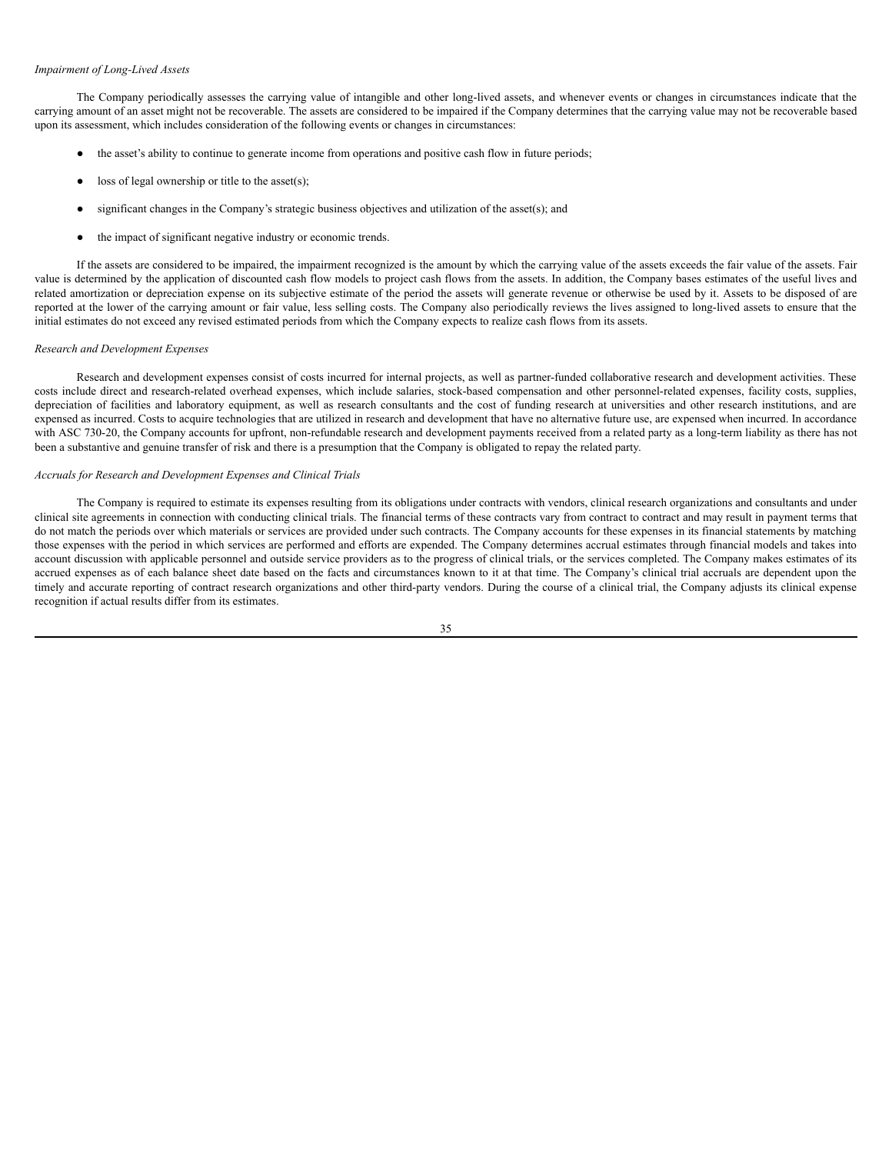## *Impairment of Long-Lived Assets*

The Company periodically assesses the carrying value of intangible and other long-lived assets, and whenever events or changes in circumstances indicate that the carrying amount of an asset might not be recoverable. The assets are considered to be impaired if the Company determines that the carrying value may not be recoverable based upon its assessment, which includes consideration of the following events or changes in circumstances:

- the asset's ability to continue to generate income from operations and positive cash flow in future periods;
- loss of legal ownership or title to the asset $(s)$ ;
- significant changes in the Company's strategic business objectives and utilization of the asset(s); and
- the impact of significant negative industry or economic trends.

If the assets are considered to be impaired, the impairment recognized is the amount by which the carrying value of the assets exceeds the fair value of the assets. Fair value is determined by the application of discounted cash flow models to project cash flows from the assets. In addition, the Company bases estimates of the useful lives and related amortization or depreciation expense on its subjective estimate of the period the assets will generate revenue or otherwise be used by it. Assets to be disposed of are reported at the lower of the carrying amount or fair value, less selling costs. The Company also periodically reviews the lives assigned to long-lived assets to ensure that the initial estimates do not exceed any revised estimated periods from which the Company expects to realize cash flows from its assets.

#### *Research and Development Expenses*

Research and development expenses consist of costs incurred for internal projects, as well as partner-funded collaborative research and development activities. These costs include direct and research-related overhead expenses, which include salaries, stock-based compensation and other personnel-related expenses, facility costs, supplies, depreciation of facilities and laboratory equipment, as well as research consultants and the cost of funding research at universities and other research institutions, and are expensed as incurred. Costs to acquire technologies that are utilized in research and development that have no alternative future use, are expensed when incurred. In accordance with ASC 730-20, the Company accounts for upfront, non-refundable research and development payments received from a related party as a long-term liability as there has not been a substantive and genuine transfer of risk and there is a presumption that the Company is obligated to repay the related party.

## *Accruals for Research and Development Expenses and Clinical Trials*

The Company is required to estimate its expenses resulting from its obligations under contracts with vendors, clinical research organizations and consultants and under clinical site agreements in connection with conducting clinical trials. The financial terms of these contracts vary from contract to contract and may result in payment terms that do not match the periods over which materials or services are provided under such contracts. The Company accounts for these expenses in its financial statements by matching those expenses with the period in which services are performed and efforts are expended. The Company determines accrual estimates through financial models and takes into account discussion with applicable personnel and outside service providers as to the progress of clinical trials, or the services completed. The Company makes estimates of its accrued expenses as of each balance sheet date based on the facts and circumstances known to it at that time. The Company's clinical trial accruals are dependent upon the timely and accurate reporting of contract research organizations and other third-party vendors. During the course of a clinical trial, the Company adjusts its clinical expense recognition if actual results differ from its estimates.

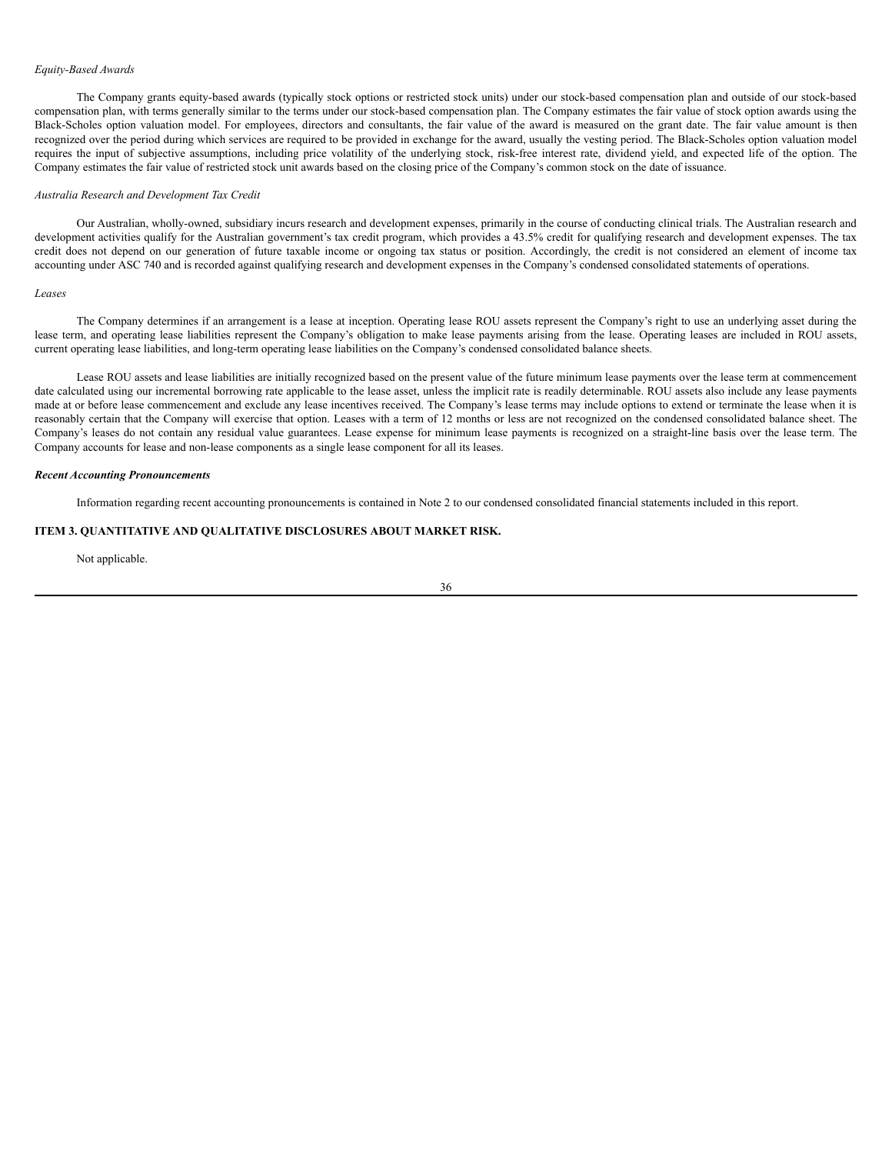## *Equity-Based Awards*

The Company grants equity-based awards (typically stock options or restricted stock units) under our stock-based compensation plan and outside of our stock-based compensation plan, with terms generally similar to the terms under our stock-based compensation plan. The Company estimates the fair value of stock option awards using the Black-Scholes option valuation model. For employees, directors and consultants, the fair value of the award is measured on the grant date. The fair value amount is then recognized over the period during which services are required to be provided in exchange for the award, usually the vesting period. The Black-Scholes option valuation model requires the input of subjective assumptions, including price volatility of the underlying stock, risk-free interest rate, dividend yield, and expected life of the option. The Company estimates the fair value of restricted stock unit awards based on the closing price of the Company's common stock on the date of issuance.

#### *Australia Research and Development Tax Credit*

Our Australian, wholly-owned, subsidiary incurs research and development expenses, primarily in the course of conducting clinical trials. The Australian research and development activities qualify for the Australian government's tax credit program, which provides a 43.5% credit for qualifying research and development expenses. The tax credit does not depend on our generation of future taxable income or ongoing tax status or position. Accordingly, the credit is not considered an element of income tax accounting under ASC 740 and is recorded against qualifying research and development expenses in the Company's condensed consolidated statements of operations.

#### *Leases*

The Company determines if an arrangement is a lease at inception. Operating lease ROU assets represent the Company's right to use an underlying asset during the lease term, and operating lease liabilities represent the Company's obligation to make lease payments arising from the lease. Operating leases are included in ROU assets, current operating lease liabilities, and long-term operating lease liabilities on the Company's condensed consolidated balance sheets.

Lease ROU assets and lease liabilities are initially recognized based on the present value of the future minimum lease payments over the lease term at commencement date calculated using our incremental borrowing rate applicable to the lease asset, unless the implicit rate is readily determinable. ROU assets also include any lease payments made at or before lease commencement and exclude any lease incentives received. The Company's lease terms may include options to extend or terminate the lease when it is reasonably certain that the Company will exercise that option. Leases with a term of 12 months or less are not recognized on the condensed consolidated balance sheet. The Company's leases do not contain any residual value guarantees. Lease expense for minimum lease payments is recognized on a straight-line basis over the lease term. The Company accounts for lease and non-lease components as a single lease component for all its leases.

#### *Recent Accounting Pronouncements*

Information regarding recent accounting pronouncements is contained in Note 2 to our condensed consolidated financial statements included in this report.

## <span id="page-35-0"></span>**ITEM 3. QUANTITATIVE AND QUALITATIVE DISCLOSURES ABOUT MARKET RISK.**

Not applicable.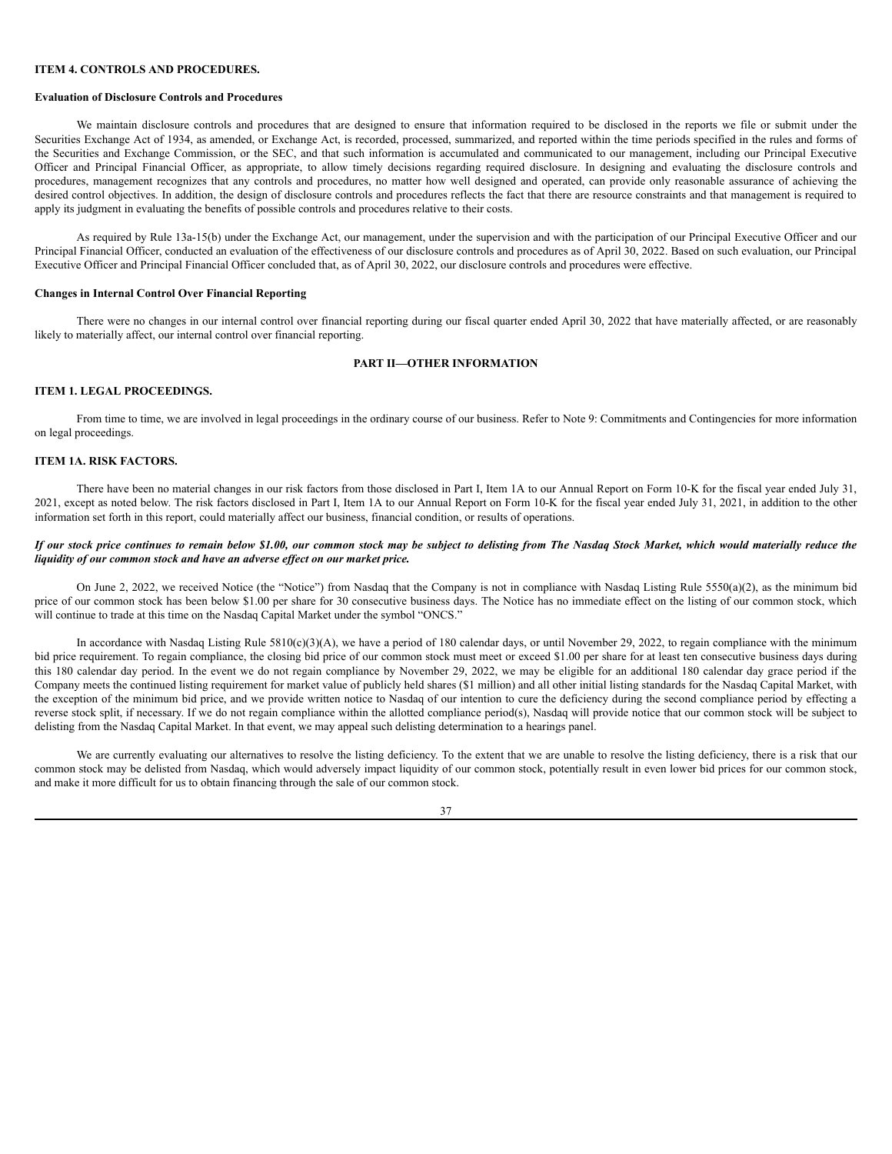#### <span id="page-36-0"></span>**ITEM 4. CONTROLS AND PROCEDURES.**

## **Evaluation of Disclosure Controls and Procedures**

We maintain disclosure controls and procedures that are designed to ensure that information required to be disclosed in the reports we file or submit under the Securities Exchange Act of 1934, as amended, or Exchange Act, is recorded, processed, summarized, and reported within the time periods specified in the rules and forms of the Securities and Exchange Commission, or the SEC, and that such information is accumulated and communicated to our management, including our Principal Executive Officer and Principal Financial Officer, as appropriate, to allow timely decisions regarding required disclosure. In designing and evaluating the disclosure controls and procedures, management recognizes that any controls and procedures, no matter how well designed and operated, can provide only reasonable assurance of achieving the desired control objectives. In addition, the design of disclosure controls and procedures reflects the fact that there are resource constraints and that management is required to apply its judgment in evaluating the benefits of possible controls and procedures relative to their costs.

As required by Rule 13a-15(b) under the Exchange Act, our management, under the supervision and with the participation of our Principal Executive Officer and our Principal Financial Officer, conducted an evaluation of the effectiveness of our disclosure controls and procedures as of April 30, 2022. Based on such evaluation, our Principal Executive Officer and Principal Financial Officer concluded that, as of April 30, 2022, our disclosure controls and procedures were effective.

#### **Changes in Internal Control Over Financial Reporting**

There were no changes in our internal control over financial reporting during our fiscal quarter ended April 30, 2022 that have materially affected, or are reasonably likely to materially affect, our internal control over financial reporting.

## **PART II—OTHER INFORMATION**

## <span id="page-36-2"></span><span id="page-36-1"></span>**ITEM 1. LEGAL PROCEEDINGS.**

From time to time, we are involved in legal proceedings in the ordinary course of our business. Refer to Note 9: Commitments and Contingencies for more information on legal proceedings.

#### <span id="page-36-3"></span>**ITEM 1A. RISK FACTORS.**

There have been no material changes in our risk factors from those disclosed in Part I, Item 1A to our Annual Report on Form 10-K for the fiscal year ended July 31, 2021, except as noted below. The risk factors disclosed in Part I, Item 1A to our Annual Report on Form 10-K for the fiscal year ended July 31, 2021, in addition to the other information set forth in this report, could materially affect our business, financial condition, or results of operations.

## If our stock price continues to remain below \$1.00, our common stock may be subject to delisting from The Nasdaq Stock Market, which would materially reduce the *liquidity of our common stock and have an adverse ef ect on our market price.*

On June 2, 2022, we received Notice (the "Notice") from Nasdaq that the Company is not in compliance with Nasdaq Listing Rule  $5550(a)(2)$ , as the minimum bid price of our common stock has been below \$1.00 per share for 30 consecutive business days. The Notice has no immediate effect on the listing of our common stock, which will continue to trade at this time on the Nasdaq Capital Market under the symbol "ONCS."

In accordance with Nasdaq Listing Rule  $5810(c)(3)(A)$ , we have a period of 180 calendar days, or until November 29, 2022, to regain compliance with the minimum bid price requirement. To regain compliance, the closing bid price of our common stock must meet or exceed \$1.00 per share for at least ten consecutive business days during this 180 calendar day period. In the event we do not regain compliance by November 29, 2022, we may be eligible for an additional 180 calendar day grace period if the Company meets the continued listing requirement for market value of publicly held shares (\$1 million) and all other initial listing standards for the Nasdaq Capital Market, with the exception of the minimum bid price, and we provide written notice to Nasdaq of our intention to cure the deficiency during the second compliance period by effecting a reverse stock split, if necessary. If we do not regain compliance within the allotted compliance period(s), Nasdaq will provide notice that our common stock will be subject to delisting from the Nasdaq Capital Market. In that event, we may appeal such delisting determination to a hearings panel.

We are currently evaluating our alternatives to resolve the listing deficiency. To the extent that we are unable to resolve the listing deficiency, there is a risk that our common stock may be delisted from Nasdaq, which would adversely impact liquidity of our common stock, potentially result in even lower bid prices for our common stock, and make it more difficult for us to obtain financing through the sale of our common stock.

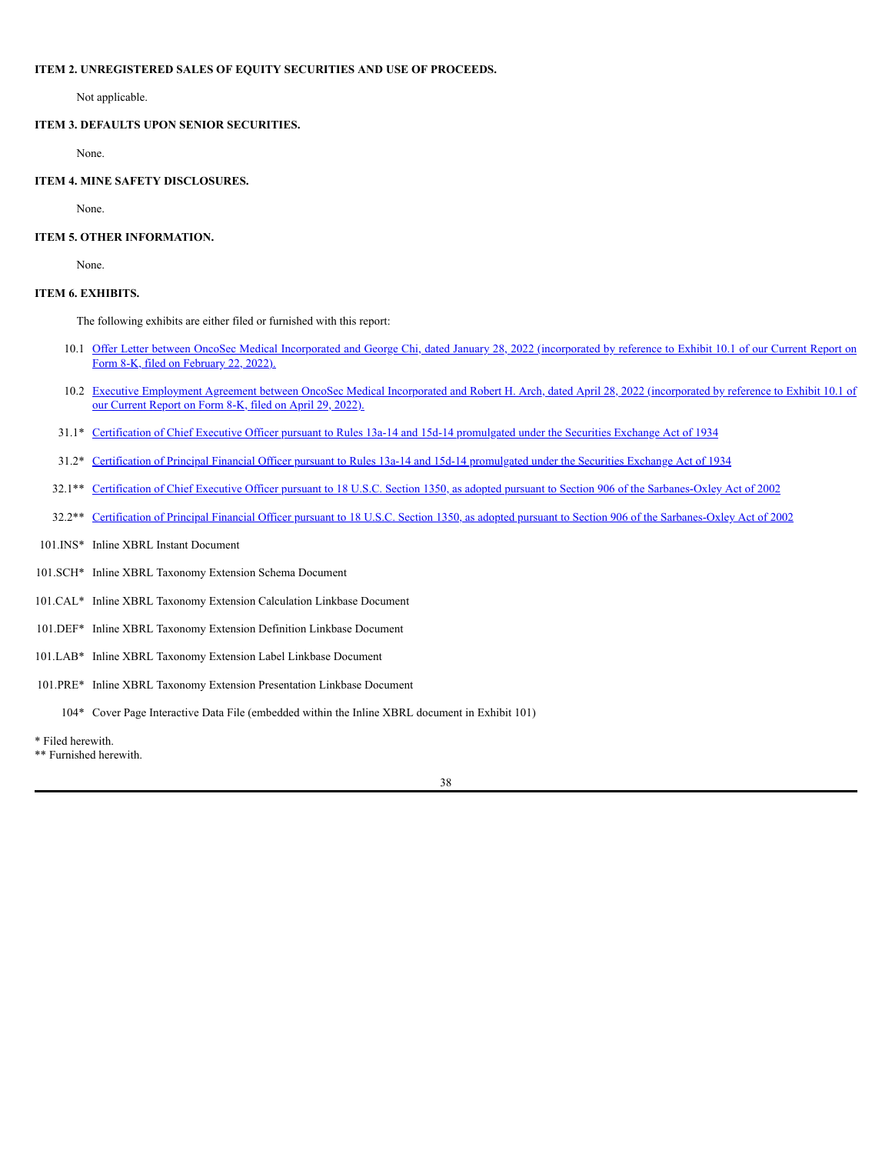## <span id="page-37-0"></span>**ITEM 2. UNREGISTERED SALES OF EQUITY SECURITIES AND USE OF PROCEEDS.**

Not applicable.

## <span id="page-37-1"></span>**ITEM 3. DEFAULTS UPON SENIOR SECURITIES.**

None.

#### <span id="page-37-2"></span>**ITEM 4. MINE SAFETY DISCLOSURES.**

None.

## <span id="page-37-3"></span>**ITEM 5. OTHER INFORMATION.**

None.

## <span id="page-37-4"></span>**ITEM 6. EXHIBITS.**

The following exhibits are either filed or furnished with this report:

- 10.1 Offer Letter between OncoSec Medical Incorporated and George Chi, dated January 28, 2022 [\(incorporated](https://www.sec.gov/Archives/edgar/data/1444307/000149315222005150/ex10-1.htm) by reference to Exhibit 10.1 of our Current Report on Form 8-K, filed on February 22, 2022).
- 10.2 Executive Employment Agreement between OncoSec Medical Incorporated and Robert H. Arch, dated April 28, 2022 [\(incorporated](https://www.sec.gov/Archives/edgar/data/1444307/000149315222011469/ex10-1.htm) by reference to Exhibit 10.1 of our Current Report on Form 8-K, filed on April 29, 2022).
- 31.1\* Certification of Chief Executive Officer pursuant to Rules 13a-14 and 15d-14 [promulgated](https://s3.amazonaws.com/content.stockpr.com/oncosec/sec/0001493152-22-016738/for_pdf/ex31-1.htm) under the Securities Exchange Act of 1934
- 31.2\* Certification of Principal Financial Officer pursuant to Rules 13a-14 and 15d-14 [promulgated](https://s3.amazonaws.com/content.stockpr.com/oncosec/sec/0001493152-22-016738/for_pdf/ex31-2.htm) under the Securities Exchange Act of 1934
- 32.1\*\* Certification of Chief Executive Officer pursuant to 18 U.S.C. Section 1350, as adopted pursuant to Section 906 of the [Sarbanes-Oxley](https://s3.amazonaws.com/content.stockpr.com/oncosec/sec/0001493152-22-016738/for_pdf/ex32-1.htm) Act of 2002
- 32.2\*\* Certification of Principal Financial Officer pursuant to 18 U.S.C. Section 1350, as adopted pursuant to Section 906 of the [Sarbanes-Oxley](https://s3.amazonaws.com/content.stockpr.com/oncosec/sec/0001493152-22-016738/for_pdf/ex32-2.htm) Act of 2002
- 101.INS\* Inline XBRL Instant Document
- 101.SCH\* Inline XBRL Taxonomy Extension Schema Document
- 101.CAL\* Inline XBRL Taxonomy Extension Calculation Linkbase Document
- 101.DEF\* Inline XBRL Taxonomy Extension Definition Linkbase Document
- 101.LAB\* Inline XBRL Taxonomy Extension Label Linkbase Document
- 101.PRE\* Inline XBRL Taxonomy Extension Presentation Linkbase Document

104\* Cover Page Interactive Data File (embedded within the Inline XBRL document in Exhibit 101)

\* Filed herewith.

\*\* Furnished herewith.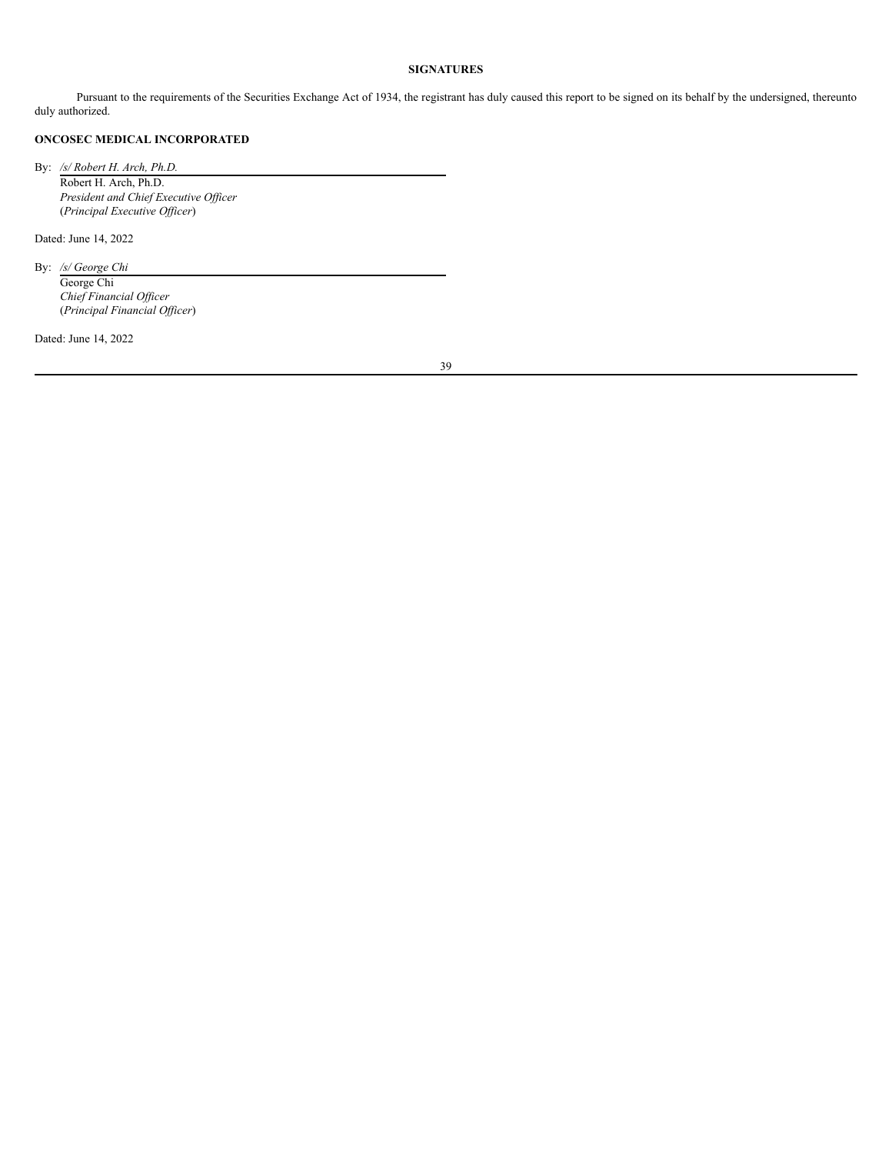## **SIGNATURES**

<span id="page-38-0"></span>Pursuant to the requirements of the Securities Exchange Act of 1934, the registrant has duly caused this report to be signed on its behalf by the undersigned, thereunto duly authorized.

## **ONCOSEC MEDICAL INCORPORATED**

By: */s/ Robert H. Arch, Ph.D.* Robert H. Arch, Ph.D. *President and Chief Executive Of icer* (*Principal Executive Of icer*)

Dated: June 14, 2022

By: */s/ George Chi* George Chi *Chief Financial Of icer* (*Principal Financial Of icer*)

Dated: June 14, 2022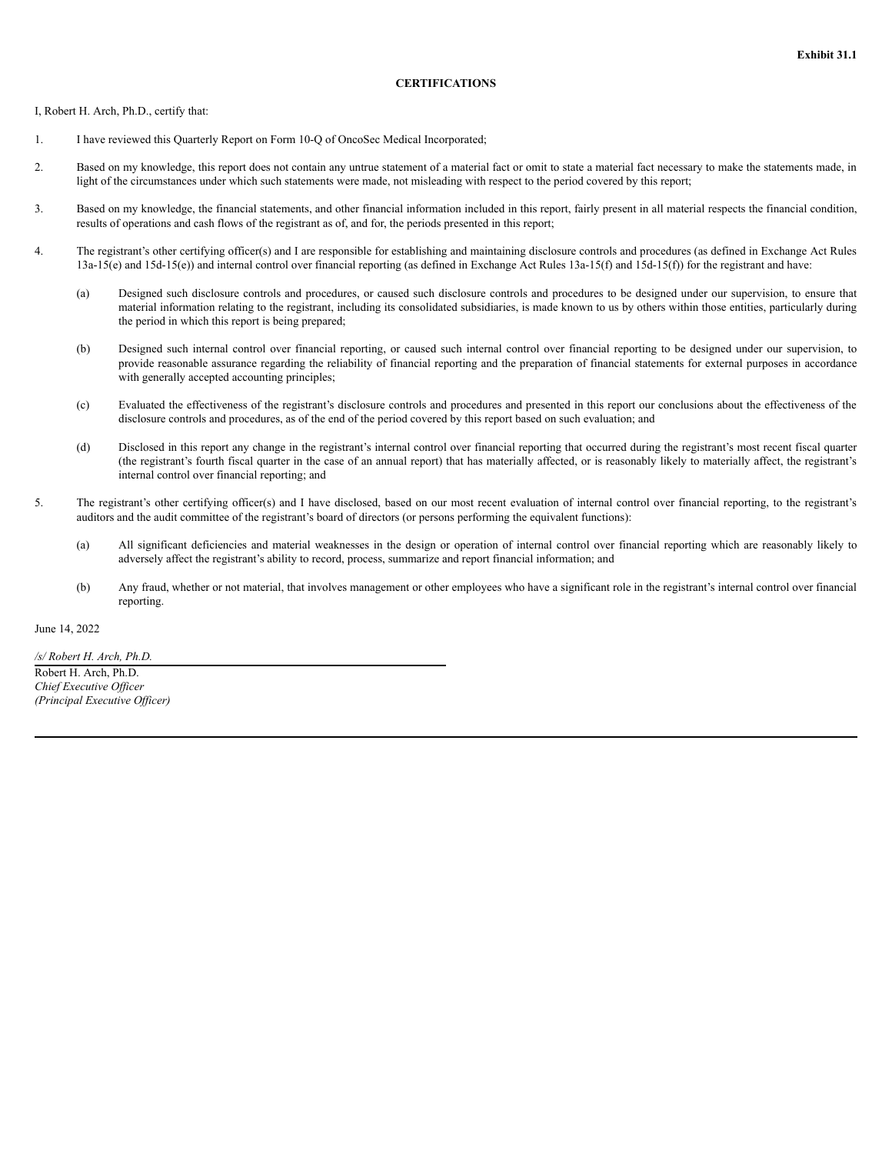## **CERTIFICATIONS**

I, Robert H. Arch, Ph.D., certify that:

- 1. I have reviewed this Quarterly Report on Form 10-Q of OncoSec Medical Incorporated;
- 2. Based on my knowledge, this report does not contain any untrue statement of a material fact or omit to state a material fact necessary to make the statements made, in light of the circumstances under which such statements were made, not misleading with respect to the period covered by this report;
- 3. Based on my knowledge, the financial statements, and other financial information included in this report, fairly present in all material respects the financial condition, results of operations and cash flows of the registrant as of, and for, the periods presented in this report;
- 4. The registrant's other certifying officer(s) and I are responsible for establishing and maintaining disclosure controls and procedures (as defined in Exchange Act Rules 13a-15(e) and 15d-15(e)) and internal control over financial reporting (as defined in Exchange Act Rules 13a-15(f) and 15d-15(f)) for the registrant and have:
	- (a) Designed such disclosure controls and procedures, or caused such disclosure controls and procedures to be designed under our supervision, to ensure that material information relating to the registrant, including its consolidated subsidiaries, is made known to us by others within those entities, particularly during the period in which this report is being prepared;
	- (b) Designed such internal control over financial reporting, or caused such internal control over financial reporting to be designed under our supervision, to provide reasonable assurance regarding the reliability of financial reporting and the preparation of financial statements for external purposes in accordance with generally accepted accounting principles;
	- (c) Evaluated the effectiveness of the registrant's disclosure controls and procedures and presented in this report our conclusions about the effectiveness of the disclosure controls and procedures, as of the end of the period covered by this report based on such evaluation; and
	- (d) Disclosed in this report any change in the registrant's internal control over financial reporting that occurred during the registrant's most recent fiscal quarter (the registrant's fourth fiscal quarter in the case of an annual report) that has materially affected, or is reasonably likely to materially affect, the registrant's internal control over financial reporting; and
- 5. The registrant's other certifying officer(s) and I have disclosed, based on our most recent evaluation of internal control over financial reporting, to the registrant's auditors and the audit committee of the registrant's board of directors (or persons performing the equivalent functions):
	- (a) All significant deficiencies and material weaknesses in the design or operation of internal control over financial reporting which are reasonably likely to adversely affect the registrant's ability to record, process, summarize and report financial information; and
	- (b) Any fraud, whether or not material, that involves management or other employees who have a significant role in the registrant's internal control over financial reporting.

June 14, 2022

*/s/ Robert H. Arch, Ph.D.* Robert H. Arch, Ph.D. *Chief Executive Of icer (Principal Executive Of icer)*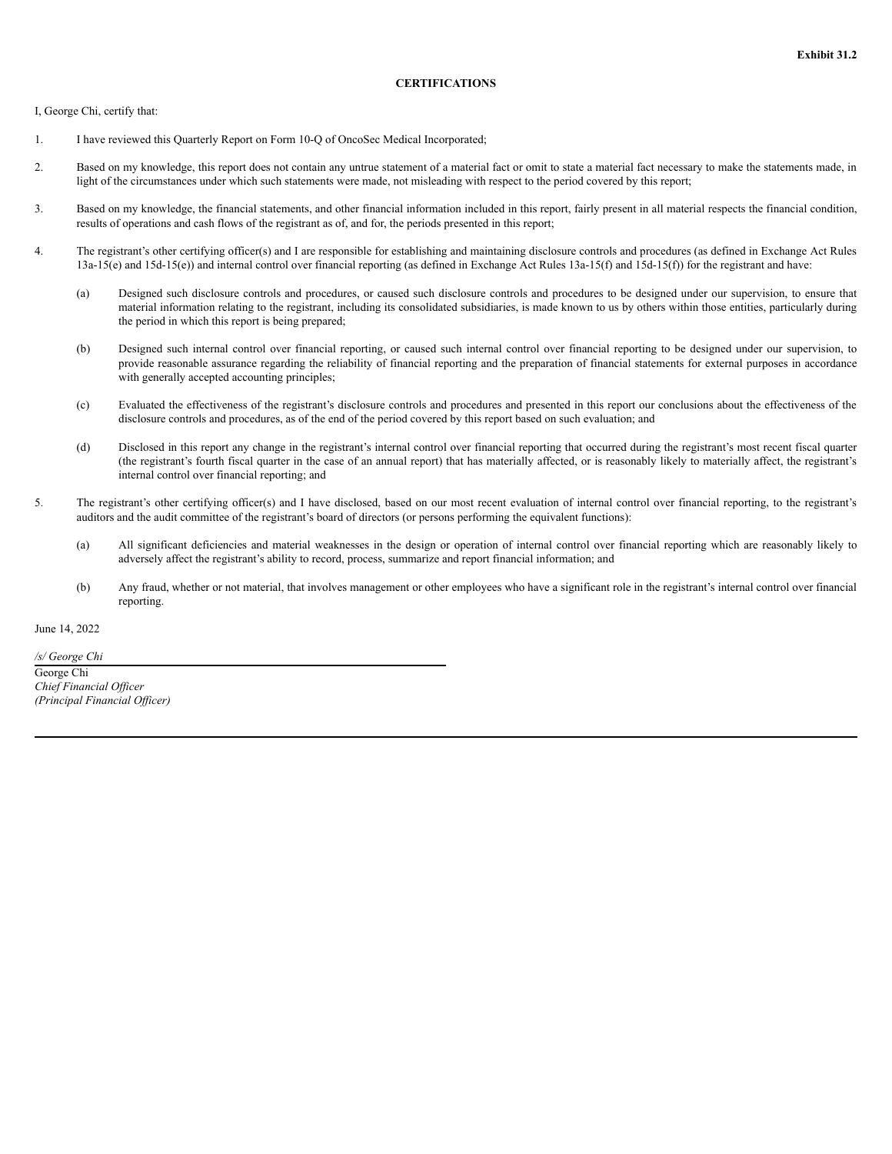## **CERTIFICATIONS**

I, George Chi, certify that:

- 1. I have reviewed this Quarterly Report on Form 10-Q of OncoSec Medical Incorporated;
- 2. Based on my knowledge, this report does not contain any untrue statement of a material fact or omit to state a material fact necessary to make the statements made, in light of the circumstances under which such statements were made, not misleading with respect to the period covered by this report;
- 3. Based on my knowledge, the financial statements, and other financial information included in this report, fairly present in all material respects the financial condition, results of operations and cash flows of the registrant as of, and for, the periods presented in this report;
- 4. The registrant's other certifying officer(s) and I are responsible for establishing and maintaining disclosure controls and procedures (as defined in Exchange Act Rules 13a-15(e) and 15d-15(e)) and internal control over financial reporting (as defined in Exchange Act Rules 13a-15(f) and 15d-15(f)) for the registrant and have:
	- (a) Designed such disclosure controls and procedures, or caused such disclosure controls and procedures to be designed under our supervision, to ensure that material information relating to the registrant, including its consolidated subsidiaries, is made known to us by others within those entities, particularly during the period in which this report is being prepared;
	- (b) Designed such internal control over financial reporting, or caused such internal control over financial reporting to be designed under our supervision, to provide reasonable assurance regarding the reliability of financial reporting and the preparation of financial statements for external purposes in accordance with generally accepted accounting principles;
	- (c) Evaluated the effectiveness of the registrant's disclosure controls and procedures and presented in this report our conclusions about the effectiveness of the disclosure controls and procedures, as of the end of the period covered by this report based on such evaluation; and
	- (d) Disclosed in this report any change in the registrant's internal control over financial reporting that occurred during the registrant's most recent fiscal quarter (the registrant's fourth fiscal quarter in the case of an annual report) that has materially affected, or is reasonably likely to materially affect, the registrant's internal control over financial reporting; and
- 5. The registrant's other certifying officer(s) and I have disclosed, based on our most recent evaluation of internal control over financial reporting, to the registrant's auditors and the audit committee of the registrant's board of directors (or persons performing the equivalent functions):
	- (a) All significant deficiencies and material weaknesses in the design or operation of internal control over financial reporting which are reasonably likely to adversely affect the registrant's ability to record, process, summarize and report financial information; and
	- (b) Any fraud, whether or not material, that involves management or other employees who have a significant role in the registrant's internal control over financial reporting.

June 14, 2022

*/s/ George Chi* George Chi *Chief Financial Of icer (Principal Financial Of icer)*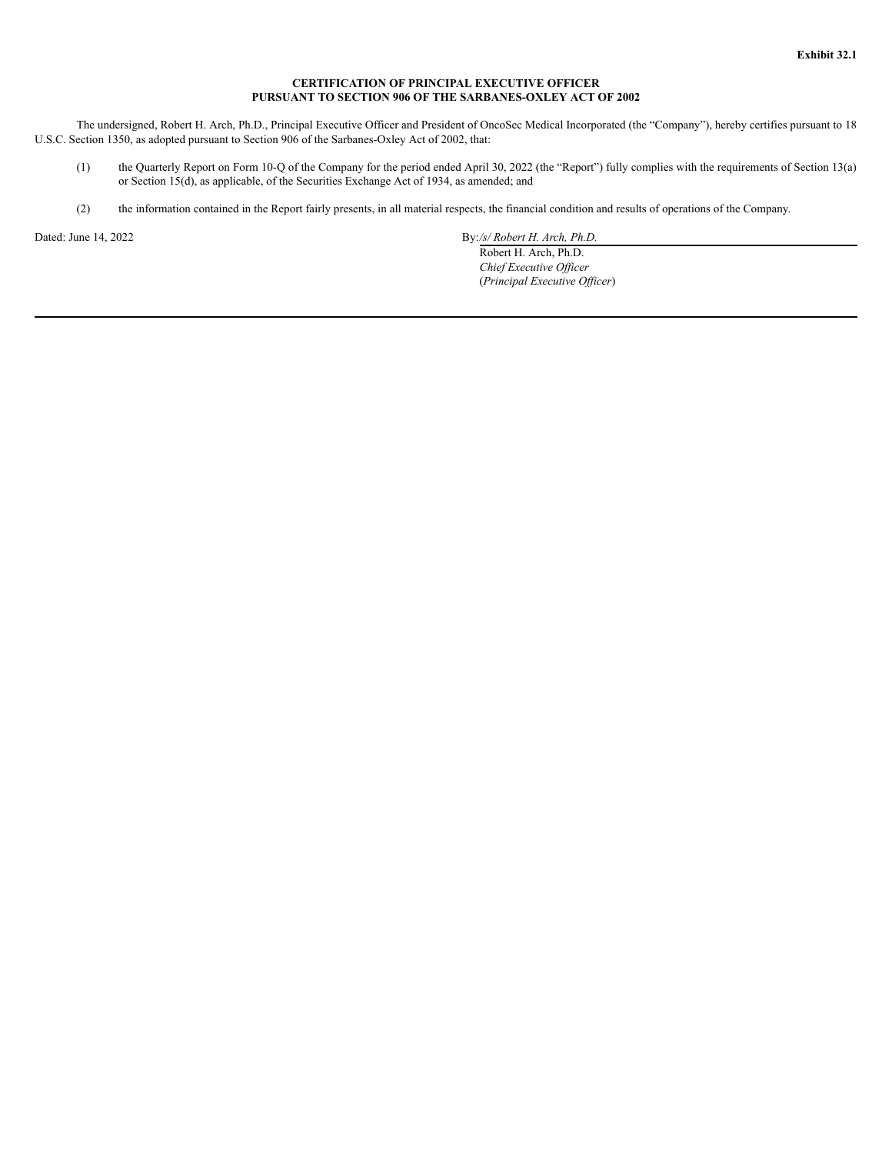## **CERTIFICATION OF PRINCIPAL EXECUTIVE OFFICER PURSUANT TO SECTION 906 OF THE SARBANES-OXLEY ACT OF 2002**

The undersigned, Robert H. Arch, Ph.D., Principal Executive Officer and President of OncoSec Medical Incorporated (the "Company"), hereby certifies pursuant to 18 U.S.C. Section 1350, as adopted pursuant to Section 906 of the Sarbanes-Oxley Act of 2002, that:

- (1) the Quarterly Report on Form 10-Q of the Company for the period ended April 30, 2022 (the "Report") fully complies with the requirements of Section 13(a) or Section 15(d), as applicable, of the Securities Exchange Act of 1934, as amended; and
- (2) the information contained in the Report fairly presents, in all material respects, the financial condition and results of operations of the Company.

Dated: June 14, 2022 By:*/s/ Robert H. Arch, Ph.D.*

Robert H. Arch, Ph.D. *Chief Executive Of icer* (*Principal Executive Of icer*)